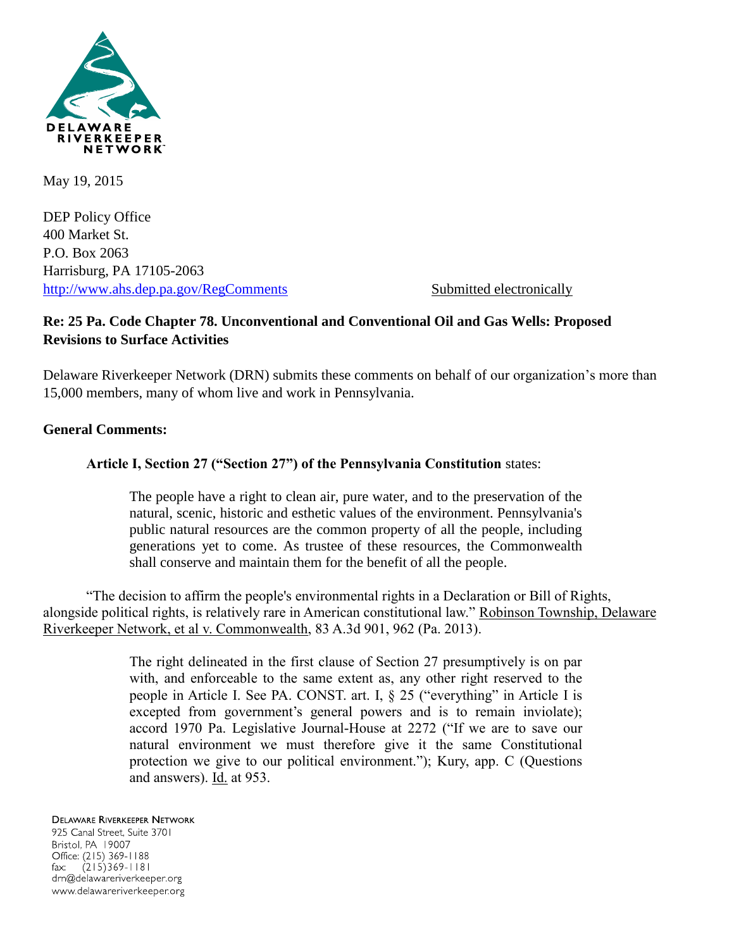

May 19, 2015

DEP Policy Office 400 Market St. P.O. Box 2063 Harrisburg, PA 17105-2063 <http://www.ahs.dep.pa.gov/RegComments> Submitted electronically

# **Re: 25 Pa. Code Chapter 78. Unconventional and Conventional Oil and Gas Wells: Proposed Revisions to Surface Activities**

Delaware Riverkeeper Network (DRN) submits these comments on behalf of our organization's more than 15,000 members, many of whom live and work in Pennsylvania.

### **General Comments:**

# **Article I, Section 27 ("Section 27") of the Pennsylvania Constitution** states:

The people have a right to clean air, pure water, and to the preservation of the natural, scenic, historic and esthetic values of the environment. Pennsylvania's public natural resources are the common property of all the people, including generations yet to come. As trustee of these resources, the Commonwealth shall conserve and maintain them for the benefit of all the people.

"The decision to affirm the people's environmental rights in a Declaration or Bill of Rights, alongside political rights, is relatively rare in American constitutional law." Robinson Township, Delaware Riverkeeper Network, et al v. Commonwealth, 83 A.3d 901, 962 (Pa. 2013).

> The right delineated in the first clause of Section 27 presumptively is on par with, and enforceable to the same extent as, any other right reserved to the people in Article I. See PA. CONST. art. I, § 25 ("everything" in Article I is excepted from government's general powers and is to remain inviolate); accord 1970 Pa. Legislative Journal-House at 2272 ("If we are to save our natural environment we must therefore give it the same Constitutional protection we give to our political environment."); Kury, app. C (Questions and answers). Id. at 953.

**DELAWARE RIVERKEEPER NETWORK** 925 Canal Street, Suite 3701 Bristol, PA 19007 Office: (215) 369-1188  $(215)369 - 1181$ fax: drn@delawareriverkeeper.org www.delawareriverkeeper.org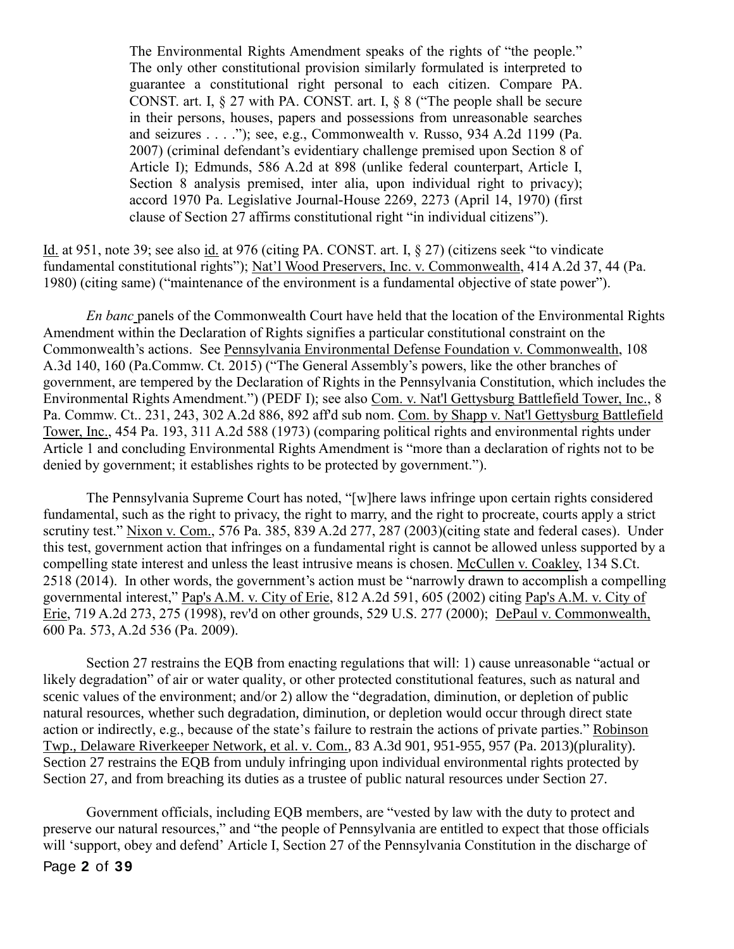The Environmental Rights Amendment speaks of the rights of "the people." The only other constitutional provision similarly formulated is interpreted to guarantee a constitutional right personal to each citizen. Compare PA. CONST. art. I, § 27 with PA. CONST. art. I, § 8 ("The people shall be secure in their persons, houses, papers and possessions from unreasonable searches and seizures . . . ."); see, e.g., Commonwealth v. Russo, 934 A.2d 1199 (Pa. 2007) (criminal defendant's evidentiary challenge premised upon Section 8 of Article I); Edmunds, 586 A.2d at 898 (unlike federal counterpart, Article I, Section 8 analysis premised, inter alia, upon individual right to privacy); accord 1970 Pa. Legislative Journal-House 2269, 2273 (April 14, 1970) (first clause of Section 27 affirms constitutional right "in individual citizens").

Id. at 951, note 39; see also id. at 976 (citing PA. CONST. art. I, § 27) (citizens seek "to vindicate fundamental constitutional rights"); Nat'l Wood Preservers, Inc. v. Commonwealth, 414 A.2d 37, 44 (Pa. 1980) (citing same) ("maintenance of the environment is a fundamental objective of state power").

*En banc* panels of the Commonwealth Court have held that the location of the Environmental Rights Amendment within the Declaration of Rights signifies a particular constitutional constraint on the Commonwealth's actions. See Pennsylvania Environmental Defense Foundation v. Commonwealth, 108 A.3d 140, 160 (Pa.Commw. Ct. 2015) ("The General Assembly's powers, like the other branches of government, are tempered by the Declaration of Rights in the Pennsylvania Constitution, which includes the Environmental Rights Amendment.") (PEDF I); see also Com. v. Nat'l Gettysburg Battlefield Tower, Inc., 8 Pa. Commw. Ct.. 231, 243, 302 A.2d 886, 892 aff'd sub nom. Com. by Shapp v. Nat'l Gettysburg Battlefield Tower, Inc., 454 Pa. 193, 311 A.2d 588 (1973) (comparing political rights and environmental rights under Article 1 and concluding Environmental Rights Amendment is "more than a declaration of rights not to be denied by government; it establishes rights to be protected by government.").

The Pennsylvania Supreme Court has noted, "[w]here laws infringe upon certain rights considered fundamental, such as the right to privacy, the right to marry, and the right to procreate, courts apply a strict scrutiny test." Nixon v. Com., 576 Pa. 385, 839 A.2d 277, 287 (2003)(citing state and federal cases). Under this test, government action that infringes on a fundamental right is cannot be allowed unless supported by a compelling state interest and unless the least intrusive means is chosen. McCullen v. Coakley, 134 S.Ct. 2518 (2014). In other words, the government's action must be "narrowly drawn to accomplish a compelling governmental interest," Pap's A.M. v. City of Erie, 812 A.2d 591, 605 (2002) citing Pap's A.M. v. City of Erie, 719 A.2d 273, 275 (1998), rev'd on other grounds, 529 U.S. 277 (2000); DePaul v. Commonwealth, 600 Pa. 573, A.2d 536 (Pa. 2009).

Section 27 restrains the EQB from enacting regulations that will: 1) cause unreasonable "actual or likely degradation" of air or water quality, or other protected constitutional features, such as natural and scenic values of the environment; and/or 2) allow the "degradation, diminution, or depletion of public natural resources, whether such degradation, diminution, or depletion would occur through direct state action or indirectly, e.g., because of the state's failure to restrain the actions of private parties." Robinson Twp., Delaware Riverkeeper Network, et al. v. Com., 83 A.3d 901, 951-955, 957 (Pa. 2013)(plurality). Section 27 restrains the EQB from unduly infringing upon individual environmental rights protected by Section 27, and from breaching its duties as a trustee of public natural resources under Section 27.

Page **2** of **39** Government officials, including EQB members, are "vested by law with the duty to protect and preserve our natural resources," and "the people of Pennsylvania are entitled to expect that those officials will 'support, obey and defend' Article I, Section 27 of the Pennsylvania Constitution in the discharge of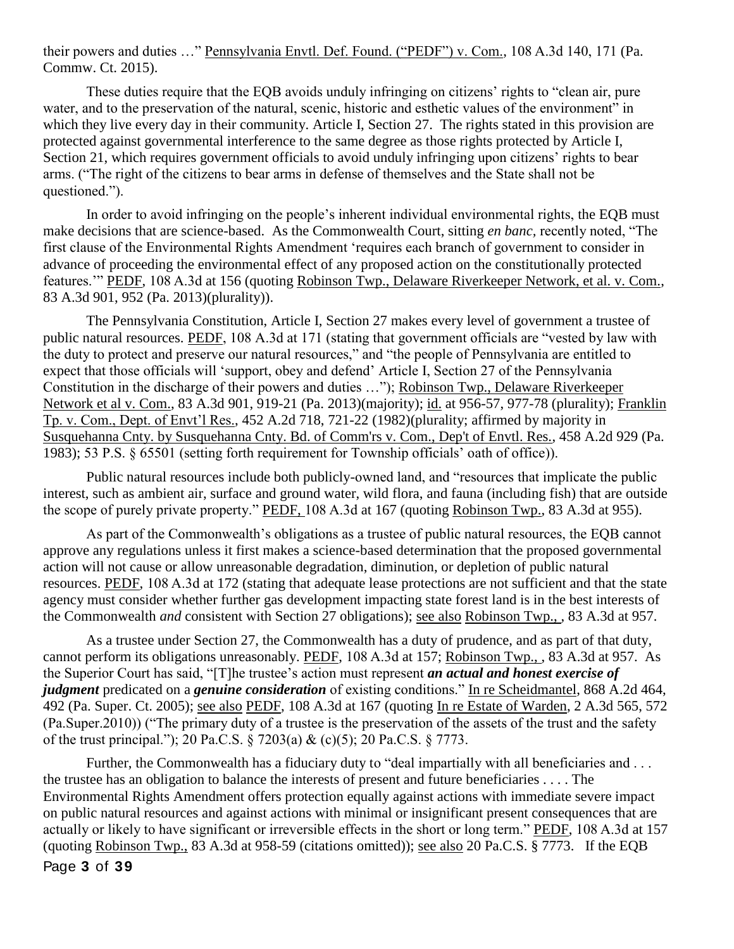their powers and duties …" Pennsylvania Envtl. Def. Found. ("PEDF") v. Com., 108 A.3d 140, 171 (Pa. Commw. Ct. 2015).

These duties require that the EQB avoids unduly infringing on citizens' rights to "clean air, pure water, and to the preservation of the natural, scenic, historic and esthetic values of the environment" in which they live every day in their community. Article I, Section 27. The rights stated in this provision are protected against governmental interference to the same degree as those rights protected by Article I, Section 21, which requires government officials to avoid unduly infringing upon citizens' rights to bear arms. ("The right of the citizens to bear arms in defense of themselves and the State shall not be questioned.").

In order to avoid infringing on the people's inherent individual environmental rights, the EQB must make decisions that are science-based. As the Commonwealth Court, sitting *en banc,* recently noted, "The first clause of the Environmental Rights Amendment 'requires each branch of government to consider in advance of proceeding the environmental effect of any proposed action on the constitutionally protected features.'" PEDF, 108 A.3d at 156 (quoting Robinson Twp., Delaware Riverkeeper Network, et al. v. Com., 83 A.3d 901, 952 (Pa. 2013)(plurality)).

The Pennsylvania Constitution, Article I, Section 27 makes every level of government a trustee of public natural resources. PEDF, 108 A.3d at 171 (stating that government officials are "vested by law with the duty to protect and preserve our natural resources," and "the people of Pennsylvania are entitled to expect that those officials will 'support, obey and defend' Article I, Section 27 of the Pennsylvania Constitution in the discharge of their powers and duties …"); Robinson Twp., Delaware Riverkeeper Network et al v. Com., 83 A.3d 901, 919-21 (Pa. 2013)(majority); id. at 956-57, 977-78 (plurality); Franklin Tp. v. Com., Dept. of Envt'l Res., 452 A.2d 718, 721-22 (1982)(plurality; affirmed by majority in Susquehanna Cnty. by Susquehanna Cnty. Bd. of Comm'rs v. Com., Dep't of Envtl. Res., 458 A.2d 929 (Pa. 1983); 53 P.S. § 65501 (setting forth requirement for Township officials' oath of office)).

Public natural resources include both publicly-owned land, and "resources that implicate the public interest, such as ambient air, surface and ground water, wild flora, and fauna (including fish) that are outside the scope of purely private property." PEDF, 108 A.3d at 167 (quoting Robinson Twp., 83 A.3d at 955).

As part of the Commonwealth's obligations as a trustee of public natural resources, the EQB cannot approve any regulations unless it first makes a science-based determination that the proposed governmental action will not cause or allow unreasonable degradation, diminution, or depletion of public natural resources. PEDF, 108 A.3d at 172 (stating that adequate lease protections are not sufficient and that the state agency must consider whether further gas development impacting state forest land is in the best interests of the Commonwealth *and* consistent with Section 27 obligations); see also Robinson Twp., , 83 A.3d at 957.

As a trustee under Section 27, the Commonwealth has a duty of prudence, and as part of that duty, cannot perform its obligations unreasonably. PEDF, 108 A.3d at 157; Robinson Twp., , 83 A.3d at 957. As the Superior Court has said, "[T]he trustee's action must represent *an actual and honest exercise of judgment* predicated on a *genuine consideration* of existing conditions." In re Scheidmantel, 868 A.2d 464, 492 (Pa. Super. Ct. 2005); see also PEDF, 108 A.3d at 167 (quoting In re Estate of Warden, 2 A.3d 565, 572 (Pa.Super.2010)) ("The primary duty of a trustee is the preservation of the assets of the trust and the safety of the trust principal."); 20 Pa.C.S. § 7203(a) & (c)(5); 20 Pa.C.S. § 7773.

Page **3** of **39** Further, the Commonwealth has a fiduciary duty to "deal impartially with all beneficiaries and ... the trustee has an obligation to balance the interests of present and future beneficiaries . . . . The Environmental Rights Amendment offers protection equally against actions with immediate severe impact on public natural resources and against actions with minimal or insignificant present consequences that are actually or likely to have significant or irreversible effects in the short or long term." PEDF, 108 A.3d at 157 (quoting Robinson Twp., 83 A.3d at 958-59 (citations omitted)); see also 20 Pa.C.S. § 7773. If the EQB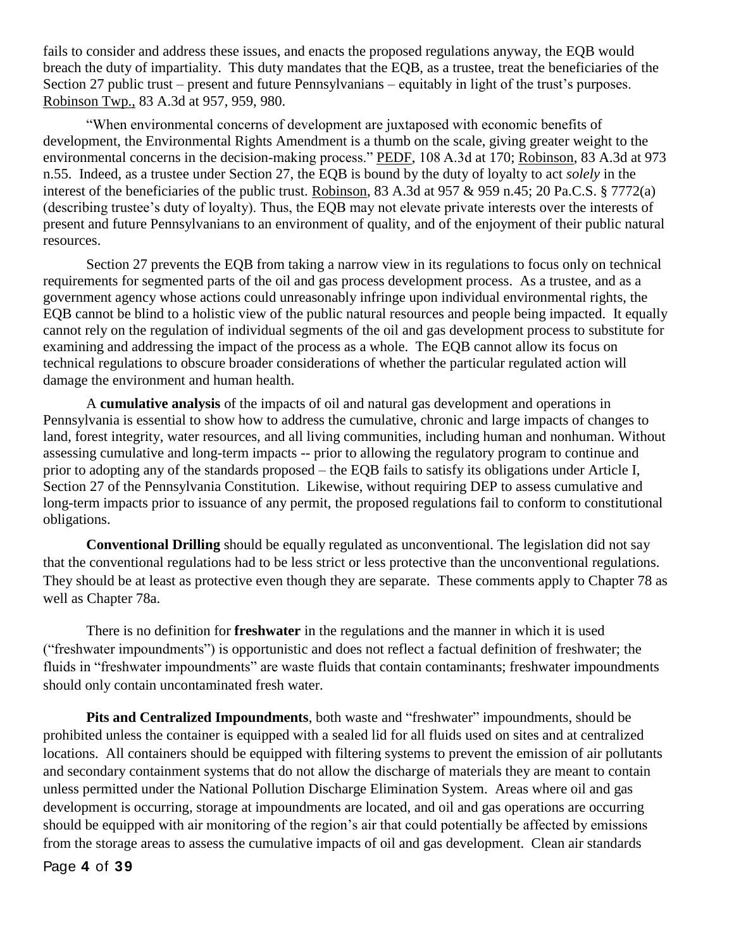fails to consider and address these issues, and enacts the proposed regulations anyway, the EQB would breach the duty of impartiality. This duty mandates that the EQB, as a trustee, treat the beneficiaries of the Section 27 public trust – present and future Pennsylvanians – equitably in light of the trust's purposes. Robinson Twp., 83 A.3d at 957, 959, 980.

"When environmental concerns of development are juxtaposed with economic benefits of development, the Environmental Rights Amendment is a thumb on the scale, giving greater weight to the environmental concerns in the decision-making process." PEDF, 108 A.3d at 170; Robinson, 83 A.3d at 973 n.55. Indeed, as a trustee under Section 27, the EQB is bound by the duty of loyalty to act *solely* in the interest of the beneficiaries of the public trust. Robinson, 83 A.3d at 957 & 959 n.45; 20 Pa.C.S. § 7772(a) (describing trustee's duty of loyalty). Thus, the EQB may not elevate private interests over the interests of present and future Pennsylvanians to an environment of quality, and of the enjoyment of their public natural resources.

Section 27 prevents the EQB from taking a narrow view in its regulations to focus only on technical requirements for segmented parts of the oil and gas process development process. As a trustee, and as a government agency whose actions could unreasonably infringe upon individual environmental rights, the EQB cannot be blind to a holistic view of the public natural resources and people being impacted. It equally cannot rely on the regulation of individual segments of the oil and gas development process to substitute for examining and addressing the impact of the process as a whole. The EQB cannot allow its focus on technical regulations to obscure broader considerations of whether the particular regulated action will damage the environment and human health.

A **cumulative analysis** of the impacts of oil and natural gas development and operations in Pennsylvania is essential to show how to address the cumulative, chronic and large impacts of changes to land, forest integrity, water resources, and all living communities, including human and nonhuman. Without assessing cumulative and long-term impacts -- prior to allowing the regulatory program to continue and prior to adopting any of the standards proposed – the EQB fails to satisfy its obligations under Article I, Section 27 of the Pennsylvania Constitution. Likewise, without requiring DEP to assess cumulative and long-term impacts prior to issuance of any permit, the proposed regulations fail to conform to constitutional obligations.

**Conventional Drilling** should be equally regulated as unconventional. The legislation did not say that the conventional regulations had to be less strict or less protective than the unconventional regulations. They should be at least as protective even though they are separate. These comments apply to Chapter 78 as well as Chapter 78a.

There is no definition for **freshwater** in the regulations and the manner in which it is used ("freshwater impoundments") is opportunistic and does not reflect a factual definition of freshwater; the fluids in "freshwater impoundments" are waste fluids that contain contaminants; freshwater impoundments should only contain uncontaminated fresh water.

**Pits and Centralized Impoundments**, both waste and "freshwater" impoundments, should be prohibited unless the container is equipped with a sealed lid for all fluids used on sites and at centralized locations. All containers should be equipped with filtering systems to prevent the emission of air pollutants and secondary containment systems that do not allow the discharge of materials they are meant to contain unless permitted under the National Pollution Discharge Elimination System. Areas where oil and gas development is occurring, storage at impoundments are located, and oil and gas operations are occurring should be equipped with air monitoring of the region's air that could potentially be affected by emissions from the storage areas to assess the cumulative impacts of oil and gas development. Clean air standards

Page **4** of **39**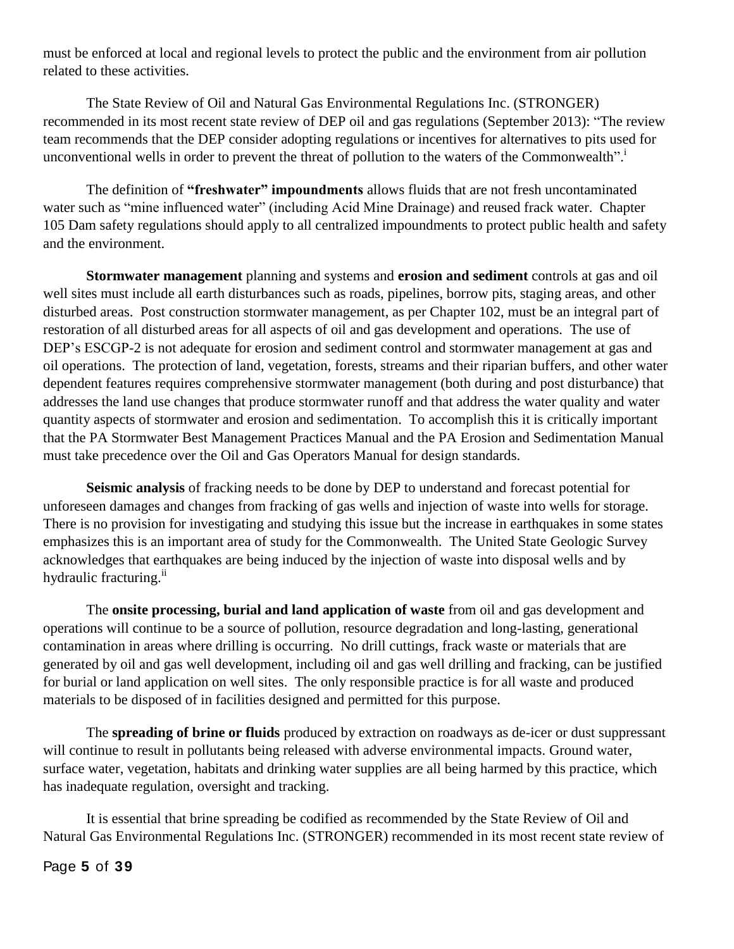must be enforced at local and regional levels to protect the public and the environment from air pollution related to these activities.

The State Review of Oil and Natural Gas Environmental Regulations Inc. (STRONGER) recommended in its most recent state review of DEP oil and gas regulations (September 2013): "The review team recommends that the DEP consider adopting regulations or incentives for alternatives to pits used for unconventional wells in order to prevent the threat of pollution to the waters of the Commonwealth".

The definition of **"freshwater" impoundments** allows fluids that are not fresh uncontaminated water such as "mine influenced water" (including Acid Mine Drainage) and reused frack water. Chapter 105 Dam safety regulations should apply to all centralized impoundments to protect public health and safety and the environment.

**Stormwater management** planning and systems and **erosion and sediment** controls at gas and oil well sites must include all earth disturbances such as roads, pipelines, borrow pits, staging areas, and other disturbed areas. Post construction stormwater management, as per Chapter 102, must be an integral part of restoration of all disturbed areas for all aspects of oil and gas development and operations. The use of DEP's ESCGP-2 is not adequate for erosion and sediment control and stormwater management at gas and oil operations. The protection of land, vegetation, forests, streams and their riparian buffers, and other water dependent features requires comprehensive stormwater management (both during and post disturbance) that addresses the land use changes that produce stormwater runoff and that address the water quality and water quantity aspects of stormwater and erosion and sedimentation. To accomplish this it is critically important that the PA Stormwater Best Management Practices Manual and the PA Erosion and Sedimentation Manual must take precedence over the Oil and Gas Operators Manual for design standards.

**Seismic analysis** of fracking needs to be done by DEP to understand and forecast potential for unforeseen damages and changes from fracking of gas wells and injection of waste into wells for storage. There is no provision for investigating and studying this issue but the increase in earthquakes in some states emphasizes this is an important area of study for the Commonwealth. The United State Geologic Survey acknowledges that earthquakes are being induced by the injection of waste into disposal wells and by hydraulic fracturing.<sup>ii</sup>

The **onsite processing, burial and land application of waste** from oil and gas development and operations will continue to be a source of pollution, resource degradation and long-lasting, generational contamination in areas where drilling is occurring. No drill cuttings, frack waste or materials that are generated by oil and gas well development, including oil and gas well drilling and fracking, can be justified for burial or land application on well sites. The only responsible practice is for all waste and produced materials to be disposed of in facilities designed and permitted for this purpose.

The **spreading of brine or fluids** produced by extraction on roadways as de-icer or dust suppressant will continue to result in pollutants being released with adverse environmental impacts. Ground water, surface water, vegetation, habitats and drinking water supplies are all being harmed by this practice, which has inadequate regulation, oversight and tracking.

It is essential that brine spreading be codified as recommended by the State Review of Oil and Natural Gas Environmental Regulations Inc. (STRONGER) recommended in its most recent state review of

Page **5** of **39**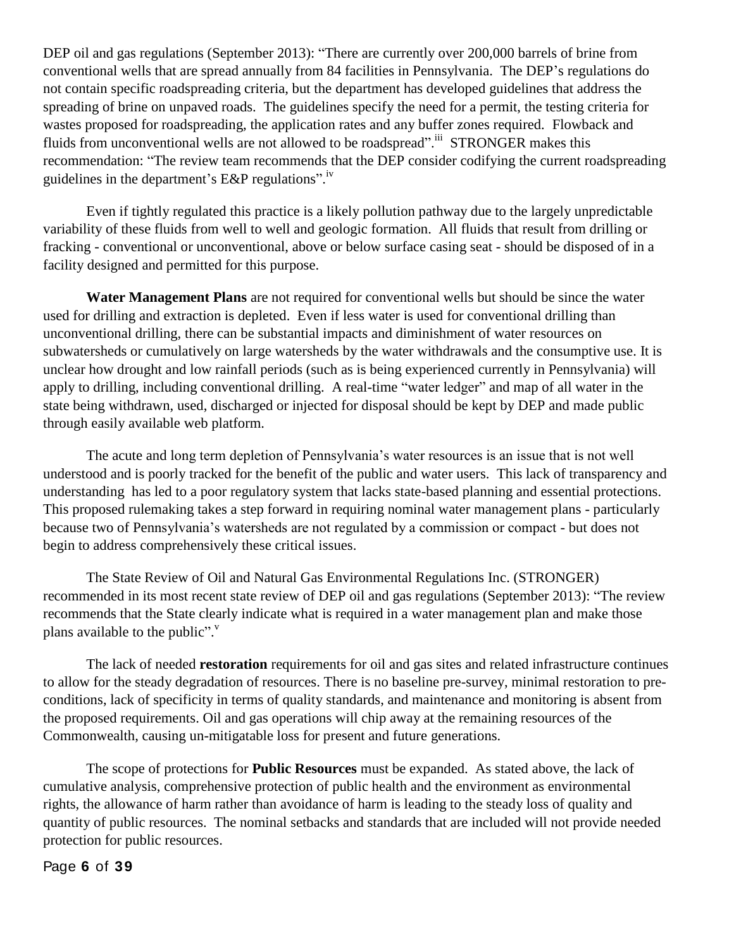DEP oil and gas regulations (September 2013): "There are currently over 200,000 barrels of brine from conventional wells that are spread annually from 84 facilities in Pennsylvania. The DEP's regulations do not contain specific roadspreading criteria, but the department has developed guidelines that address the spreading of brine on unpaved roads. The guidelines specify the need for a permit, the testing criteria for wastes proposed for roadspreading, the application rates and any buffer zones required. Flowback and fluids from unconventional wells are not allowed to be roadspread".<sup>iii</sup> STRONGER makes this recommendation: "The review team recommends that the DEP consider codifying the current roadspreading guidelines in the department's E&P regulations".<sup>iv</sup>

Even if tightly regulated this practice is a likely pollution pathway due to the largely unpredictable variability of these fluids from well to well and geologic formation. All fluids that result from drilling or fracking - conventional or unconventional, above or below surface casing seat - should be disposed of in a facility designed and permitted for this purpose.

**Water Management Plans** are not required for conventional wells but should be since the water used for drilling and extraction is depleted. Even if less water is used for conventional drilling than unconventional drilling, there can be substantial impacts and diminishment of water resources on subwatersheds or cumulatively on large watersheds by the water withdrawals and the consumptive use. It is unclear how drought and low rainfall periods (such as is being experienced currently in Pennsylvania) will apply to drilling, including conventional drilling. A real-time "water ledger" and map of all water in the state being withdrawn, used, discharged or injected for disposal should be kept by DEP and made public through easily available web platform.

The acute and long term depletion of Pennsylvania's water resources is an issue that is not well understood and is poorly tracked for the benefit of the public and water users. This lack of transparency and understanding has led to a poor regulatory system that lacks state-based planning and essential protections. This proposed rulemaking takes a step forward in requiring nominal water management plans - particularly because two of Pennsylvania's watersheds are not regulated by a commission or compact - but does not begin to address comprehensively these critical issues.

The State Review of Oil and Natural Gas Environmental Regulations Inc. (STRONGER) recommended in its most recent state review of DEP oil and gas regulations (September 2013): "The review recommends that the State clearly indicate what is required in a water management plan and make those plans available to the public".<sup>"</sup>

The lack of needed **restoration** requirements for oil and gas sites and related infrastructure continues to allow for the steady degradation of resources. There is no baseline pre-survey, minimal restoration to preconditions, lack of specificity in terms of quality standards, and maintenance and monitoring is absent from the proposed requirements. Oil and gas operations will chip away at the remaining resources of the Commonwealth, causing un-mitigatable loss for present and future generations.

The scope of protections for **Public Resources** must be expanded. As stated above, the lack of cumulative analysis, comprehensive protection of public health and the environment as environmental rights, the allowance of harm rather than avoidance of harm is leading to the steady loss of quality and quantity of public resources. The nominal setbacks and standards that are included will not provide needed protection for public resources.

Page **6** of **39**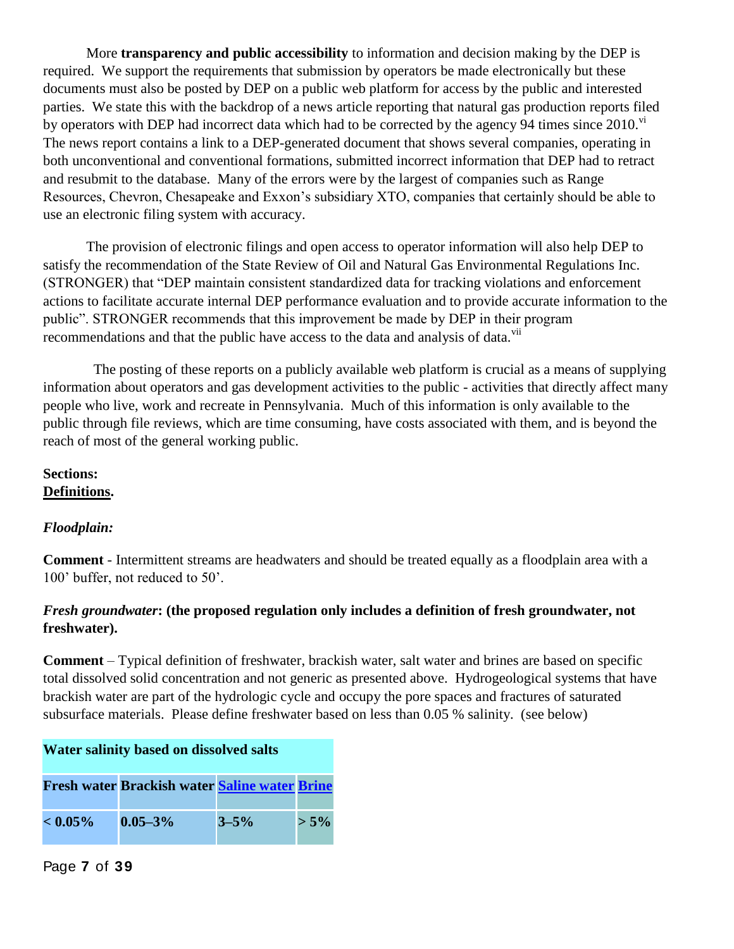More **transparency and public accessibility** to information and decision making by the DEP is required. We support the requirements that submission by operators be made electronically but these documents must also be posted by DEP on a public web platform for access by the public and interested parties. We state this with the backdrop of a news article reporting that natural gas production reports filed by operators with DEP had incorrect data which had to be corrected by the agency 94 times since  $2010$ .<sup>VI</sup> The news report contains a link to a DEP-generated document that shows several companies, operating in both unconventional and conventional formations, submitted incorrect information that DEP had to retract and resubmit to the database. Many of the errors were by the largest of companies such as Range Resources, Chevron, Chesapeake and Exxon's subsidiary XTO, companies that certainly should be able to use an electronic filing system with accuracy.

The provision of electronic filings and open access to operator information will also help DEP to satisfy the recommendation of the State Review of Oil and Natural Gas Environmental Regulations Inc. (STRONGER) that "DEP maintain consistent standardized data for tracking violations and enforcement actions to facilitate accurate internal DEP performance evaluation and to provide accurate information to the public". STRONGER recommends that this improvement be made by DEP in their program recommendations and that the public have access to the data and analysis of data.<sup>vii</sup>

The posting of these reports on a publicly available web platform is crucial as a means of supplying information about operators and gas development activities to the public - activities that directly affect many people who live, work and recreate in Pennsylvania. Much of this information is only available to the public through file reviews, which are time consuming, have costs associated with them, and is beyond the reach of most of the general working public.

# **Sections: Definitions.**

# *Floodplain:*

**Comment** - Intermittent streams are headwaters and should be treated equally as a floodplain area with a 100' buffer, not reduced to 50'.

# *Fresh groundwater***: (the proposed regulation only includes a definition of fresh groundwater, not freshwater).**

**Comment** – Typical definition of freshwater, brackish water, salt water and brines are based on specific total dissolved solid concentration and not generic as presented above. Hydrogeological systems that have brackish water are part of the hydrologic cycle and occupy the pore spaces and fractures of saturated subsurface materials. Please define freshwater based on less than 0.05 % salinity. (see below)

| Water salinity based on dissolved salts |                                                      |           |         |
|-----------------------------------------|------------------------------------------------------|-----------|---------|
|                                         | <b>Fresh water Brackish water Saline water Brine</b> |           |         |
| $< 0.05\%$                              | $0.05 - 3\%$                                         | $3 - 5\%$ | $> 5\%$ |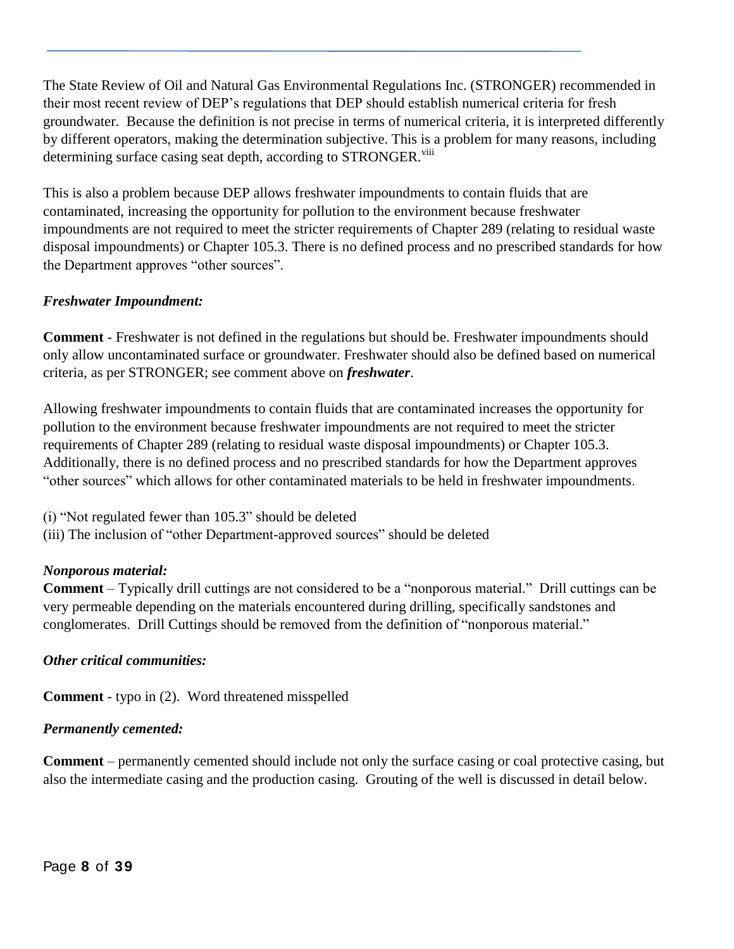The State Review of Oil and Natural Gas Environmental Regulations Inc. (STRONGER) recommended in their most recent review of DEP's regulations that DEP should establish numerical criteria for fresh groundwater. Because the definition is not precise in terms of numerical criteria, it is interpreted differently by different operators, making the determination subjective. This is a problem for many reasons, including determining surface casing seat depth, according to STRONGER.<sup>viii</sup>

This is also a problem because DEP allows freshwater impoundments to contain fluids that are contaminated, increasing the opportunity for pollution to the environment because freshwater impoundments are not required to meet the stricter requirements of Chapter 289 (relating to residual waste disposal impoundments) or Chapter 105.3. There is no defined process and no prescribed standards for how the Department approves "other sources".

# *Freshwater Impoundment:*

**Comment** - Freshwater is not defined in the regulations but should be. Freshwater impoundments should only allow uncontaminated surface or groundwater. Freshwater should also be defined based on numerical criteria, as per STRONGER; see comment above on *freshwater*.

Allowing freshwater impoundments to contain fluids that are contaminated increases the opportunity for pollution to the environment because freshwater impoundments are not required to meet the stricter requirements of Chapter 289 (relating to residual waste disposal impoundments) or Chapter 105.3. Additionally, there is no defined process and no prescribed standards for how the Department approves "other sources" which allows for other contaminated materials to be held in freshwater impoundments.

(i) "Not regulated fewer than 105.3" should be deleted

(iii) The inclusion of "other Department-approved sources" should be deleted

# *Nonporous material:*

**Comment** – Typically drill cuttings are not considered to be a "nonporous material." Drill cuttings can be very permeable depending on the materials encountered during drilling, specifically sandstones and conglomerates. Drill Cuttings should be removed from the definition of "nonporous material."

### *Other critical communities:*

**Comment** - typo in (2). Word threatened misspelled

# *Permanently cemented:*

**Comment** – permanently cemented should include not only the surface casing or coal protective casing, but also the intermediate casing and the production casing. Grouting of the well is discussed in detail below.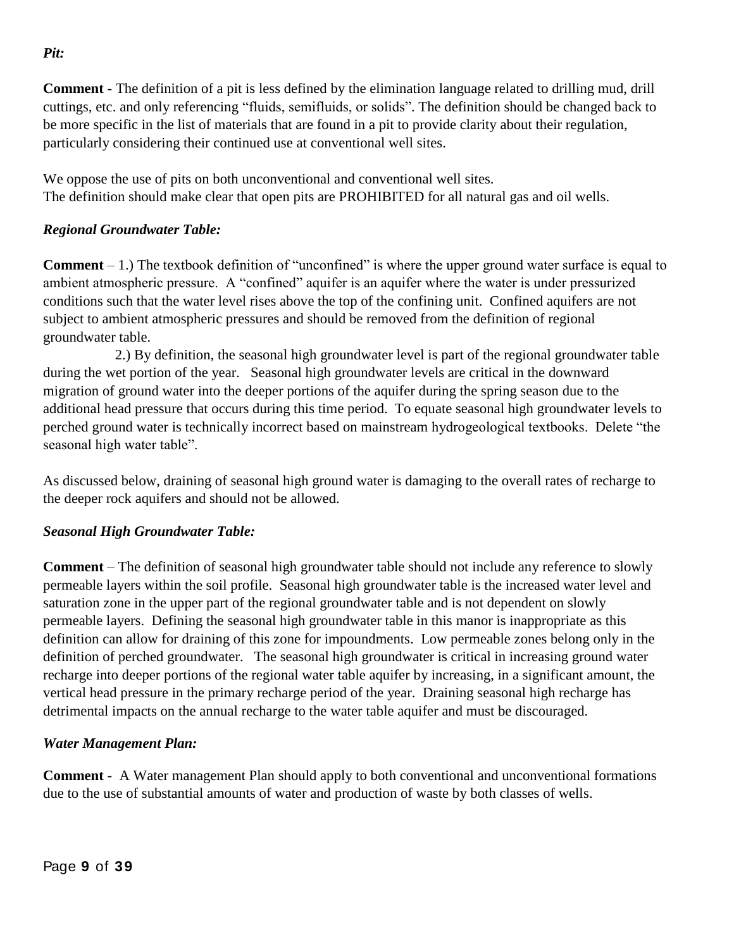**Comment** - The definition of a pit is less defined by the elimination language related to drilling mud, drill cuttings, etc. and only referencing "fluids, semifluids, or solids". The definition should be changed back to be more specific in the list of materials that are found in a pit to provide clarity about their regulation, particularly considering their continued use at conventional well sites.

We oppose the use of pits on both unconventional and conventional well sites. The definition should make clear that open pits are PROHIBITED for all natural gas and oil wells.

# *Regional Groundwater Table:*

**Comment** – 1.) The textbook definition of "unconfined" is where the upper ground water surface is equal to ambient atmospheric pressure. A "confined" aquifer is an aquifer where the water is under pressurized conditions such that the water level rises above the top of the confining unit. Confined aquifers are not subject to ambient atmospheric pressures and should be removed from the definition of regional groundwater table.

 2.) By definition, the seasonal high groundwater level is part of the regional groundwater table during the wet portion of the year. Seasonal high groundwater levels are critical in the downward migration of ground water into the deeper portions of the aquifer during the spring season due to the additional head pressure that occurs during this time period. To equate seasonal high groundwater levels to perched ground water is technically incorrect based on mainstream hydrogeological textbooks. Delete "the seasonal high water table".

As discussed below, draining of seasonal high ground water is damaging to the overall rates of recharge to the deeper rock aquifers and should not be allowed.

### *Seasonal High Groundwater Table:*

**Comment** – The definition of seasonal high groundwater table should not include any reference to slowly permeable layers within the soil profile. Seasonal high groundwater table is the increased water level and saturation zone in the upper part of the regional groundwater table and is not dependent on slowly permeable layers. Defining the seasonal high groundwater table in this manor is inappropriate as this definition can allow for draining of this zone for impoundments. Low permeable zones belong only in the definition of perched groundwater. The seasonal high groundwater is critical in increasing ground water recharge into deeper portions of the regional water table aquifer by increasing, in a significant amount, the vertical head pressure in the primary recharge period of the year. Draining seasonal high recharge has detrimental impacts on the annual recharge to the water table aquifer and must be discouraged.

### *Water Management Plan:*

**Comment** - A Water management Plan should apply to both conventional and unconventional formations due to the use of substantial amounts of water and production of waste by both classes of wells.

*Pit:*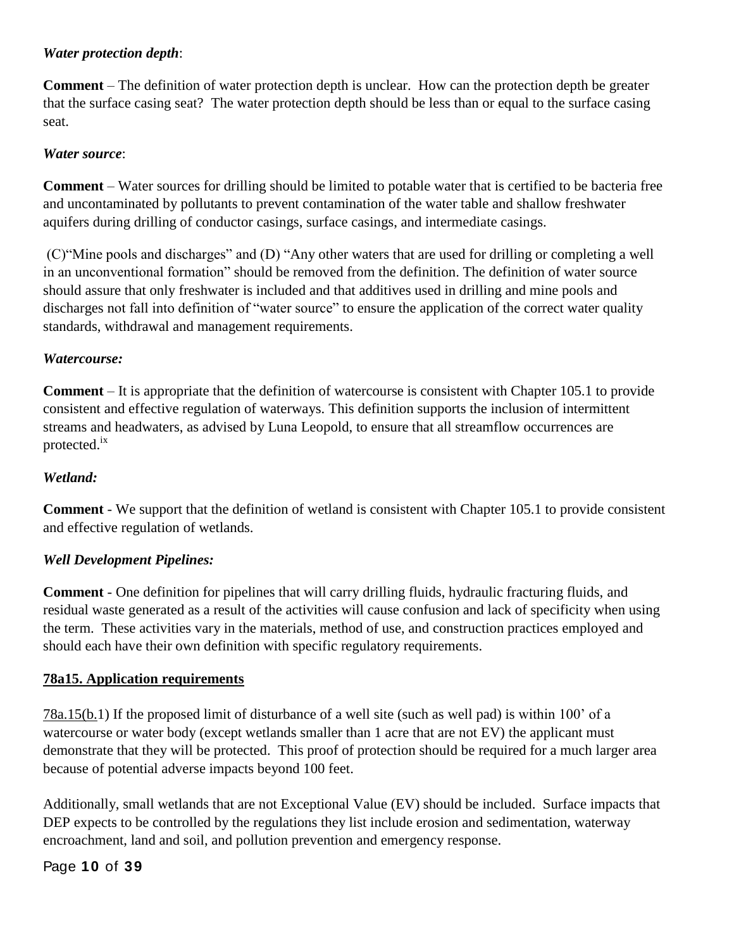# *Water protection depth*:

**Comment** – The definition of water protection depth is unclear. How can the protection depth be greater that the surface casing seat? The water protection depth should be less than or equal to the surface casing seat.

### *Water source*:

**Comment** – Water sources for drilling should be limited to potable water that is certified to be bacteria free and uncontaminated by pollutants to prevent contamination of the water table and shallow freshwater aquifers during drilling of conductor casings, surface casings, and intermediate casings.

(C)"Mine pools and discharges" and (D) "Any other waters that are used for drilling or completing a well in an unconventional formation" should be removed from the definition. The definition of water source should assure that only freshwater is included and that additives used in drilling and mine pools and discharges not fall into definition of "water source" to ensure the application of the correct water quality standards, withdrawal and management requirements.

# *Watercourse:*

**Comment** – It is appropriate that the definition of watercourse is consistent with Chapter 105.1 to provide consistent and effective regulation of waterways. This definition supports the inclusion of intermittent streams and headwaters, as advised by Luna Leopold, to ensure that all streamflow occurrences are protected.ix

### *Wetland:*

**Comment** - We support that the definition of wetland is consistent with Chapter 105.1 to provide consistent and effective regulation of wetlands.

### *Well Development Pipelines:*

**Comment** - One definition for pipelines that will carry drilling fluids, hydraulic fracturing fluids, and residual waste generated as a result of the activities will cause confusion and lack of specificity when using the term. These activities vary in the materials, method of use, and construction practices employed and should each have their own definition with specific regulatory requirements.

### **78a15. Application requirements**

78a.15(b.1) If the proposed limit of disturbance of a well site (such as well pad) is within 100' of a watercourse or water body (except wetlands smaller than 1 acre that are not EV) the applicant must demonstrate that they will be protected. This proof of protection should be required for a much larger area because of potential adverse impacts beyond 100 feet.

Additionally, small wetlands that are not Exceptional Value (EV) should be included. Surface impacts that DEP expects to be controlled by the regulations they list include erosion and sedimentation, waterway encroachment, land and soil, and pollution prevention and emergency response.

### Page **10** of **39**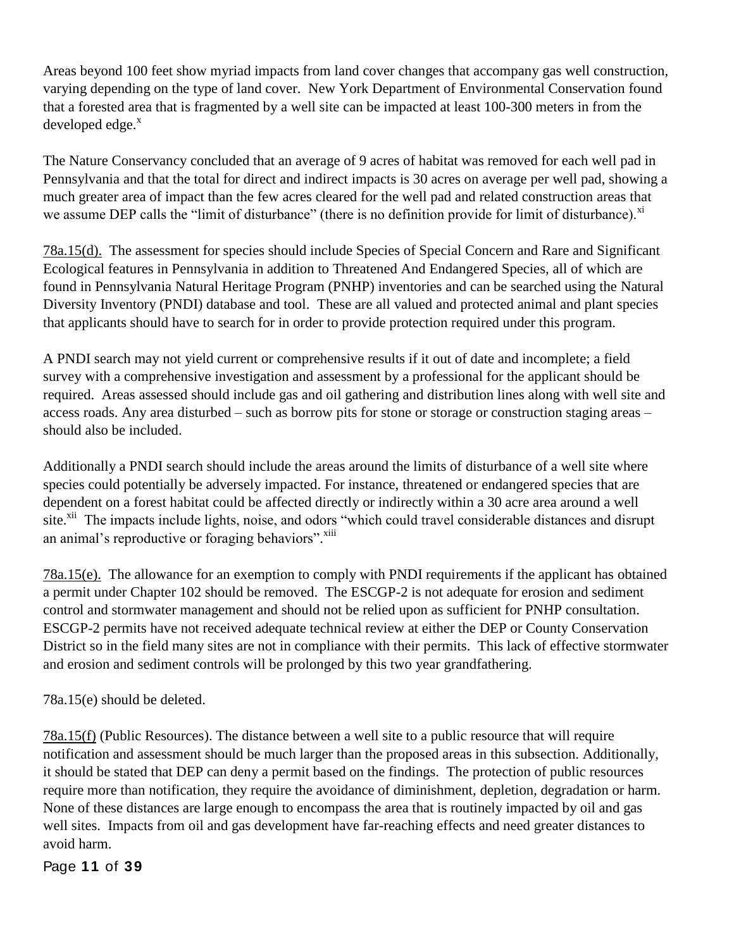Areas beyond 100 feet show myriad impacts from land cover changes that accompany gas well construction, varying depending on the type of land cover. New York Department of Environmental Conservation found that a forested area that is fragmented by a well site can be impacted at least 100-300 meters in from the developed edge. $x$ 

The Nature Conservancy concluded that an average of 9 acres of habitat was removed for each well pad in Pennsylvania and that the total for direct and indirect impacts is 30 acres on average per well pad, showing a much greater area of impact than the few acres cleared for the well pad and related construction areas that we assume DEP calls the "limit of disturbance" (there is no definition provide for limit of disturbance).<sup>xi</sup>

78a.15(d). The assessment for species should include Species of Special Concern and Rare and Significant Ecological features in Pennsylvania in addition to Threatened And Endangered Species, all of which are found in Pennsylvania Natural Heritage Program (PNHP) inventories and can be searched using the Natural Diversity Inventory (PNDI) database and tool. These are all valued and protected animal and plant species that applicants should have to search for in order to provide protection required under this program.

A PNDI search may not yield current or comprehensive results if it out of date and incomplete; a field survey with a comprehensive investigation and assessment by a professional for the applicant should be required. Areas assessed should include gas and oil gathering and distribution lines along with well site and access roads. Any area disturbed – such as borrow pits for stone or storage or construction staging areas – should also be included.

Additionally a PNDI search should include the areas around the limits of disturbance of a well site where species could potentially be adversely impacted. For instance, threatened or endangered species that are dependent on a forest habitat could be affected directly or indirectly within a 30 acre area around a well site.<sup>xii</sup> The impacts include lights, noise, and odors "which could travel considerable distances and disrupt an animal's reproductive or foraging behaviors".<sup>xiii</sup>

78a.15(e). The allowance for an exemption to comply with PNDI requirements if the applicant has obtained a permit under Chapter 102 should be removed. The ESCGP-2 is not adequate for erosion and sediment control and stormwater management and should not be relied upon as sufficient for PNHP consultation. ESCGP-2 permits have not received adequate technical review at either the DEP or County Conservation District so in the field many sites are not in compliance with their permits. This lack of effective stormwater and erosion and sediment controls will be prolonged by this two year grandfathering.

78a.15(e) should be deleted.

78a.15(f) (Public Resources). The distance between a well site to a public resource that will require notification and assessment should be much larger than the proposed areas in this subsection. Additionally, it should be stated that DEP can deny a permit based on the findings. The protection of public resources require more than notification, they require the avoidance of diminishment, depletion, degradation or harm. None of these distances are large enough to encompass the area that is routinely impacted by oil and gas well sites. Impacts from oil and gas development have far-reaching effects and need greater distances to avoid harm.

Page **11** of **39**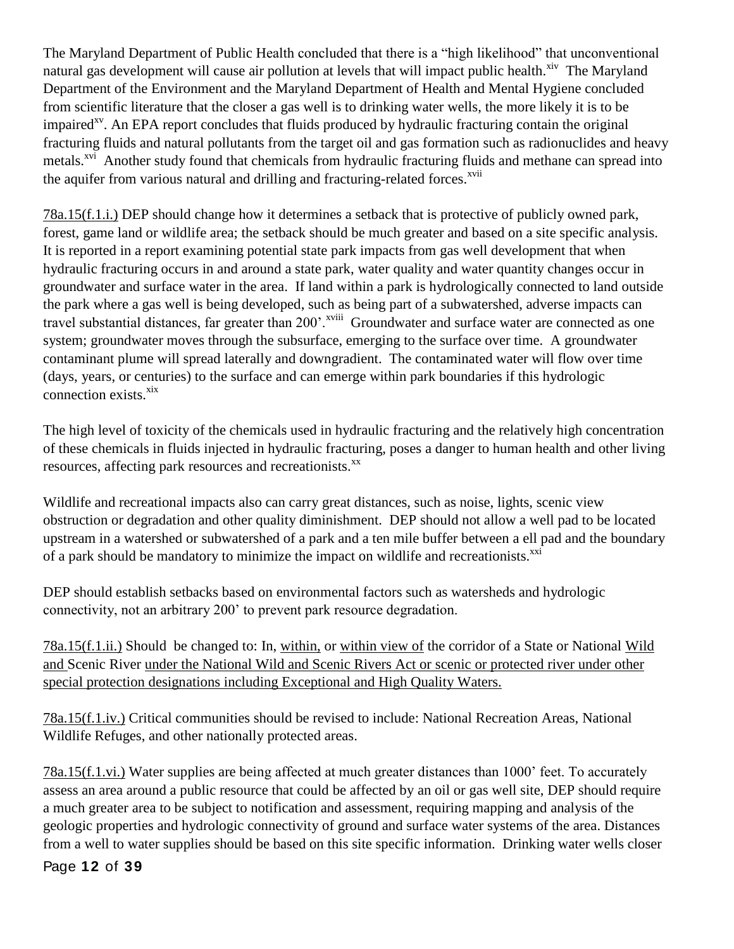The Maryland Department of Public Health concluded that there is a "high likelihood" that unconventional natural gas development will cause air pollution at levels that will impact public health.<sup>xiv</sup> The Maryland Department of the Environment and the Maryland Department of Health and Mental Hygiene concluded from scientific literature that the closer a gas well is to drinking water wells, the more likely it is to be impaired<sup> $x<sub>v</sub>$ . An EPA report concludes that fluids produced by hydraulic fracturing contain the original</sup> fracturing fluids and natural pollutants from the target oil and gas formation such as radionuclides and heavy metals.<sup>xvi</sup> Another study found that chemicals from hydraulic fracturing fluids and methane can spread into the aquifer from various natural and drilling and fracturing-related forces.<sup>xvii</sup>

78a.15(f.1.i.) DEP should change how it determines a setback that is protective of publicly owned park, forest, game land or wildlife area; the setback should be much greater and based on a site specific analysis. It is reported in a report examining potential state park impacts from gas well development that when hydraulic fracturing occurs in and around a state park, water quality and water quantity changes occur in groundwater and surface water in the area. If land within a park is hydrologically connected to land outside the park where a gas well is being developed, such as being part of a subwatershed, adverse impacts can travel substantial distances, far greater than 200'.<sup>xviii</sup> Groundwater and surface water are connected as one system; groundwater moves through the subsurface, emerging to the surface over time. A groundwater contaminant plume will spread laterally and downgradient. The contaminated water will flow over time (days, years, or centuries) to the surface and can emerge within park boundaries if this hydrologic connection exists.<sup>xix</sup>

The high level of toxicity of the chemicals used in hydraulic fracturing and the relatively high concentration of these chemicals in fluids injected in hydraulic fracturing, poses a danger to human health and other living resources, affecting park resources and recreationists.<sup>xx</sup>

Wildlife and recreational impacts also can carry great distances, such as noise, lights, scenic view obstruction or degradation and other quality diminishment. DEP should not allow a well pad to be located upstream in a watershed or subwatershed of a park and a ten mile buffer between a ell pad and the boundary of a park should be mandatory to minimize the impact on wildlife and recreationists.<sup>xxi</sup>

DEP should establish setbacks based on environmental factors such as watersheds and hydrologic connectivity, not an arbitrary 200' to prevent park resource degradation.

78a.15(f.1.ii.) Should be changed to: In, within, or within view of the corridor of a State or National Wild and Scenic River under the National Wild and Scenic Rivers Act or scenic or protected river under other special protection designations including Exceptional and High Quality Waters.

78a.15(f.1.iv.) Critical communities should be revised to include: National Recreation Areas, National Wildlife Refuges, and other nationally protected areas.

78a.15(f.1.vi.) Water supplies are being affected at much greater distances than 1000' feet. To accurately assess an area around a public resource that could be affected by an oil or gas well site, DEP should require a much greater area to be subject to notification and assessment, requiring mapping and analysis of the geologic properties and hydrologic connectivity of ground and surface water systems of the area. Distances from a well to water supplies should be based on this site specific information. Drinking water wells closer

### Page **12** of **39**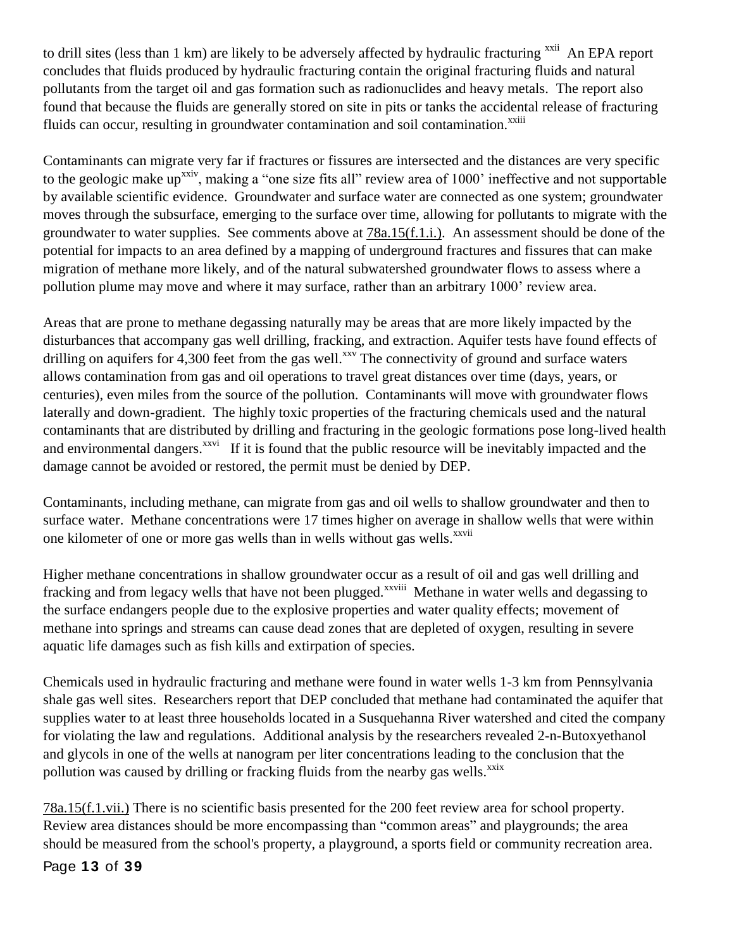to drill sites (less than 1 km) are likely to be adversely affected by hydraulic fracturing <sup>xxii</sup> An EPA report concludes that fluids produced by hydraulic fracturing contain the original fracturing fluids and natural pollutants from the target oil and gas formation such as radionuclides and heavy metals. The report also found that because the fluids are generally stored on site in pits or tanks the accidental release of fracturing fluids can occur, resulting in groundwater contamination and soil contamination.<sup>xxiii</sup>

Contaminants can migrate very far if fractures or fissures are intersected and the distances are very specific to the geologic make up<sup>xxiv</sup>, making a "one size fits all" review area of 1000' ineffective and not supportable by available scientific evidence. Groundwater and surface water are connected as one system; groundwater moves through the subsurface, emerging to the surface over time, allowing for pollutants to migrate with the groundwater to water supplies. See comments above at 78a.15(f.1.i.). An assessment should be done of the potential for impacts to an area defined by a mapping of underground fractures and fissures that can make migration of methane more likely, and of the natural subwatershed groundwater flows to assess where a pollution plume may move and where it may surface, rather than an arbitrary 1000' review area.

Areas that are prone to methane degassing naturally may be areas that are more likely impacted by the disturbances that accompany gas well drilling, fracking, and extraction. Aquifer tests have found effects of drilling on aquifers for 4,300 feet from the gas well.<sup>xxv</sup> The connectivity of ground and surface waters allows contamination from gas and oil operations to travel great distances over time (days, years, or centuries), even miles from the source of the pollution. Contaminants will move with groundwater flows laterally and down-gradient. The highly toxic properties of the fracturing chemicals used and the natural contaminants that are distributed by drilling and fracturing in the geologic formations pose long-lived health and environmental dangers.<sup>xxvi</sup> If it is found that the public resource will be inevitably impacted and the damage cannot be avoided or restored, the permit must be denied by DEP.

Contaminants, including methane, can migrate from gas and oil wells to shallow groundwater and then to surface water. Methane concentrations were 17 times higher on average in shallow wells that were within one kilometer of one or more gas wells than in wells without gas wells.<sup>xxvii</sup>

Higher methane concentrations in shallow groundwater occur as a result of oil and gas well drilling and fracking and from legacy wells that have not been plugged.<sup>xxviii</sup> Methane in water wells and degassing to the surface endangers people due to the explosive properties and water quality effects; movement of methane into springs and streams can cause dead zones that are depleted of oxygen, resulting in severe aquatic life damages such as fish kills and extirpation of species.

Chemicals used in hydraulic fracturing and methane were found in water wells 1-3 km from Pennsylvania shale gas well sites. Researchers report that DEP concluded that methane had contaminated the aquifer that supplies water to at least three households located in a Susquehanna River watershed and cited the company for violating the law and regulations. Additional analysis by the researchers revealed 2-n-Butoxyethanol and glycols in one of the wells at nanogram per liter concentrations leading to the conclusion that the pollution was caused by drilling or fracking fluids from the nearby gas wells.<sup>xxix</sup>

78a.15(f.1.vii.) There is no scientific basis presented for the 200 feet review area for school property. Review area distances should be more encompassing than "common areas" and playgrounds; the area should be measured from the school's property, a playground, a sports field or community recreation area.

Page **13** of **39**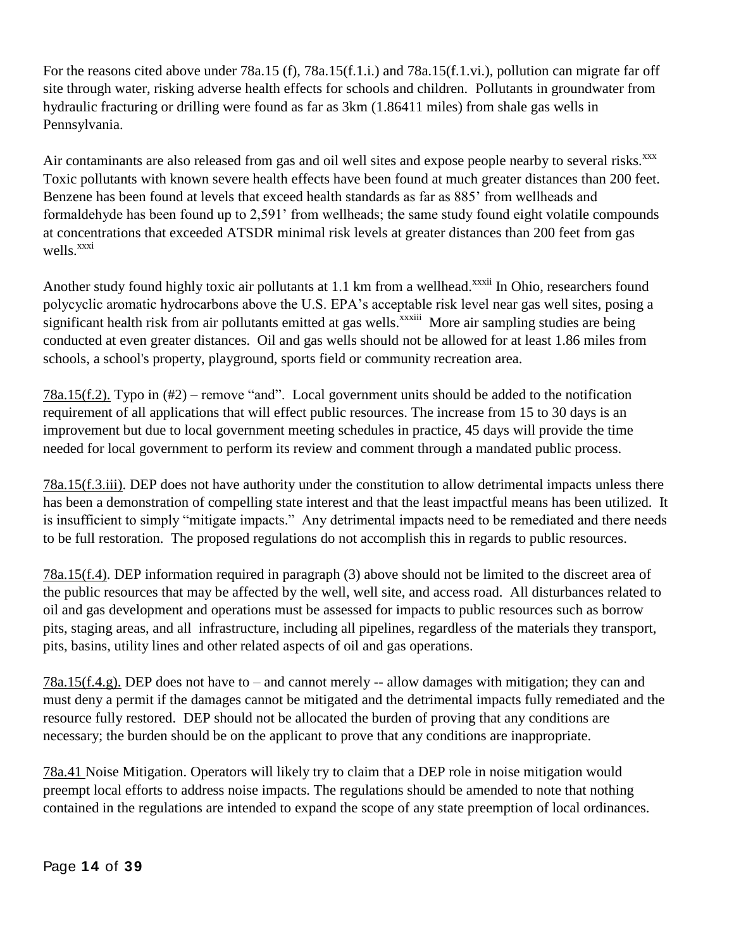For the reasons cited above under 78a.15 (f), 78a.15(f.1.i.) and 78a.15(f.1.vi.), pollution can migrate far off site through water, risking adverse health effects for schools and children. Pollutants in groundwater from hydraulic fracturing or drilling were found as far as 3km (1.86411 miles) from shale gas wells in Pennsylvania.

Air contaminants are also released from gas and oil well sites and expose people nearby to several risks.<sup>xxx</sup> Toxic pollutants with known severe health effects have been found at much greater distances than 200 feet. Benzene has been found at levels that exceed health standards as far as 885' from wellheads and formaldehyde has been found up to 2,591' from wellheads; the same study found eight volatile compounds at concentrations that exceeded ATSDR minimal risk levels at greater distances than 200 feet from gas wells.<sup>xxxi</sup>

Another study found highly toxic air pollutants at 1.1 km from a wellhead.<sup>xxxii</sup> In Ohio, researchers found polycyclic aromatic hydrocarbons above the U.S. EPA's acceptable risk level near gas well sites, posing a significant health risk from air pollutants emitted at gas wells.<sup>xxxiii</sup> More air sampling studies are being conducted at even greater distances. Oil and gas wells should not be allowed for at least 1.86 miles from schools, a school's property, playground, sports field or community recreation area.

78a.15(f.2). Typo in (#2) – remove "and". Local government units should be added to the notification requirement of all applications that will effect public resources. The increase from 15 to 30 days is an improvement but due to local government meeting schedules in practice, 45 days will provide the time needed for local government to perform its review and comment through a mandated public process.

78a.15(f.3.iii). DEP does not have authority under the constitution to allow detrimental impacts unless there has been a demonstration of compelling state interest and that the least impactful means has been utilized. It is insufficient to simply "mitigate impacts." Any detrimental impacts need to be remediated and there needs to be full restoration. The proposed regulations do not accomplish this in regards to public resources.

78a.15(f.4). DEP information required in paragraph (3) above should not be limited to the discreet area of the public resources that may be affected by the well, well site, and access road. All disturbances related to oil and gas development and operations must be assessed for impacts to public resources such as borrow pits, staging areas, and all infrastructure, including all pipelines, regardless of the materials they transport, pits, basins, utility lines and other related aspects of oil and gas operations.

78a.15( $f.A.g$ ). DEP does not have to – and cannot merely -- allow damages with mitigation; they can and must deny a permit if the damages cannot be mitigated and the detrimental impacts fully remediated and the resource fully restored. DEP should not be allocated the burden of proving that any conditions are necessary; the burden should be on the applicant to prove that any conditions are inappropriate.

78a.41 Noise Mitigation. Operators will likely try to claim that a DEP role in noise mitigation would preempt local efforts to address noise impacts. The regulations should be amended to note that nothing contained in the regulations are intended to expand the scope of any state preemption of local ordinances.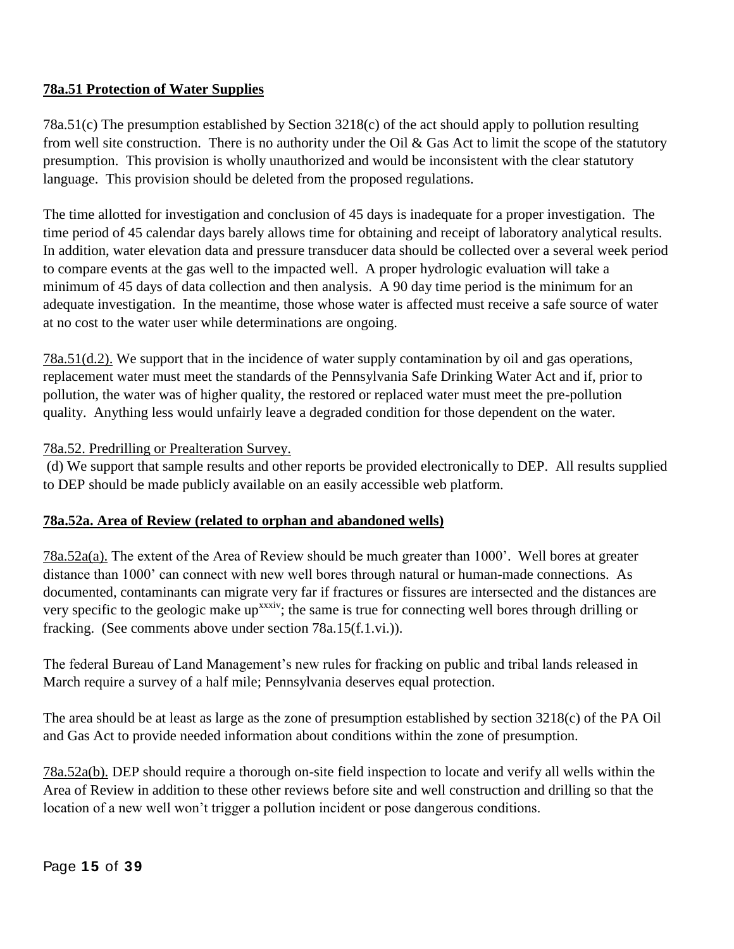# **78a.51 Protection of Water Supplies**

78a.51(c) The presumption established by Section 3218(c) of the act should apply to pollution resulting from well site construction. There is no authority under the Oil  $\&$  Gas Act to limit the scope of the statutory presumption. This provision is wholly unauthorized and would be inconsistent with the clear statutory language. This provision should be deleted from the proposed regulations.

The time allotted for investigation and conclusion of 45 days is inadequate for a proper investigation. The time period of 45 calendar days barely allows time for obtaining and receipt of laboratory analytical results. In addition, water elevation data and pressure transducer data should be collected over a several week period to compare events at the gas well to the impacted well. A proper hydrologic evaluation will take a minimum of 45 days of data collection and then analysis. A 90 day time period is the minimum for an adequate investigation. In the meantime, those whose water is affected must receive a safe source of water at no cost to the water user while determinations are ongoing.

78a.51(d.2). We support that in the incidence of water supply contamination by oil and gas operations, replacement water must meet the standards of the Pennsylvania Safe Drinking Water Act and if, prior to pollution, the water was of higher quality, the restored or replaced water must meet the pre-pollution quality. Anything less would unfairly leave a degraded condition for those dependent on the water.

### 78a.52. Predrilling or Prealteration Survey.

(d) We support that sample results and other reports be provided electronically to DEP. All results supplied to DEP should be made publicly available on an easily accessible web platform.

### **78a.52a. Area of Review (related to orphan and abandoned wells)**

78a.52a(a). The extent of the Area of Review should be much greater than 1000'. Well bores at greater distance than 1000' can connect with new well bores through natural or human-made connections. As documented, contaminants can migrate very far if fractures or fissures are intersected and the distances are very specific to the geologic make up<sup>xxxiv</sup>; the same is true for connecting well bores through drilling or fracking. (See comments above under section 78a.15(f.1.vi.)).

The federal Bureau of Land Management's new rules for fracking on public and tribal lands released in March require a survey of a half mile; Pennsylvania deserves equal protection.

The area should be at least as large as the zone of presumption established by section 3218(c) of the PA Oil and Gas Act to provide needed information about conditions within the zone of presumption.

78a.52a(b). DEP should require a thorough on-site field inspection to locate and verify all wells within the Area of Review in addition to these other reviews before site and well construction and drilling so that the location of a new well won't trigger a pollution incident or pose dangerous conditions.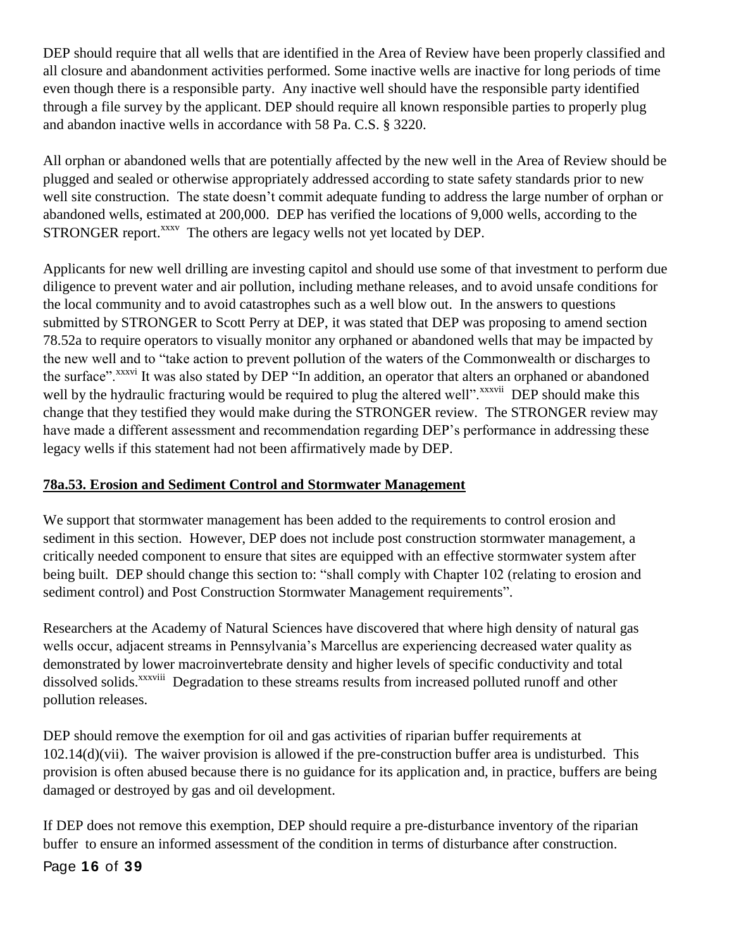DEP should require that all wells that are identified in the Area of Review have been properly classified and all closure and abandonment activities performed. Some inactive wells are inactive for long periods of time even though there is a responsible party. Any inactive well should have the responsible party identified through a file survey by the applicant. DEP should require all known responsible parties to properly plug and abandon inactive wells in accordance with 58 Pa. C.S. § 3220.

All orphan or abandoned wells that are potentially affected by the new well in the Area of Review should be plugged and sealed or otherwise appropriately addressed according to state safety standards prior to new well site construction. The state doesn't commit adequate funding to address the large number of orphan or abandoned wells, estimated at 200,000. DEP has verified the locations of 9,000 wells, according to the STRONGER report.<sup>xxxv</sup> The others are legacy wells not yet located by DEP.

Applicants for new well drilling are investing capitol and should use some of that investment to perform due diligence to prevent water and air pollution, including methane releases, and to avoid unsafe conditions for the local community and to avoid catastrophes such as a well blow out. In the answers to questions submitted by STRONGER to Scott Perry at DEP, it was stated that DEP was proposing to amend section 78.52a to require operators to visually monitor any orphaned or abandoned wells that may be impacted by the new well and to "take action to prevent pollution of the waters of the Commonwealth or discharges to the surface".<sup>xxxvi</sup> It was also stated by DEP "In addition, an operator that alters an orphaned or abandoned well by the hydraulic fracturing would be required to plug the altered well".<sup>xxxvii</sup> DEP should make this change that they testified they would make during the STRONGER review. The STRONGER review may have made a different assessment and recommendation regarding DEP's performance in addressing these legacy wells if this statement had not been affirmatively made by DEP.

# **78a.53. Erosion and Sediment Control and Stormwater Management**

We support that stormwater management has been added to the requirements to control erosion and sediment in this section. However, DEP does not include post construction stormwater management, a critically needed component to ensure that sites are equipped with an effective stormwater system after being built. DEP should change this section to: "shall comply with Chapter 102 (relating to erosion and sediment control) and Post Construction Stormwater Management requirements".

Researchers at the Academy of Natural Sciences have discovered that where high density of natural gas wells occur, adjacent streams in Pennsylvania's Marcellus are experiencing decreased water quality as demonstrated by lower macroinvertebrate density and higher levels of specific conductivity and total dissolved solids.<sup>xxxviii</sup> Degradation to these streams results from increased polluted runoff and other pollution releases.

DEP should remove the exemption for oil and gas activities of riparian buffer requirements at 102.14(d)(vii). The waiver provision is allowed if the pre-construction buffer area is undisturbed. This provision is often abused because there is no guidance for its application and, in practice, buffers are being damaged or destroyed by gas and oil development.

If DEP does not remove this exemption, DEP should require a pre-disturbance inventory of the riparian buffer to ensure an informed assessment of the condition in terms of disturbance after construction.

# Page **16** of **39**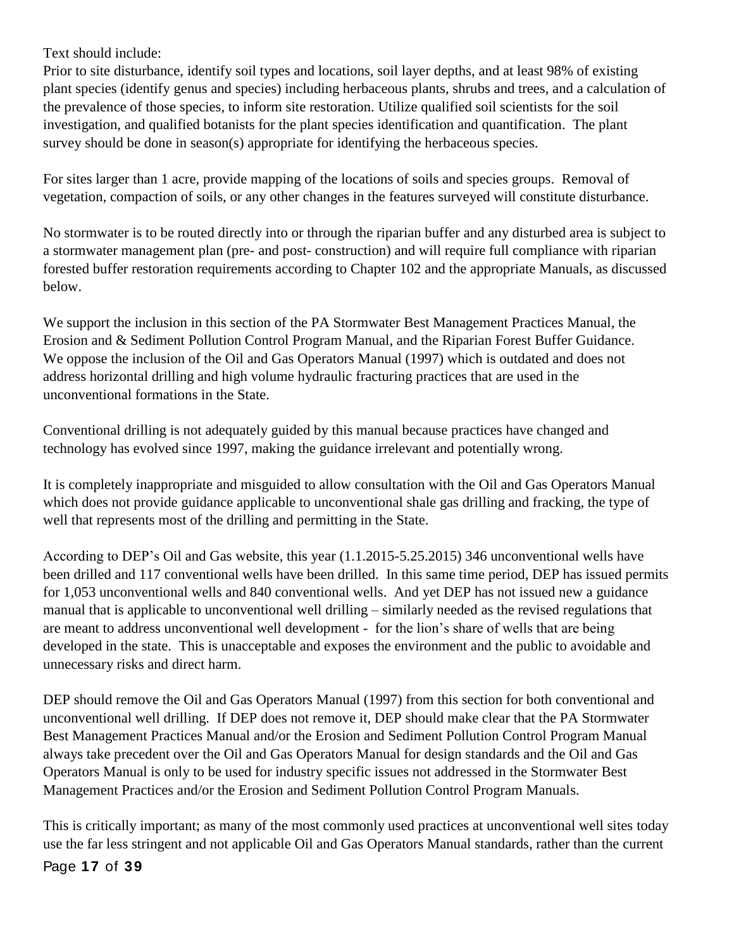Text should include:

Prior to site disturbance, identify soil types and locations, soil layer depths, and at least 98% of existing plant species (identify genus and species) including herbaceous plants, shrubs and trees, and a calculation of the prevalence of those species, to inform site restoration. Utilize qualified soil scientists for the soil investigation, and qualified botanists for the plant species identification and quantification. The plant survey should be done in season(s) appropriate for identifying the herbaceous species.

For sites larger than 1 acre, provide mapping of the locations of soils and species groups. Removal of vegetation, compaction of soils, or any other changes in the features surveyed will constitute disturbance.

No stormwater is to be routed directly into or through the riparian buffer and any disturbed area is subject to a stormwater management plan (pre- and post- construction) and will require full compliance with riparian forested buffer restoration requirements according to Chapter 102 and the appropriate Manuals, as discussed below.

We support the inclusion in this section of the PA Stormwater Best Management Practices Manual, the Erosion and & Sediment Pollution Control Program Manual, and the Riparian Forest Buffer Guidance. We oppose the inclusion of the Oil and Gas Operators Manual (1997) which is outdated and does not address horizontal drilling and high volume hydraulic fracturing practices that are used in the unconventional formations in the State.

Conventional drilling is not adequately guided by this manual because practices have changed and technology has evolved since 1997, making the guidance irrelevant and potentially wrong.

It is completely inappropriate and misguided to allow consultation with the Oil and Gas Operators Manual which does not provide guidance applicable to unconventional shale gas drilling and fracking, the type of well that represents most of the drilling and permitting in the State.

According to DEP's Oil and Gas website, this year (1.1.2015-5.25.2015) 346 unconventional wells have been drilled and 117 conventional wells have been drilled. In this same time period, DEP has issued permits for 1,053 unconventional wells and 840 conventional wells. And yet DEP has not issued new a guidance manual that is applicable to unconventional well drilling – similarly needed as the revised regulations that are meant to address unconventional well development - for the lion's share of wells that are being developed in the state. This is unacceptable and exposes the environment and the public to avoidable and unnecessary risks and direct harm.

DEP should remove the Oil and Gas Operators Manual (1997) from this section for both conventional and unconventional well drilling. If DEP does not remove it, DEP should make clear that the PA Stormwater Best Management Practices Manual and/or the Erosion and Sediment Pollution Control Program Manual always take precedent over the Oil and Gas Operators Manual for design standards and the Oil and Gas Operators Manual is only to be used for industry specific issues not addressed in the Stormwater Best Management Practices and/or the Erosion and Sediment Pollution Control Program Manuals.

This is critically important; as many of the most commonly used practices at unconventional well sites today use the far less stringent and not applicable Oil and Gas Operators Manual standards, rather than the current

Page **17** of **39**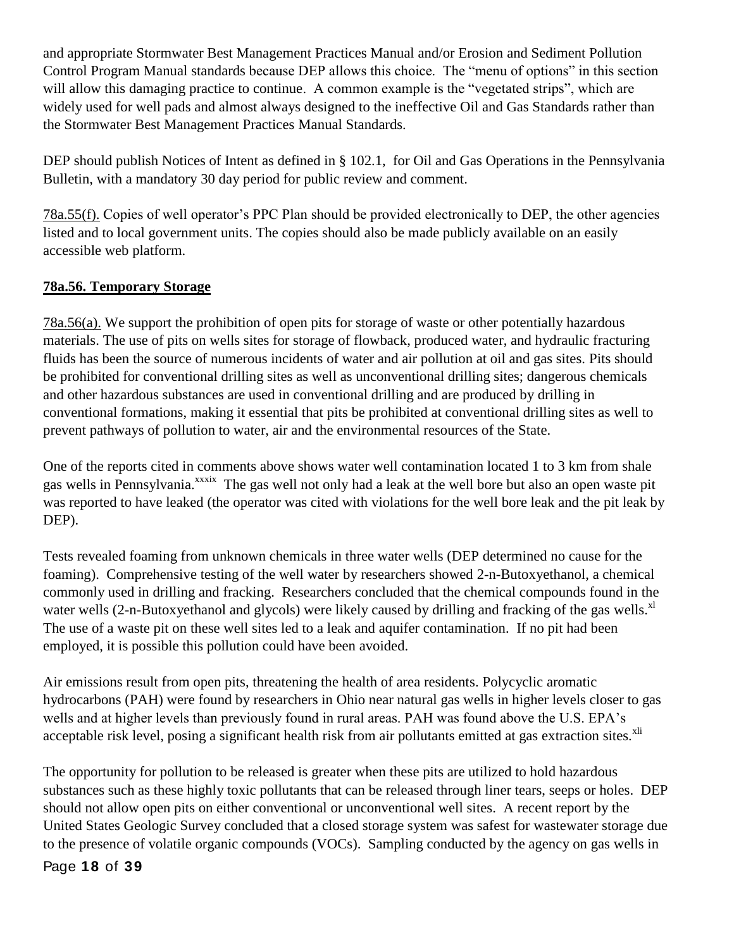and appropriate Stormwater Best Management Practices Manual and/or Erosion and Sediment Pollution Control Program Manual standards because DEP allows this choice. The "menu of options" in this section will allow this damaging practice to continue. A common example is the "vegetated strips", which are widely used for well pads and almost always designed to the ineffective Oil and Gas Standards rather than the Stormwater Best Management Practices Manual Standards.

DEP should publish Notices of Intent as defined in § 102.1, for Oil and Gas Operations in the Pennsylvania Bulletin, with a mandatory 30 day period for public review and comment.

78a.55(f). Copies of well operator's PPC Plan should be provided electronically to DEP, the other agencies listed and to local government units. The copies should also be made publicly available on an easily accessible web platform.

# **78a.56. Temporary Storage**

78a.56(a). We support the prohibition of open pits for storage of waste or other potentially hazardous materials. The use of pits on wells sites for storage of flowback, produced water, and hydraulic fracturing fluids has been the source of numerous incidents of water and air pollution at oil and gas sites. Pits should be prohibited for conventional drilling sites as well as unconventional drilling sites; dangerous chemicals and other hazardous substances are used in conventional drilling and are produced by drilling in conventional formations, making it essential that pits be prohibited at conventional drilling sites as well to prevent pathways of pollution to water, air and the environmental resources of the State.

One of the reports cited in comments above shows water well contamination located 1 to 3 km from shale gas wells in Pennsylvania.<sup>xxxix</sup> The gas well not only had a leak at the well bore but also an open waste pit was reported to have leaked (the operator was cited with violations for the well bore leak and the pit leak by DEP).

Tests revealed foaming from unknown chemicals in three water wells (DEP determined no cause for the foaming). Comprehensive testing of the well water by researchers showed 2-n-Butoxyethanol, a chemical commonly used in drilling and fracking. Researchers concluded that the chemical compounds found in the water wells  $(2-n-Butoxyethanol and glycols)$  were likely caused by drilling and fracking of the gas wells.<sup>xl</sup> The use of a waste pit on these well sites led to a leak and aquifer contamination. If no pit had been employed, it is possible this pollution could have been avoided.

Air emissions result from open pits, threatening the health of area residents. Polycyclic aromatic hydrocarbons (PAH) were found by researchers in Ohio near natural gas wells in higher levels closer to gas wells and at higher levels than previously found in rural areas. PAH was found above the U.S. EPA's acceptable risk level, posing a significant health risk from air pollutants emitted at gas extraction sites.<sup>xli</sup>

The opportunity for pollution to be released is greater when these pits are utilized to hold hazardous substances such as these highly toxic pollutants that can be released through liner tears, seeps or holes. DEP should not allow open pits on either conventional or unconventional well sites. A recent report by the United States Geologic Survey concluded that a closed storage system was safest for wastewater storage due to the presence of volatile organic compounds (VOCs). Sampling conducted by the agency on gas wells in

Page **18** of **39**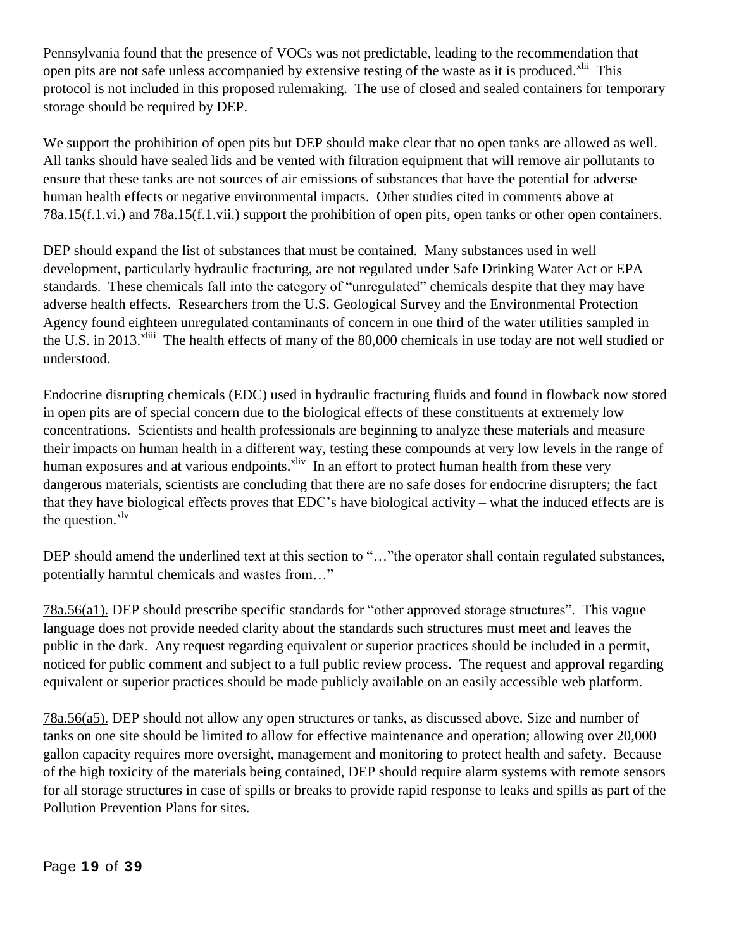Pennsylvania found that the presence of VOCs was not predictable, leading to the recommendation that open pits are not safe unless accompanied by extensive testing of the waste as it is produced.<sup>xlii</sup> This protocol is not included in this proposed rulemaking. The use of closed and sealed containers for temporary storage should be required by DEP.

We support the prohibition of open pits but DEP should make clear that no open tanks are allowed as well. All tanks should have sealed lids and be vented with filtration equipment that will remove air pollutants to ensure that these tanks are not sources of air emissions of substances that have the potential for adverse human health effects or negative environmental impacts. Other studies cited in comments above at 78a.15(f.1.vi.) and 78a.15(f.1.vii.) support the prohibition of open pits, open tanks or other open containers.

DEP should expand the list of substances that must be contained. Many substances used in well development, particularly hydraulic fracturing, are not regulated under Safe Drinking Water Act or EPA standards. These chemicals fall into the category of "unregulated" chemicals despite that they may have adverse health effects. Researchers from the U.S. Geological Survey and the Environmental Protection Agency found eighteen unregulated contaminants of concern in one third of the water utilities sampled in the U.S. in 2013.<sup>xliii</sup> The health effects of many of the 80,000 chemicals in use today are not well studied or understood.

Endocrine disrupting chemicals (EDC) used in hydraulic fracturing fluids and found in flowback now stored in open pits are of special concern due to the biological effects of these constituents at extremely low concentrations. Scientists and health professionals are beginning to analyze these materials and measure their impacts on human health in a different way, testing these compounds at very low levels in the range of human exposures and at various endpoints.<sup>xliv</sup> In an effort to protect human health from these very dangerous materials, scientists are concluding that there are no safe doses for endocrine disrupters; the fact that they have biological effects proves that EDC's have biological activity – what the induced effects are is the question.<sup>xlv</sup>

DEP should amend the underlined text at this section to "..." the operator shall contain regulated substances, potentially harmful chemicals and wastes from…"

78a.56(a1). DEP should prescribe specific standards for "other approved storage structures". This vague language does not provide needed clarity about the standards such structures must meet and leaves the public in the dark. Any request regarding equivalent or superior practices should be included in a permit, noticed for public comment and subject to a full public review process. The request and approval regarding equivalent or superior practices should be made publicly available on an easily accessible web platform.

78a.56(a5). DEP should not allow any open structures or tanks, as discussed above. Size and number of tanks on one site should be limited to allow for effective maintenance and operation; allowing over 20,000 gallon capacity requires more oversight, management and monitoring to protect health and safety. Because of the high toxicity of the materials being contained, DEP should require alarm systems with remote sensors for all storage structures in case of spills or breaks to provide rapid response to leaks and spills as part of the Pollution Prevention Plans for sites.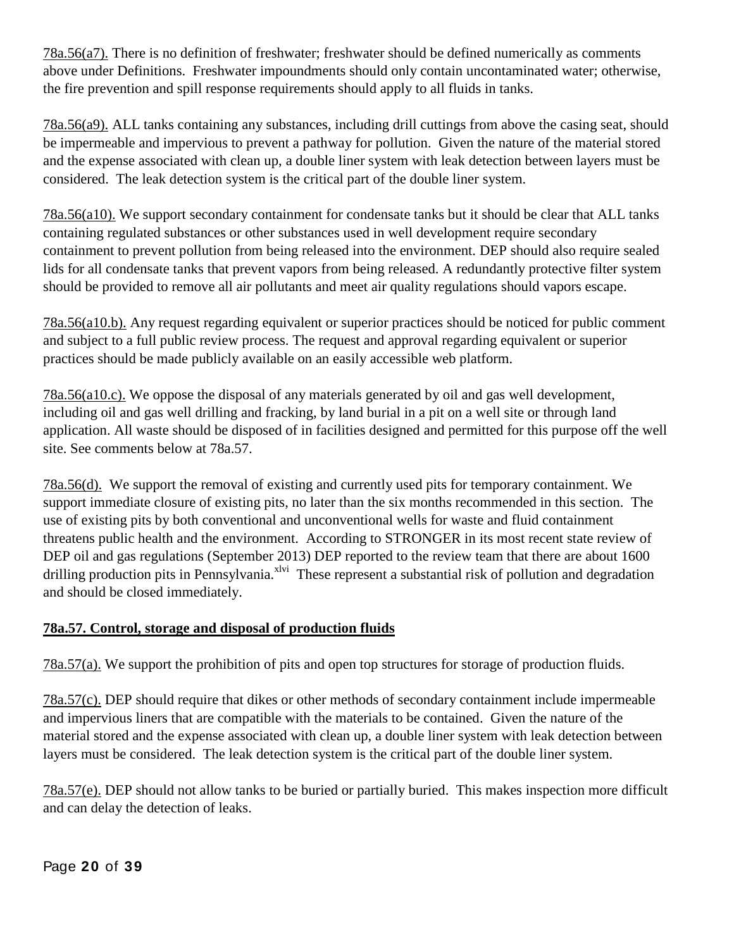78a.56(a7). There is no definition of freshwater; freshwater should be defined numerically as comments above under Definitions. Freshwater impoundments should only contain uncontaminated water; otherwise, the fire prevention and spill response requirements should apply to all fluids in tanks.

78a.56(a9). ALL tanks containing any substances, including drill cuttings from above the casing seat, should be impermeable and impervious to prevent a pathway for pollution. Given the nature of the material stored and the expense associated with clean up, a double liner system with leak detection between layers must be considered. The leak detection system is the critical part of the double liner system.

78a.56(a10). We support secondary containment for condensate tanks but it should be clear that ALL tanks containing regulated substances or other substances used in well development require secondary containment to prevent pollution from being released into the environment. DEP should also require sealed lids for all condensate tanks that prevent vapors from being released. A redundantly protective filter system should be provided to remove all air pollutants and meet air quality regulations should vapors escape.

78a.56(a10.b). Any request regarding equivalent or superior practices should be noticed for public comment and subject to a full public review process. The request and approval regarding equivalent or superior practices should be made publicly available on an easily accessible web platform.

78a.56(a10.c). We oppose the disposal of any materials generated by oil and gas well development, including oil and gas well drilling and fracking, by land burial in a pit on a well site or through land application. All waste should be disposed of in facilities designed and permitted for this purpose off the well site. See comments below at 78a.57.

78a.56(d). We support the removal of existing and currently used pits for temporary containment. We support immediate closure of existing pits, no later than the six months recommended in this section. The use of existing pits by both conventional and unconventional wells for waste and fluid containment threatens public health and the environment. According to STRONGER in its most recent state review of DEP oil and gas regulations (September 2013) DEP reported to the review team that there are about 1600 drilling production pits in Pennsylvania.<sup>xlvi</sup> These represent a substantial risk of pollution and degradation and should be closed immediately.

# **78a.57. Control, storage and disposal of production fluids**

78a.57(a). We support the prohibition of pits and open top structures for storage of production fluids.

78a.57(c). DEP should require that dikes or other methods of secondary containment include impermeable and impervious liners that are compatible with the materials to be contained. Given the nature of the material stored and the expense associated with clean up, a double liner system with leak detection between layers must be considered. The leak detection system is the critical part of the double liner system.

78a.57(e). DEP should not allow tanks to be buried or partially buried. This makes inspection more difficult and can delay the detection of leaks.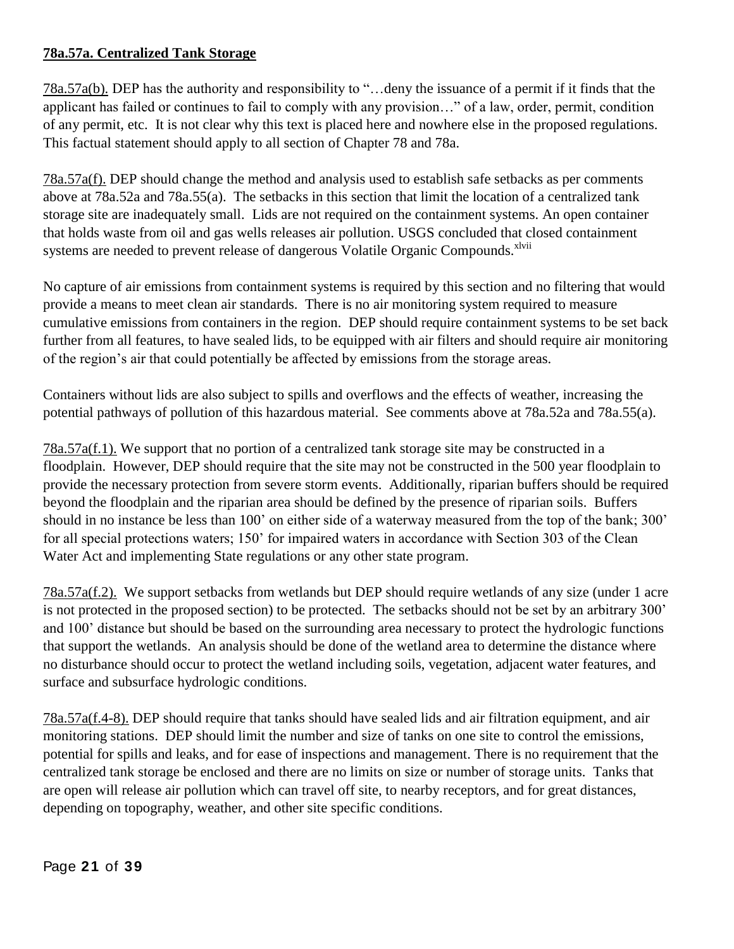# **78a.57a. Centralized Tank Storage**

78a.57a(b). DEP has the authority and responsibility to "…deny the issuance of a permit if it finds that the applicant has failed or continues to fail to comply with any provision…" of a law, order, permit, condition of any permit, etc. It is not clear why this text is placed here and nowhere else in the proposed regulations. This factual statement should apply to all section of Chapter 78 and 78a.

78a.57a(f). DEP should change the method and analysis used to establish safe setbacks as per comments above at 78a.52a and 78a.55(a). The setbacks in this section that limit the location of a centralized tank storage site are inadequately small. Lids are not required on the containment systems. An open container that holds waste from oil and gas wells releases air pollution. USGS concluded that closed containment systems are needed to prevent release of dangerous Volatile Organic Compounds.<sup>xlvii</sup>

No capture of air emissions from containment systems is required by this section and no filtering that would provide a means to meet clean air standards. There is no air monitoring system required to measure cumulative emissions from containers in the region. DEP should require containment systems to be set back further from all features, to have sealed lids, to be equipped with air filters and should require air monitoring of the region's air that could potentially be affected by emissions from the storage areas.

Containers without lids are also subject to spills and overflows and the effects of weather, increasing the potential pathways of pollution of this hazardous material. See comments above at 78a.52a and 78a.55(a).

78a.57a(f.1). We support that no portion of a centralized tank storage site may be constructed in a floodplain. However, DEP should require that the site may not be constructed in the 500 year floodplain to provide the necessary protection from severe storm events. Additionally, riparian buffers should be required beyond the floodplain and the riparian area should be defined by the presence of riparian soils. Buffers should in no instance be less than 100' on either side of a waterway measured from the top of the bank; 300' for all special protections waters; 150' for impaired waters in accordance with Section 303 of the Clean Water Act and implementing State regulations or any other state program.

78a.57a(f.2). We support setbacks from wetlands but DEP should require wetlands of any size (under 1 acre is not protected in the proposed section) to be protected. The setbacks should not be set by an arbitrary 300' and 100' distance but should be based on the surrounding area necessary to protect the hydrologic functions that support the wetlands. An analysis should be done of the wetland area to determine the distance where no disturbance should occur to protect the wetland including soils, vegetation, adjacent water features, and surface and subsurface hydrologic conditions.

78a.57a(f.4-8). DEP should require that tanks should have sealed lids and air filtration equipment, and air monitoring stations. DEP should limit the number and size of tanks on one site to control the emissions, potential for spills and leaks, and for ease of inspections and management. There is no requirement that the centralized tank storage be enclosed and there are no limits on size or number of storage units. Tanks that are open will release air pollution which can travel off site, to nearby receptors, and for great distances, depending on topography, weather, and other site specific conditions.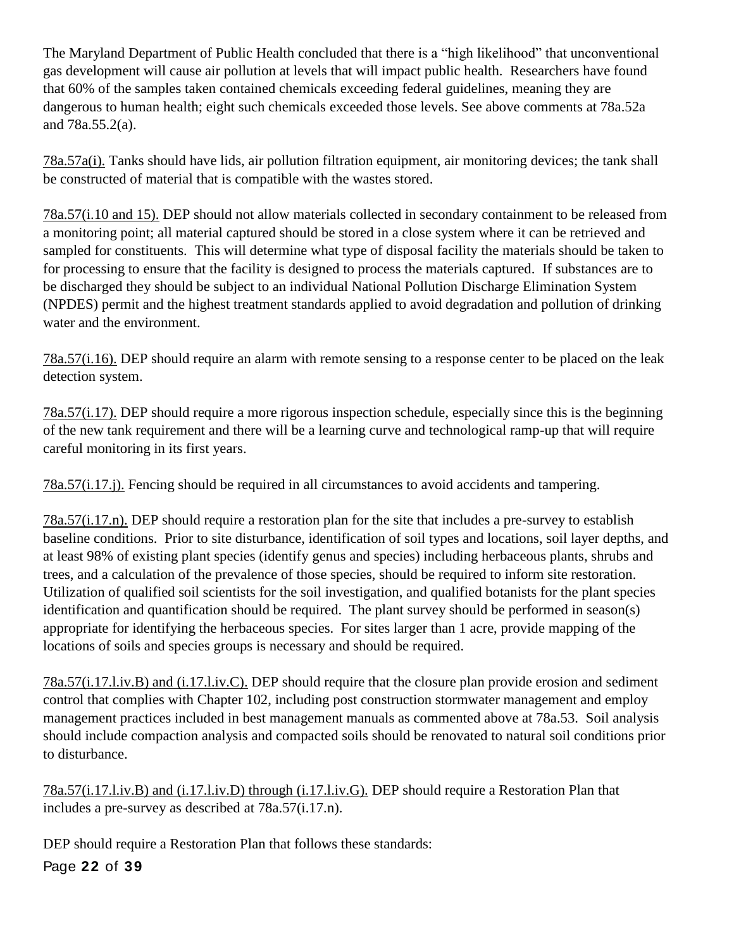The Maryland Department of Public Health concluded that there is a "high likelihood" that unconventional gas development will cause air pollution at levels that will impact public health. Researchers have found that 60% of the samples taken contained chemicals exceeding federal guidelines, meaning they are dangerous to human health; eight such chemicals exceeded those levels. See above comments at 78a.52a and 78a.55.2(a).

78a.57a(i). Tanks should have lids, air pollution filtration equipment, air monitoring devices; the tank shall be constructed of material that is compatible with the wastes stored.

78a.57(i.10 and 15). DEP should not allow materials collected in secondary containment to be released from a monitoring point; all material captured should be stored in a close system where it can be retrieved and sampled for constituents. This will determine what type of disposal facility the materials should be taken to for processing to ensure that the facility is designed to process the materials captured. If substances are to be discharged they should be subject to an individual National Pollution Discharge Elimination System (NPDES) permit and the highest treatment standards applied to avoid degradation and pollution of drinking water and the environment.

78a.57(i.16). DEP should require an alarm with remote sensing to a response center to be placed on the leak detection system.

78a.57(i.17). DEP should require a more rigorous inspection schedule, especially since this is the beginning of the new tank requirement and there will be a learning curve and technological ramp-up that will require careful monitoring in its first years.

78a.57(i.17.j). Fencing should be required in all circumstances to avoid accidents and tampering.

78a.57(i.17.n). DEP should require a restoration plan for the site that includes a pre-survey to establish baseline conditions. Prior to site disturbance, identification of soil types and locations, soil layer depths, and at least 98% of existing plant species (identify genus and species) including herbaceous plants, shrubs and trees, and a calculation of the prevalence of those species, should be required to inform site restoration. Utilization of qualified soil scientists for the soil investigation, and qualified botanists for the plant species identification and quantification should be required. The plant survey should be performed in season(s) appropriate for identifying the herbaceous species. For sites larger than 1 acre, provide mapping of the locations of soils and species groups is necessary and should be required.

78a.57(i.17.l.iv.B) and (i.17.l.iv.C). DEP should require that the closure plan provide erosion and sediment control that complies with Chapter 102, including post construction stormwater management and employ management practices included in best management manuals as commented above at 78a.53. Soil analysis should include compaction analysis and compacted soils should be renovated to natural soil conditions prior to disturbance.

78a.57(i.17.l.iv.B) and (i.17.l.iv.D) through (i.17.l.iv.G). DEP should require a Restoration Plan that includes a pre-survey as described at 78a.57(i.17.n).

DEP should require a Restoration Plan that follows these standards:

Page **22** of **39**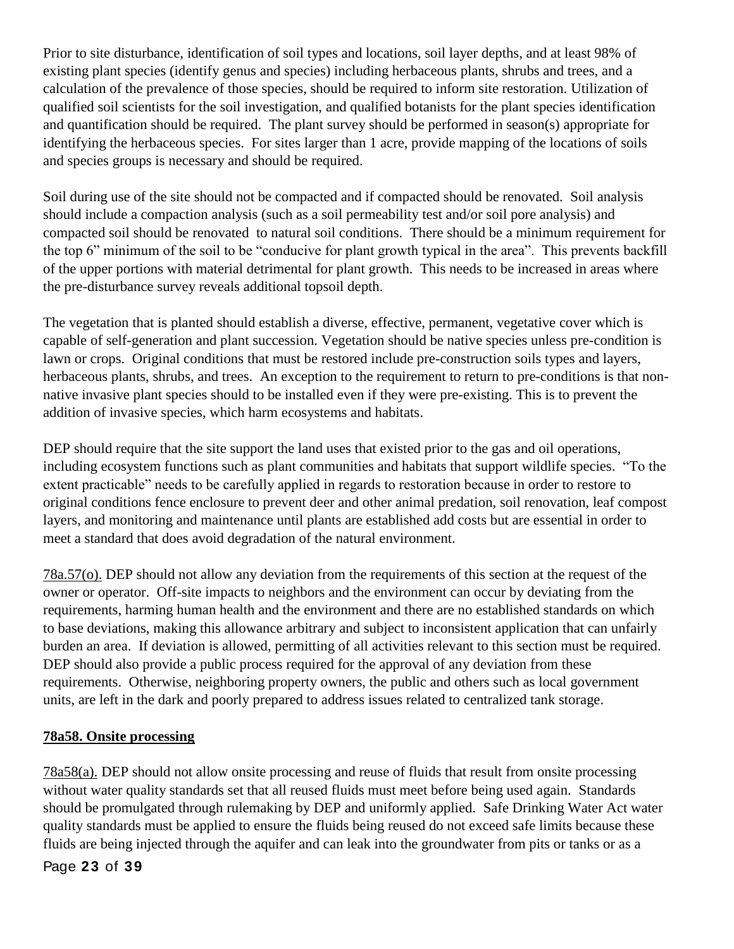Prior to site disturbance, identification of soil types and locations, soil layer depths, and at least 98% of existing plant species (identify genus and species) including herbaceous plants, shrubs and trees, and a calculation of the prevalence of those species, should be required to inform site restoration. Utilization of qualified soil scientists for the soil investigation, and qualified botanists for the plant species identification and quantification should be required. The plant survey should be performed in season(s) appropriate for identifying the herbaceous species. For sites larger than 1 acre, provide mapping of the locations of soils and species groups is necessary and should be required.

Soil during use of the site should not be compacted and if compacted should be renovated. Soil analysis should include a compaction analysis (such as a soil permeability test and/or soil pore analysis) and compacted soil should be renovated to natural soil conditions. There should be a minimum requirement for the top 6" minimum of the soil to be "conducive for plant growth typical in the area". This prevents backfill of the upper portions with material detrimental for plant growth. This needs to be increased in areas where the pre-disturbance survey reveals additional topsoil depth.

The vegetation that is planted should establish a diverse, effective, permanent, vegetative cover which is capable of self-generation and plant succession. Vegetation should be native species unless pre-condition is lawn or crops. Original conditions that must be restored include pre-construction soils types and layers, herbaceous plants, shrubs, and trees. An exception to the requirement to return to pre-conditions is that nonnative invasive plant species should to be installed even if they were pre-existing. This is to prevent the addition of invasive species, which harm ecosystems and habitats.

DEP should require that the site support the land uses that existed prior to the gas and oil operations, including ecosystem functions such as plant communities and habitats that support wildlife species. "To the extent practicable" needs to be carefully applied in regards to restoration because in order to restore to original conditions fence enclosure to prevent deer and other animal predation, soil renovation, leaf compost layers, and monitoring and maintenance until plants are established add costs but are essential in order to meet a standard that does avoid degradation of the natural environment.

78a.57(o). DEP should not allow any deviation from the requirements of this section at the request of the owner or operator. Off-site impacts to neighbors and the environment can occur by deviating from the requirements, harming human health and the environment and there are no established standards on which to base deviations, making this allowance arbitrary and subject to inconsistent application that can unfairly burden an area. If deviation is allowed, permitting of all activities relevant to this section must be required. DEP should also provide a public process required for the approval of any deviation from these requirements. Otherwise, neighboring property owners, the public and others such as local government units, are left in the dark and poorly prepared to address issues related to centralized tank storage.

# **78a58. Onsite processing**

78a58(a). DEP should not allow onsite processing and reuse of fluids that result from onsite processing without water quality standards set that all reused fluids must meet before being used again. Standards should be promulgated through rulemaking by DEP and uniformly applied. Safe Drinking Water Act water quality standards must be applied to ensure the fluids being reused do not exceed safe limits because these fluids are being injected through the aquifer and can leak into the groundwater from pits or tanks or as a

Page **23** of **39**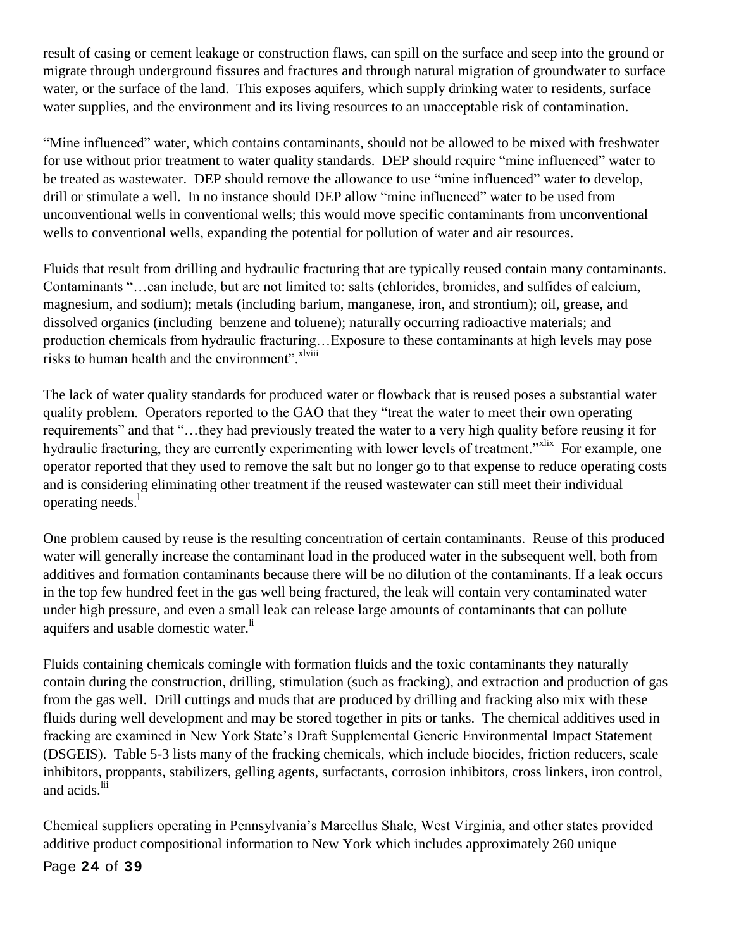result of casing or cement leakage or construction flaws, can spill on the surface and seep into the ground or migrate through underground fissures and fractures and through natural migration of groundwater to surface water, or the surface of the land. This exposes aquifers, which supply drinking water to residents, surface water supplies, and the environment and its living resources to an unacceptable risk of contamination.

"Mine influenced" water, which contains contaminants, should not be allowed to be mixed with freshwater for use without prior treatment to water quality standards. DEP should require "mine influenced" water to be treated as wastewater. DEP should remove the allowance to use "mine influenced" water to develop, drill or stimulate a well. In no instance should DEP allow "mine influenced" water to be used from unconventional wells in conventional wells; this would move specific contaminants from unconventional wells to conventional wells, expanding the potential for pollution of water and air resources.

Fluids that result from drilling and hydraulic fracturing that are typically reused contain many contaminants. Contaminants "…can include, but are not limited to: salts (chlorides, bromides, and sulfides of calcium, magnesium, and sodium); metals (including barium, manganese, iron, and strontium); oil, grease, and dissolved organics (including benzene and toluene); naturally occurring radioactive materials; and production chemicals from hydraulic fracturing…Exposure to these contaminants at high levels may pose risks to human health and the environment".<sup>xlviii</sup>

The lack of water quality standards for produced water or flowback that is reused poses a substantial water quality problem. Operators reported to the GAO that they "treat the water to meet their own operating requirements" and that "…they had previously treated the water to a very high quality before reusing it for hydraulic fracturing, they are currently experimenting with lower levels of treatment."<sup>xlix</sup> For example, one operator reported that they used to remove the salt but no longer go to that expense to reduce operating costs and is considering eliminating other treatment if the reused wastewater can still meet their individual operating needs.<sup>1</sup>

One problem caused by reuse is the resulting concentration of certain contaminants. Reuse of this produced water will generally increase the contaminant load in the produced water in the subsequent well, both from additives and formation contaminants because there will be no dilution of the contaminants. If a leak occurs in the top few hundred feet in the gas well being fractured, the leak will contain very contaminated water under high pressure, and even a small leak can release large amounts of contaminants that can pollute aquifers and usable domestic water.<sup>li</sup>

Fluids containing chemicals comingle with formation fluids and the toxic contaminants they naturally contain during the construction, drilling, stimulation (such as fracking), and extraction and production of gas from the gas well. Drill cuttings and muds that are produced by drilling and fracking also mix with these fluids during well development and may be stored together in pits or tanks. The chemical additives used in fracking are examined in New York State's Draft Supplemental Generic Environmental Impact Statement (DSGEIS). Table 5-3 lists many of the fracking chemicals, which include biocides, friction reducers, scale inhibitors, proppants, stabilizers, gelling agents, surfactants, corrosion inhibitors, cross linkers, iron control, and acids.<sup>lii</sup>

Chemical suppliers operating in Pennsylvania's Marcellus Shale, West Virginia, and other states provided additive product compositional information to New York which includes approximately 260 unique

# Page **24** of **39**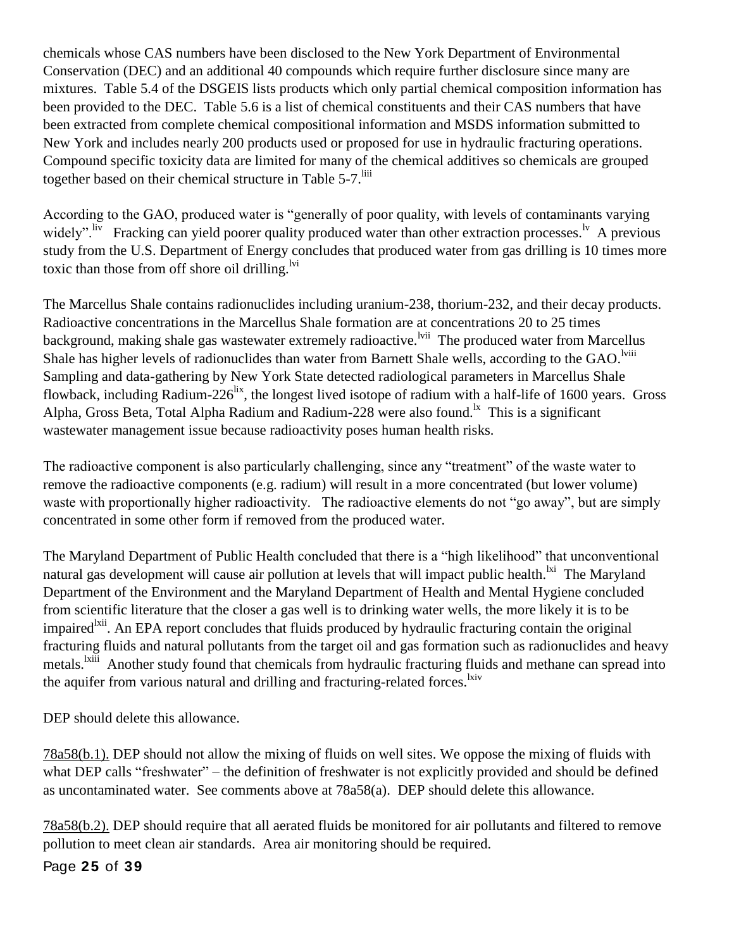chemicals whose CAS numbers have been disclosed to the New York Department of Environmental Conservation (DEC) and an additional 40 compounds which require further disclosure since many are mixtures. Table 5.4 of the DSGEIS lists products which only partial chemical composition information has been provided to the DEC. Table 5.6 is a list of chemical constituents and their CAS numbers that have been extracted from complete chemical compositional information and MSDS information submitted to New York and includes nearly 200 products used or proposed for use in hydraulic fracturing operations. Compound specific toxicity data are limited for many of the chemical additives so chemicals are grouped together based on their chemical structure in Table 5-7.<sup>liii</sup>

According to the GAO, produced water is "generally of poor quality, with levels of contaminants varying widely". <sup>liv</sup> Fracking can yield poorer quality produced water than other extraction processes.<sup>1v</sup> A previous study from the U.S. Department of Energy concludes that produced water from gas drilling is 10 times more toxic than those from off shore oil drilling. $\frac{1}{1}$ 

The Marcellus Shale contains radionuclides including uranium-238, thorium-232, and their decay products. Radioactive concentrations in the Marcellus Shale formation are at concentrations 20 to 25 times background, making shale gas wastewater extremely radioactive.<sup>lvii</sup> The produced water from Marcellus Shale has higher levels of radionuclides than water from Barnett Shale wells, according to the GAO.<sup>1viii</sup> Sampling and data-gathering by New York State detected radiological parameters in Marcellus Shale flowback, including Radium-226<sup>lix</sup>, the longest lived isotope of radium with a half-life of 1600 years. Gross Alpha, Gross Beta, Total Alpha Radium and Radium-228 were also found.<sup>1x</sup> This is a significant wastewater management issue because radioactivity poses human health risks.

The radioactive component is also particularly challenging, since any "treatment" of the waste water to remove the radioactive components (e.g. radium) will result in a more concentrated (but lower volume) waste with proportionally higher radioactivity. The radioactive elements do not "go away", but are simply concentrated in some other form if removed from the produced water.

The Maryland Department of Public Health concluded that there is a "high likelihood" that unconventional natural gas development will cause air pollution at levels that will impact public health.<sup>1xi</sup> The Maryland Department of the Environment and the Maryland Department of Health and Mental Hygiene concluded from scientific literature that the closer a gas well is to drinking water wells, the more likely it is to be impaired<sup>lxii</sup>. An EPA report concludes that fluids produced by hydraulic fracturing contain the original fracturing fluids and natural pollutants from the target oil and gas formation such as radionuclides and heavy metals.<sup>1xiii</sup> Another study found that chemicals from hydraulic fracturing fluids and methane can spread into the aquifer from various natural and drilling and fracturing-related forces.<sup>lxiv</sup>

DEP should delete this allowance.

78a58(b.1). DEP should not allow the mixing of fluids on well sites. We oppose the mixing of fluids with what DEP calls "freshwater" – the definition of freshwater is not explicitly provided and should be defined as uncontaminated water. See comments above at 78a58(a). DEP should delete this allowance.

78a58(b.2). DEP should require that all aerated fluids be monitored for air pollutants and filtered to remove pollution to meet clean air standards. Area air monitoring should be required.

Page **25** of **39**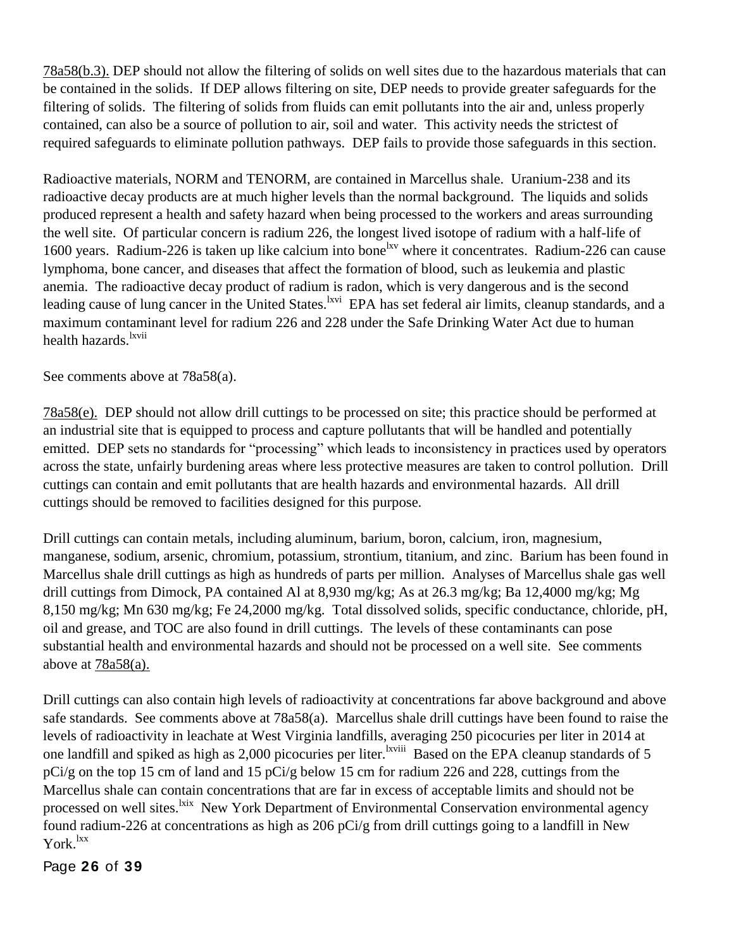78a58(b.3). DEP should not allow the filtering of solids on well sites due to the hazardous materials that can be contained in the solids. If DEP allows filtering on site, DEP needs to provide greater safeguards for the filtering of solids. The filtering of solids from fluids can emit pollutants into the air and, unless properly contained, can also be a source of pollution to air, soil and water. This activity needs the strictest of required safeguards to eliminate pollution pathways. DEP fails to provide those safeguards in this section.

Radioactive materials, NORM and TENORM, are contained in Marcellus shale. Uranium-238 and its radioactive decay products are at much higher levels than the normal background. The liquids and solids produced represent a health and safety hazard when being processed to the workers and areas surrounding the well site. Of particular concern is radium 226, the longest lived isotope of radium with a half-life of 1600 years. Radium-226 is taken up like calcium into bone<sup>lxv</sup> where it concentrates. Radium-226 can cause lymphoma, bone cancer, and diseases that affect the formation of blood, such as leukemia and plastic anemia. The radioactive decay product of radium is radon, which is very dangerous and is the second leading cause of lung cancer in the United States. <sup>Ixvi</sup> EPA has set federal air limits, cleanup standards, and a maximum contaminant level for radium 226 and 228 under the Safe Drinking Water Act due to human health hazards <sup>lxvii</sup>

See comments above at 78a58(a).

78a58(e). DEP should not allow drill cuttings to be processed on site; this practice should be performed at an industrial site that is equipped to process and capture pollutants that will be handled and potentially emitted. DEP sets no standards for "processing" which leads to inconsistency in practices used by operators across the state, unfairly burdening areas where less protective measures are taken to control pollution. Drill cuttings can contain and emit pollutants that are health hazards and environmental hazards. All drill cuttings should be removed to facilities designed for this purpose.

Drill cuttings can contain metals, including aluminum, barium, boron, calcium, iron, magnesium, manganese, sodium, arsenic, chromium, potassium, strontium, titanium, and zinc. Barium has been found in Marcellus shale drill cuttings as high as hundreds of parts per million. Analyses of Marcellus shale gas well drill cuttings from Dimock, PA contained Al at 8,930 mg/kg; As at 26.3 mg/kg; Ba 12,4000 mg/kg; Mg 8,150 mg/kg; Mn 630 mg/kg; Fe 24,2000 mg/kg. Total dissolved solids, specific conductance, chloride, pH, oil and grease, and TOC are also found in drill cuttings. The levels of these contaminants can pose substantial health and environmental hazards and should not be processed on a well site. See comments above at  $78a58(a)$ .

Drill cuttings can also contain high levels of radioactivity at concentrations far above background and above safe standards. See comments above at 78a58(a). Marcellus shale drill cuttings have been found to raise the levels of radioactivity in leachate at West Virginia landfills, averaging 250 picocuries per liter in 2014 at one landfill and spiked as high as 2,000 picocuries per liter. <sup>Ixviii</sup> Based on the EPA cleanup standards of 5 pCi/g on the top 15 cm of land and 15 pCi/g below 15 cm for radium 226 and 228, cuttings from the Marcellus shale can contain concentrations that are far in excess of acceptable limits and should not be processed on well sites.<sup>1xix</sup> New York Department of Environmental Conservation environmental agency found radium-226 at concentrations as high as 206 pCi/g from drill cuttings going to a landfill in New York.<sup>lxx</sup>

Page **26** of **39**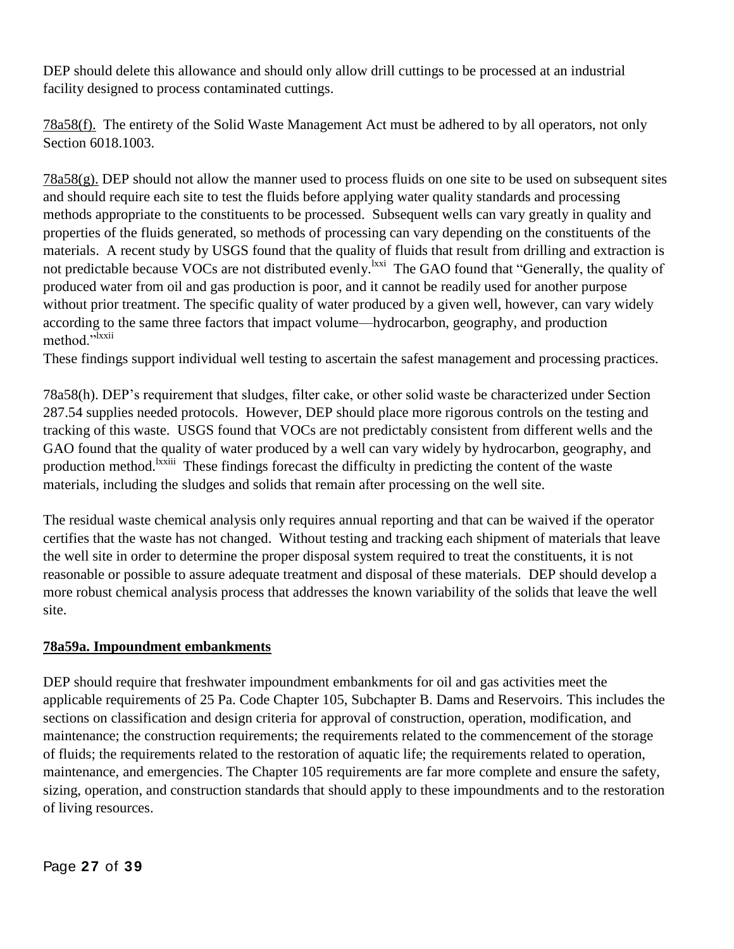DEP should delete this allowance and should only allow drill cuttings to be processed at an industrial facility designed to process contaminated cuttings.

78a58(f). The entirety of the Solid Waste Management Act must be adhered to by all operators, not only Section 6018.1003.

78a58(g). DEP should not allow the manner used to process fluids on one site to be used on subsequent sites and should require each site to test the fluids before applying water quality standards and processing methods appropriate to the constituents to be processed. Subsequent wells can vary greatly in quality and properties of the fluids generated, so methods of processing can vary depending on the constituents of the materials. A recent study by USGS found that the quality of fluids that result from drilling and extraction is not predictable because VOCs are not distributed evenly. <sup>Ixxi</sup> The GAO found that "Generally, the quality of produced water from oil and gas production is poor, and it cannot be readily used for another purpose without prior treatment. The specific quality of water produced by a given well, however, can vary widely according to the same three factors that impact volume—hydrocarbon, geography, and production method."<sup>Ixxii</sup>

These findings support individual well testing to ascertain the safest management and processing practices.

78a58(h). DEP's requirement that sludges, filter cake, or other solid waste be characterized under Section 287.54 supplies needed protocols. However, DEP should place more rigorous controls on the testing and tracking of this waste. USGS found that VOCs are not predictably consistent from different wells and the GAO found that the quality of water produced by a well can vary widely by hydrocarbon, geography, and production method.<sup>Ixxiii</sup> These findings forecast the difficulty in predicting the content of the waste materials, including the sludges and solids that remain after processing on the well site.

The residual waste chemical analysis only requires annual reporting and that can be waived if the operator certifies that the waste has not changed. Without testing and tracking each shipment of materials that leave the well site in order to determine the proper disposal system required to treat the constituents, it is not reasonable or possible to assure adequate treatment and disposal of these materials. DEP should develop a more robust chemical analysis process that addresses the known variability of the solids that leave the well site.

### **78a59a. Impoundment embankments**

DEP should require that freshwater impoundment embankments for oil and gas activities meet the applicable requirements of 25 Pa. Code Chapter 105, Subchapter B. Dams and Reservoirs. This includes the sections on classification and design criteria for approval of construction, operation, modification, and maintenance; the construction requirements; the requirements related to the commencement of the storage of fluids; the requirements related to the restoration of aquatic life; the requirements related to operation, maintenance, and emergencies. The Chapter 105 requirements are far more complete and ensure the safety, sizing, operation, and construction standards that should apply to these impoundments and to the restoration of living resources.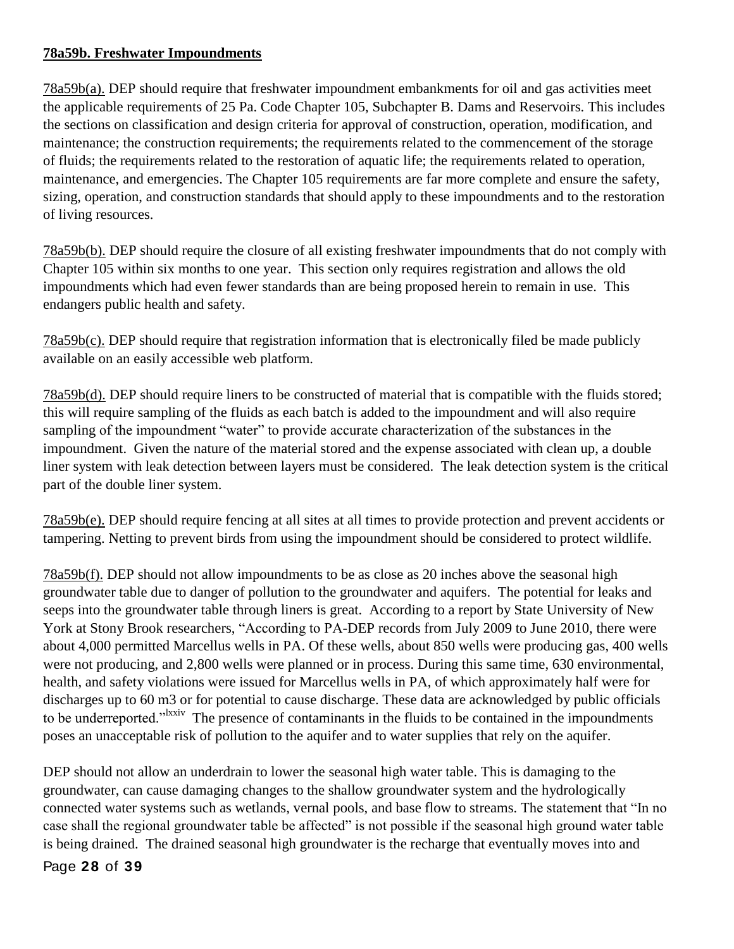# **78a59b. Freshwater Impoundments**

78a59b(a). DEP should require that freshwater impoundment embankments for oil and gas activities meet the applicable requirements of 25 Pa. Code Chapter 105, Subchapter B. Dams and Reservoirs. This includes the sections on classification and design criteria for approval of construction, operation, modification, and maintenance; the construction requirements; the requirements related to the commencement of the storage of fluids; the requirements related to the restoration of aquatic life; the requirements related to operation, maintenance, and emergencies. The Chapter 105 requirements are far more complete and ensure the safety, sizing, operation, and construction standards that should apply to these impoundments and to the restoration of living resources.

78a59b(b). DEP should require the closure of all existing freshwater impoundments that do not comply with Chapter 105 within six months to one year. This section only requires registration and allows the old impoundments which had even fewer standards than are being proposed herein to remain in use. This endangers public health and safety.

78a59b(c). DEP should require that registration information that is electronically filed be made publicly available on an easily accessible web platform.

78a59b(d). DEP should require liners to be constructed of material that is compatible with the fluids stored; this will require sampling of the fluids as each batch is added to the impoundment and will also require sampling of the impoundment "water" to provide accurate characterization of the substances in the impoundment. Given the nature of the material stored and the expense associated with clean up, a double liner system with leak detection between layers must be considered. The leak detection system is the critical part of the double liner system.

78a59b(e). DEP should require fencing at all sites at all times to provide protection and prevent accidents or tampering. Netting to prevent birds from using the impoundment should be considered to protect wildlife.

78a59b(f). DEP should not allow impoundments to be as close as 20 inches above the seasonal high groundwater table due to danger of pollution to the groundwater and aquifers. The potential for leaks and seeps into the groundwater table through liners is great. According to a report by State University of New York at Stony Brook researchers, "According to PA-DEP records from July 2009 to June 2010, there were about 4,000 permitted Marcellus wells in PA. Of these wells, about 850 wells were producing gas, 400 wells were not producing, and 2,800 wells were planned or in process. During this same time, 630 environmental, health, and safety violations were issued for Marcellus wells in PA, of which approximately half were for discharges up to 60 m3 or for potential to cause discharge. These data are acknowledged by public officials to be underreported.<sup>"Ixxiv</sup> The presence of contaminants in the fluids to be contained in the impoundments poses an unacceptable risk of pollution to the aquifer and to water supplies that rely on the aquifer.

DEP should not allow an underdrain to lower the seasonal high water table. This is damaging to the groundwater, can cause damaging changes to the shallow groundwater system and the hydrologically connected water systems such as wetlands, vernal pools, and base flow to streams. The statement that "In no case shall the regional groundwater table be affected" is not possible if the seasonal high ground water table is being drained. The drained seasonal high groundwater is the recharge that eventually moves into and

Page **28** of **39**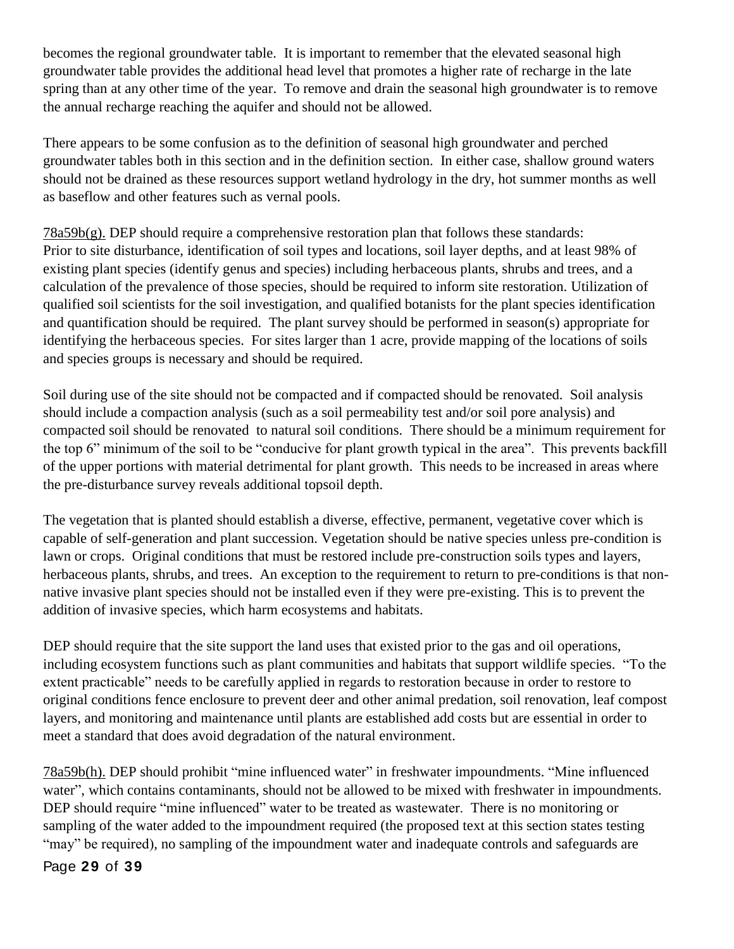becomes the regional groundwater table. It is important to remember that the elevated seasonal high groundwater table provides the additional head level that promotes a higher rate of recharge in the late spring than at any other time of the year. To remove and drain the seasonal high groundwater is to remove the annual recharge reaching the aquifer and should not be allowed.

There appears to be some confusion as to the definition of seasonal high groundwater and perched groundwater tables both in this section and in the definition section. In either case, shallow ground waters should not be drained as these resources support wetland hydrology in the dry, hot summer months as well as baseflow and other features such as vernal pools.

78a59b(g). DEP should require a comprehensive restoration plan that follows these standards: Prior to site disturbance, identification of soil types and locations, soil layer depths, and at least 98% of existing plant species (identify genus and species) including herbaceous plants, shrubs and trees, and a calculation of the prevalence of those species, should be required to inform site restoration. Utilization of qualified soil scientists for the soil investigation, and qualified botanists for the plant species identification and quantification should be required. The plant survey should be performed in season(s) appropriate for identifying the herbaceous species. For sites larger than 1 acre, provide mapping of the locations of soils and species groups is necessary and should be required.

Soil during use of the site should not be compacted and if compacted should be renovated. Soil analysis should include a compaction analysis (such as a soil permeability test and/or soil pore analysis) and compacted soil should be renovated to natural soil conditions. There should be a minimum requirement for the top 6" minimum of the soil to be "conducive for plant growth typical in the area". This prevents backfill of the upper portions with material detrimental for plant growth. This needs to be increased in areas where the pre-disturbance survey reveals additional topsoil depth.

The vegetation that is planted should establish a diverse, effective, permanent, vegetative cover which is capable of self-generation and plant succession. Vegetation should be native species unless pre-condition is lawn or crops. Original conditions that must be restored include pre-construction soils types and layers, herbaceous plants, shrubs, and trees. An exception to the requirement to return to pre-conditions is that nonnative invasive plant species should not be installed even if they were pre-existing. This is to prevent the addition of invasive species, which harm ecosystems and habitats.

DEP should require that the site support the land uses that existed prior to the gas and oil operations, including ecosystem functions such as plant communities and habitats that support wildlife species. "To the extent practicable" needs to be carefully applied in regards to restoration because in order to restore to original conditions fence enclosure to prevent deer and other animal predation, soil renovation, leaf compost layers, and monitoring and maintenance until plants are established add costs but are essential in order to meet a standard that does avoid degradation of the natural environment.

78a59b(h). DEP should prohibit "mine influenced water" in freshwater impoundments. "Mine influenced water", which contains contaminants, should not be allowed to be mixed with freshwater in impoundments. DEP should require "mine influenced" water to be treated as wastewater. There is no monitoring or sampling of the water added to the impoundment required (the proposed text at this section states testing "may" be required), no sampling of the impoundment water and inadequate controls and safeguards are

Page **29** of **39**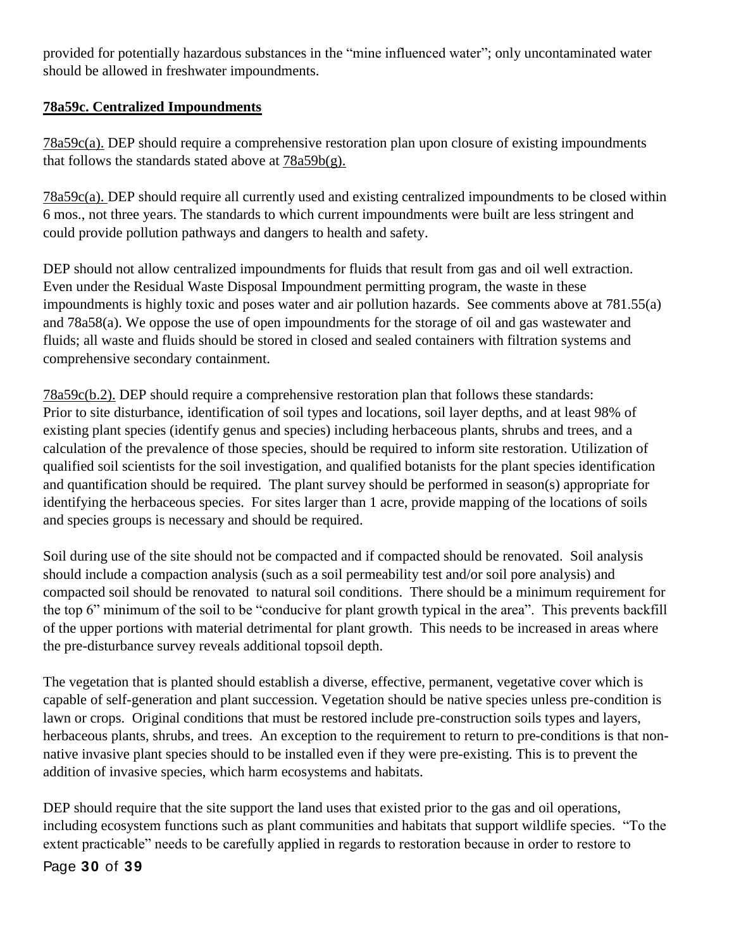provided for potentially hazardous substances in the "mine influenced water"; only uncontaminated water should be allowed in freshwater impoundments.

# **78a59c. Centralized Impoundments**

78a59c(a). DEP should require a comprehensive restoration plan upon closure of existing impoundments that follows the standards stated above at  $78a59b(g)$ .

78a59c(a). DEP should require all currently used and existing centralized impoundments to be closed within 6 mos., not three years. The standards to which current impoundments were built are less stringent and could provide pollution pathways and dangers to health and safety.

DEP should not allow centralized impoundments for fluids that result from gas and oil well extraction. Even under the Residual Waste Disposal Impoundment permitting program, the waste in these impoundments is highly toxic and poses water and air pollution hazards. See comments above at 781.55(a) and 78a58(a). We oppose the use of open impoundments for the storage of oil and gas wastewater and fluids; all waste and fluids should be stored in closed and sealed containers with filtration systems and comprehensive secondary containment.

78a59c(b.2). DEP should require a comprehensive restoration plan that follows these standards: Prior to site disturbance, identification of soil types and locations, soil layer depths, and at least 98% of existing plant species (identify genus and species) including herbaceous plants, shrubs and trees, and a calculation of the prevalence of those species, should be required to inform site restoration. Utilization of qualified soil scientists for the soil investigation, and qualified botanists for the plant species identification and quantification should be required. The plant survey should be performed in season(s) appropriate for identifying the herbaceous species. For sites larger than 1 acre, provide mapping of the locations of soils and species groups is necessary and should be required.

Soil during use of the site should not be compacted and if compacted should be renovated. Soil analysis should include a compaction analysis (such as a soil permeability test and/or soil pore analysis) and compacted soil should be renovated to natural soil conditions. There should be a minimum requirement for the top 6" minimum of the soil to be "conducive for plant growth typical in the area". This prevents backfill of the upper portions with material detrimental for plant growth. This needs to be increased in areas where the pre-disturbance survey reveals additional topsoil depth.

The vegetation that is planted should establish a diverse, effective, permanent, vegetative cover which is capable of self-generation and plant succession. Vegetation should be native species unless pre-condition is lawn or crops. Original conditions that must be restored include pre-construction soils types and layers, herbaceous plants, shrubs, and trees. An exception to the requirement to return to pre-conditions is that nonnative invasive plant species should to be installed even if they were pre-existing. This is to prevent the addition of invasive species, which harm ecosystems and habitats.

DEP should require that the site support the land uses that existed prior to the gas and oil operations, including ecosystem functions such as plant communities and habitats that support wildlife species. "To the extent practicable" needs to be carefully applied in regards to restoration because in order to restore to

Page **30** of **39**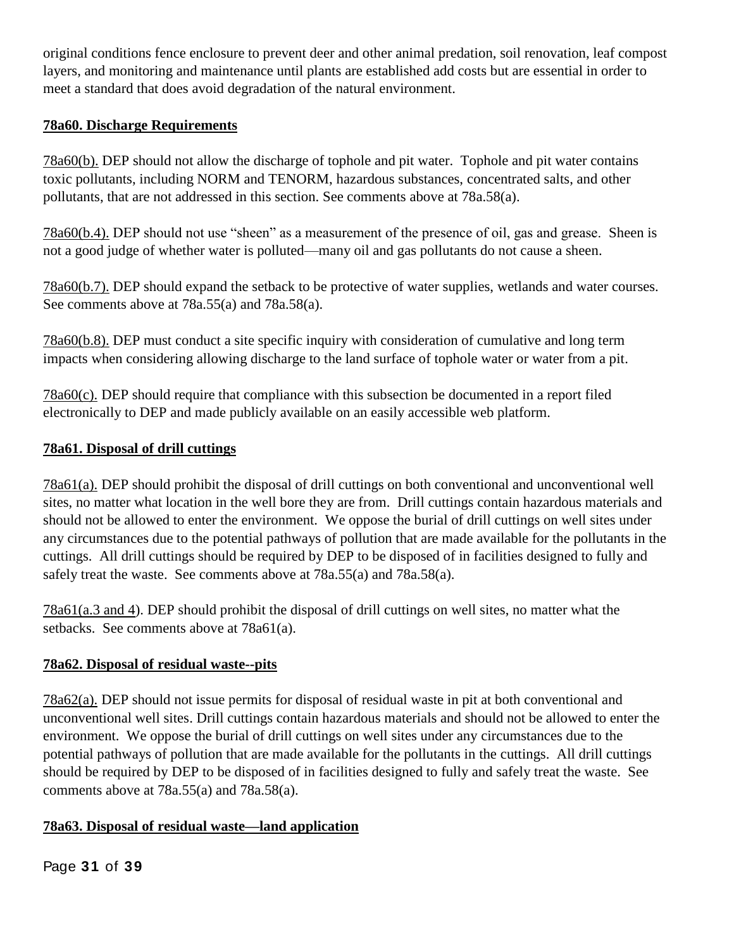original conditions fence enclosure to prevent deer and other animal predation, soil renovation, leaf compost layers, and monitoring and maintenance until plants are established add costs but are essential in order to meet a standard that does avoid degradation of the natural environment.

### **78a60. Discharge Requirements**

78a60(b). DEP should not allow the discharge of tophole and pit water. Tophole and pit water contains toxic pollutants, including NORM and TENORM, hazardous substances, concentrated salts, and other pollutants, that are not addressed in this section. See comments above at 78a.58(a).

78a60(b.4). DEP should not use "sheen" as a measurement of the presence of oil, gas and grease. Sheen is not a good judge of whether water is polluted—many oil and gas pollutants do not cause a sheen.

78a60(b.7). DEP should expand the setback to be protective of water supplies, wetlands and water courses. See comments above at 78a.55(a) and 78a.58(a).

78a60(b.8). DEP must conduct a site specific inquiry with consideration of cumulative and long term impacts when considering allowing discharge to the land surface of tophole water or water from a pit.

78a60(c). DEP should require that compliance with this subsection be documented in a report filed electronically to DEP and made publicly available on an easily accessible web platform.

# **78a61. Disposal of drill cuttings**

78a61(a). DEP should prohibit the disposal of drill cuttings on both conventional and unconventional well sites, no matter what location in the well bore they are from. Drill cuttings contain hazardous materials and should not be allowed to enter the environment. We oppose the burial of drill cuttings on well sites under any circumstances due to the potential pathways of pollution that are made available for the pollutants in the cuttings. All drill cuttings should be required by DEP to be disposed of in facilities designed to fully and safely treat the waste. See comments above at 78a.55(a) and 78a.58(a).

78a61(a.3 and 4). DEP should prohibit the disposal of drill cuttings on well sites, no matter what the setbacks. See comments above at 78a61(a).

# **78a62. Disposal of residual waste--pits**

78a62(a). DEP should not issue permits for disposal of residual waste in pit at both conventional and unconventional well sites. Drill cuttings contain hazardous materials and should not be allowed to enter the environment. We oppose the burial of drill cuttings on well sites under any circumstances due to the potential pathways of pollution that are made available for the pollutants in the cuttings. All drill cuttings should be required by DEP to be disposed of in facilities designed to fully and safely treat the waste. See comments above at 78a.55(a) and 78a.58(a).

# **78a63. Disposal of residual waste—land application**

Page **31** of **39**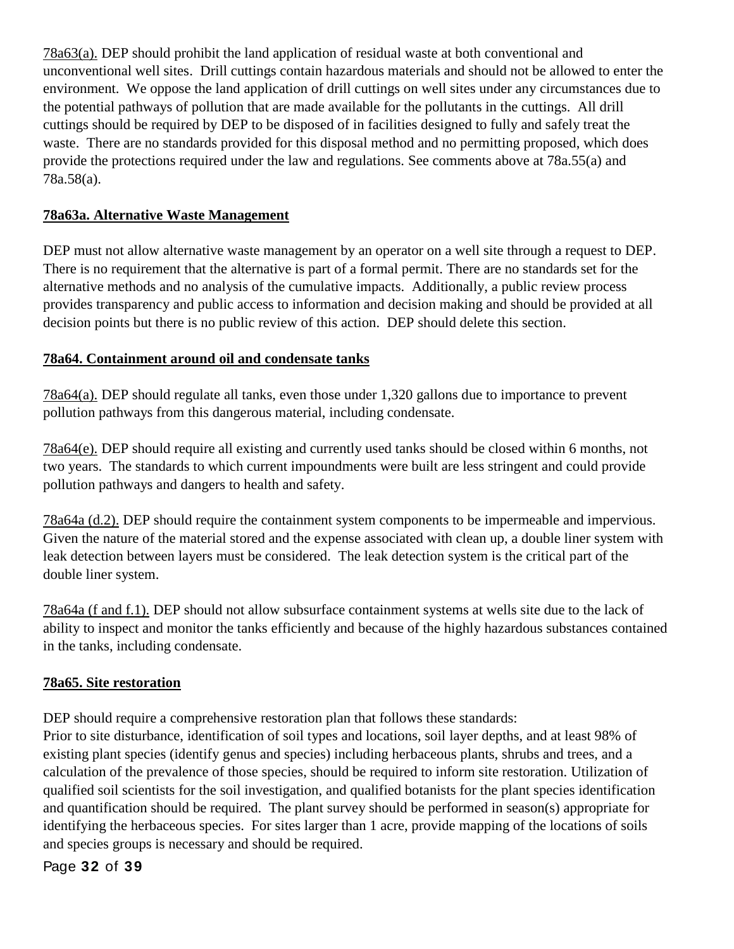78a63(a). DEP should prohibit the land application of residual waste at both conventional and unconventional well sites. Drill cuttings contain hazardous materials and should not be allowed to enter the environment. We oppose the land application of drill cuttings on well sites under any circumstances due to the potential pathways of pollution that are made available for the pollutants in the cuttings. All drill cuttings should be required by DEP to be disposed of in facilities designed to fully and safely treat the waste. There are no standards provided for this disposal method and no permitting proposed, which does provide the protections required under the law and regulations. See comments above at 78a.55(a) and 78a.58(a).

# **78a63a. Alternative Waste Management**

DEP must not allow alternative waste management by an operator on a well site through a request to DEP. There is no requirement that the alternative is part of a formal permit. There are no standards set for the alternative methods and no analysis of the cumulative impacts. Additionally, a public review process provides transparency and public access to information and decision making and should be provided at all decision points but there is no public review of this action. DEP should delete this section.

# **78a64. Containment around oil and condensate tanks**

78a64(a). DEP should regulate all tanks, even those under 1,320 gallons due to importance to prevent pollution pathways from this dangerous material, including condensate.

78a64(e). DEP should require all existing and currently used tanks should be closed within 6 months, not two years. The standards to which current impoundments were built are less stringent and could provide pollution pathways and dangers to health and safety.

78a64a (d.2). DEP should require the containment system components to be impermeable and impervious. Given the nature of the material stored and the expense associated with clean up, a double liner system with leak detection between layers must be considered. The leak detection system is the critical part of the double liner system.

78a64a (f and f.1). DEP should not allow subsurface containment systems at wells site due to the lack of ability to inspect and monitor the tanks efficiently and because of the highly hazardous substances contained in the tanks, including condensate.

### **78a65. Site restoration**

DEP should require a comprehensive restoration plan that follows these standards:

Prior to site disturbance, identification of soil types and locations, soil layer depths, and at least 98% of existing plant species (identify genus and species) including herbaceous plants, shrubs and trees, and a calculation of the prevalence of those species, should be required to inform site restoration. Utilization of qualified soil scientists for the soil investigation, and qualified botanists for the plant species identification and quantification should be required. The plant survey should be performed in season(s) appropriate for identifying the herbaceous species. For sites larger than 1 acre, provide mapping of the locations of soils and species groups is necessary and should be required.

Page **32** of **39**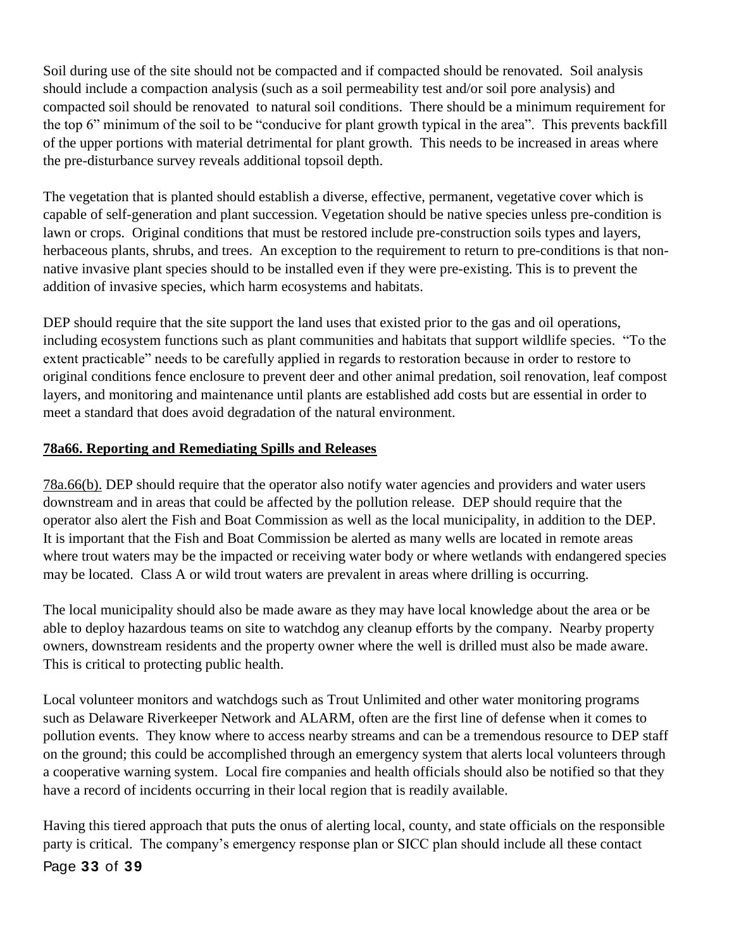Soil during use of the site should not be compacted and if compacted should be renovated. Soil analysis should include a compaction analysis (such as a soil permeability test and/or soil pore analysis) and compacted soil should be renovated to natural soil conditions. There should be a minimum requirement for the top 6" minimum of the soil to be "conducive for plant growth typical in the area". This prevents backfill of the upper portions with material detrimental for plant growth. This needs to be increased in areas where the pre-disturbance survey reveals additional topsoil depth.

The vegetation that is planted should establish a diverse, effective, permanent, vegetative cover which is capable of self-generation and plant succession. Vegetation should be native species unless pre-condition is lawn or crops. Original conditions that must be restored include pre-construction soils types and layers, herbaceous plants, shrubs, and trees. An exception to the requirement to return to pre-conditions is that nonnative invasive plant species should to be installed even if they were pre-existing. This is to prevent the addition of invasive species, which harm ecosystems and habitats.

DEP should require that the site support the land uses that existed prior to the gas and oil operations, including ecosystem functions such as plant communities and habitats that support wildlife species. "To the extent practicable" needs to be carefully applied in regards to restoration because in order to restore to original conditions fence enclosure to prevent deer and other animal predation, soil renovation, leaf compost layers, and monitoring and maintenance until plants are established add costs but are essential in order to meet a standard that does avoid degradation of the natural environment.

# **78a66. Reporting and Remediating Spills and Releases**

78a.66(b). DEP should require that the operator also notify water agencies and providers and water users downstream and in areas that could be affected by the pollution release. DEP should require that the operator also alert the Fish and Boat Commission as well as the local municipality, in addition to the DEP. It is important that the Fish and Boat Commission be alerted as many wells are located in remote areas where trout waters may be the impacted or receiving water body or where wetlands with endangered species may be located. Class A or wild trout waters are prevalent in areas where drilling is occurring.

The local municipality should also be made aware as they may have local knowledge about the area or be able to deploy hazardous teams on site to watchdog any cleanup efforts by the company. Nearby property owners, downstream residents and the property owner where the well is drilled must also be made aware. This is critical to protecting public health.

Local volunteer monitors and watchdogs such as Trout Unlimited and other water monitoring programs such as Delaware Riverkeeper Network and ALARM, often are the first line of defense when it comes to pollution events. They know where to access nearby streams and can be a tremendous resource to DEP staff on the ground; this could be accomplished through an emergency system that alerts local volunteers through a cooperative warning system. Local fire companies and health officials should also be notified so that they have a record of incidents occurring in their local region that is readily available.

Having this tiered approach that puts the onus of alerting local, county, and state officials on the responsible party is critical. The company's emergency response plan or SICC plan should include all these contact

# Page **33** of **39**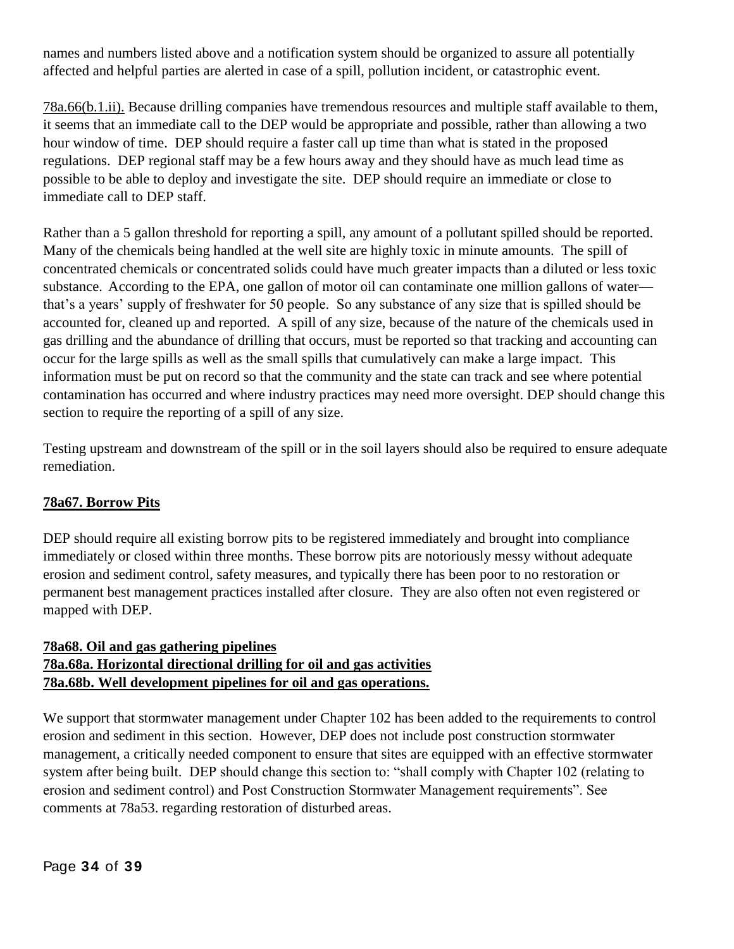names and numbers listed above and a notification system should be organized to assure all potentially affected and helpful parties are alerted in case of a spill, pollution incident, or catastrophic event.

78a.66(b.1.ii). Because drilling companies have tremendous resources and multiple staff available to them, it seems that an immediate call to the DEP would be appropriate and possible, rather than allowing a two hour window of time. DEP should require a faster call up time than what is stated in the proposed regulations. DEP regional staff may be a few hours away and they should have as much lead time as possible to be able to deploy and investigate the site. DEP should require an immediate or close to immediate call to DEP staff.

Rather than a 5 gallon threshold for reporting a spill, any amount of a pollutant spilled should be reported. Many of the chemicals being handled at the well site are highly toxic in minute amounts. The spill of concentrated chemicals or concentrated solids could have much greater impacts than a diluted or less toxic substance. According to the EPA, one gallon of motor oil can contaminate one million gallons of water that's a years' supply of freshwater for 50 people. So any substance of any size that is spilled should be accounted for, cleaned up and reported. A spill of any size, because of the nature of the chemicals used in gas drilling and the abundance of drilling that occurs, must be reported so that tracking and accounting can occur for the large spills as well as the small spills that cumulatively can make a large impact. This information must be put on record so that the community and the state can track and see where potential contamination has occurred and where industry practices may need more oversight. DEP should change this section to require the reporting of a spill of any size.

Testing upstream and downstream of the spill or in the soil layers should also be required to ensure adequate remediation.

### **78a67. Borrow Pits**

DEP should require all existing borrow pits to be registered immediately and brought into compliance immediately or closed within three months. These borrow pits are notoriously messy without adequate erosion and sediment control, safety measures, and typically there has been poor to no restoration or permanent best management practices installed after closure. They are also often not even registered or mapped with DEP.

# **78a68. Oil and gas gathering pipelines 78a.68a. Horizontal directional drilling for oil and gas activities 78a.68b. Well development pipelines for oil and gas operations.**

We support that stormwater management under Chapter 102 has been added to the requirements to control erosion and sediment in this section. However, DEP does not include post construction stormwater management, a critically needed component to ensure that sites are equipped with an effective stormwater system after being built. DEP should change this section to: "shall comply with Chapter 102 (relating to erosion and sediment control) and Post Construction Stormwater Management requirements". See comments at 78a53. regarding restoration of disturbed areas.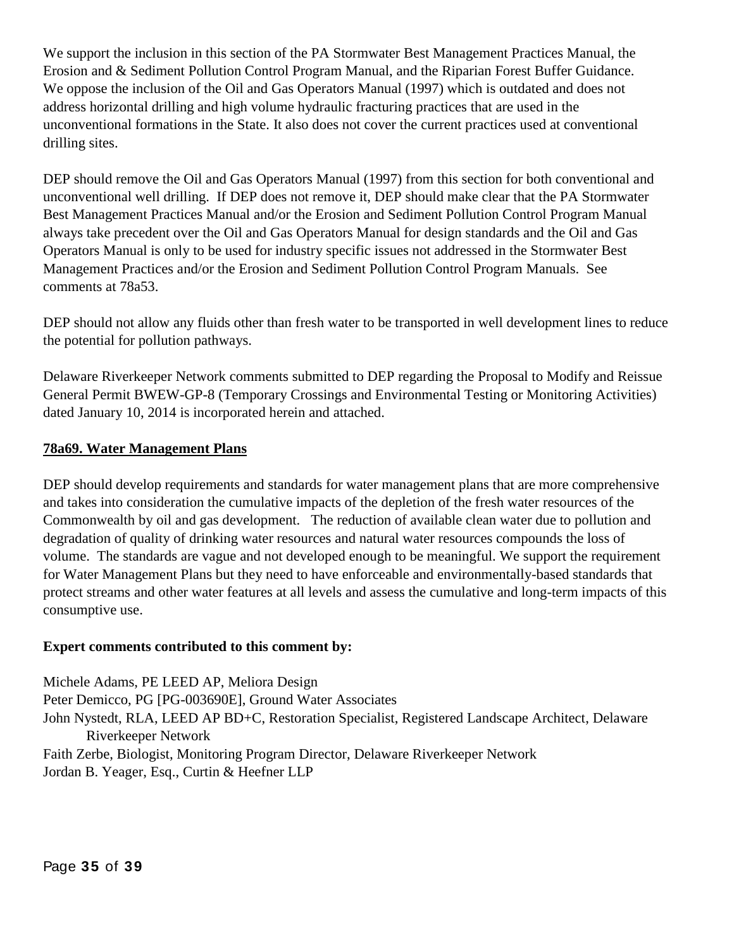We support the inclusion in this section of the PA Stormwater Best Management Practices Manual, the Erosion and & Sediment Pollution Control Program Manual, and the Riparian Forest Buffer Guidance. We oppose the inclusion of the Oil and Gas Operators Manual (1997) which is outdated and does not address horizontal drilling and high volume hydraulic fracturing practices that are used in the unconventional formations in the State. It also does not cover the current practices used at conventional drilling sites.

DEP should remove the Oil and Gas Operators Manual (1997) from this section for both conventional and unconventional well drilling. If DEP does not remove it, DEP should make clear that the PA Stormwater Best Management Practices Manual and/or the Erosion and Sediment Pollution Control Program Manual always take precedent over the Oil and Gas Operators Manual for design standards and the Oil and Gas Operators Manual is only to be used for industry specific issues not addressed in the Stormwater Best Management Practices and/or the Erosion and Sediment Pollution Control Program Manuals. See comments at 78a53.

DEP should not allow any fluids other than fresh water to be transported in well development lines to reduce the potential for pollution pathways.

Delaware Riverkeeper Network comments submitted to DEP regarding the Proposal to Modify and Reissue General Permit BWEW-GP-8 (Temporary Crossings and Environmental Testing or Monitoring Activities) dated January 10, 2014 is incorporated herein and attached.

### **78a69. Water Management Plans**

DEP should develop requirements and standards for water management plans that are more comprehensive and takes into consideration the cumulative impacts of the depletion of the fresh water resources of the Commonwealth by oil and gas development. The reduction of available clean water due to pollution and degradation of quality of drinking water resources and natural water resources compounds the loss of volume. The standards are vague and not developed enough to be meaningful. We support the requirement for Water Management Plans but they need to have enforceable and environmentally-based standards that protect streams and other water features at all levels and assess the cumulative and long-term impacts of this consumptive use.

### **Expert comments contributed to this comment by:**

Michele Adams, PE LEED AP, Meliora Design Peter Demicco, PG [PG-003690E], Ground Water Associates John Nystedt, RLA, LEED AP BD+C, Restoration Specialist, Registered Landscape Architect, Delaware Riverkeeper Network Faith Zerbe, Biologist, Monitoring Program Director, Delaware Riverkeeper Network Jordan B. Yeager, Esq., Curtin & Heefner LLP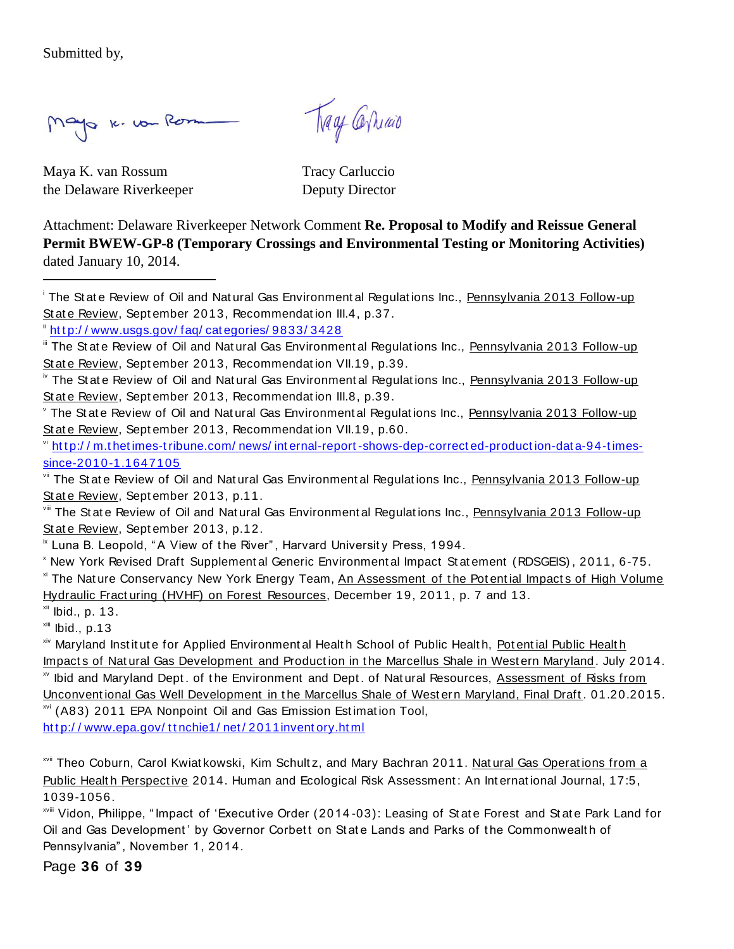Submitted by,

 $\overline{a}$ 

Mayo 16. vou Rom

Tray Carriao

Maya K. van Rossum Tracy Carluccio the Delaware Riverkeeper Deputy Director

Attachment: Delaware Riverkeeper Network Comment **Re. Proposal to Modify and Reissue General Permit BWEW-GP-8 (Temporary Crossings and Environmental Testing or Monitoring Activities)** dated January 10, 2014.

<sup>i</sup> The State Review of Oil and Natural Gas Environmental Regulations Inc., Pennsylvania 2013 Follow-up State Review, September 2013, Recommendation III.4, p.37.

inttp://www.usgs.gov/faq/categories/9833/3428

The State Review of Oil and Natural Gas Environmental Regulations Inc., Pennsylvania 2013 Follow-up St at e Review, Sept ember 2013, Recommendat ion VII.19, p.60.

 $\frac{v_i}{v}$  http://m.thetimes-tribune.com/news/internal-report-shows-dep-corrected-production-data-94-times[since-2010-1.1647105](http://m.thetimes-tribune.com/news/internal-report-shows-dep-corrected-production-data-94-times-since-2010-1.1647105)

vii The State Review of Oil and Natural Gas Environmental Regulations Inc., Pennsylvania 2013 Follow-up State Review, September 2013, p.11.

viii The State Review of Oil and Natural Gas Environmental Regulations Inc., Pennsylvania 2013 Follow-up State Review, September 2013, p.12.

<sup>ix</sup> Luna B. Leopold, "A View of the River", Harvard University Press, 1994.

<sup>x</sup> New York Revised Draft Supplement al Generic Environment al Impact St at ement (RDSGEIS) , 2011, 6-75. <sup>xi</sup> The Nature Conservancy New York Energy Team, An Assessment of the Potential Impacts of High Volume Hydraulic Fract uring (HVHF) on Forest Resources, December 19, 2011, p. 7 and 13.

 $xii$  Ibid., p. 13.

 $x$ iii Ibid., p.13

xiv Maryland Inst it ut e for Applied Environment al Healt h School of Public Healt h, Pot ent ial Public Healt h Impacts of Natural Gas Development and Production in the Marcellus Shale in Western Maryland. July 2014. xv Ibid and Maryland Dept . of t he Environment and Dept . of Nat ural Resources, Assessment of Risks from Unconvent ional Gas Well Development in t he Marcellus Shale of West ern Maryland, Final Draft . 01.20.2015.

xvi (A83) 2011 EPA Nonpoint Oil and Gas Emission Estimation Tool, http://www.epa.gov/ttnchie1/net/2011inventory.html

xvii Theo Coburn, Carol Kwiat kowski, Kim Schult z, and Mary Bachran 2011. Natural Gas Operations from a Public Health Perspective 2014. Human and Ecological Risk Assessment: An International Journal, 17:5, 1039-1056.

xviii Vidon, Philippe, " Impact of 'Execut ive Order (2014 -03): Leasing of St at e Forest and St at e Park Land for Oil and Gas Development' by Governor Corbett on State Lands and Parks of the Commonwealth of Pennsylvania" , November 1, 2014.

Page **36** of **39**

If The State Review of Oil and Natural Gas Environmental Regulations Inc., Pennsylvania 2013 Follow-up St at e Review, Sept ember 2013, Recommendat ion VII.19, p.39.

<sup>&</sup>lt;sup>iv</sup> The State Review of Oil and Natural Gas Environmental Regulations Inc., Pennsylvania 2013 Follow-up St at e Review, Sept ember 2013, Recommendat ion III.8, p.39.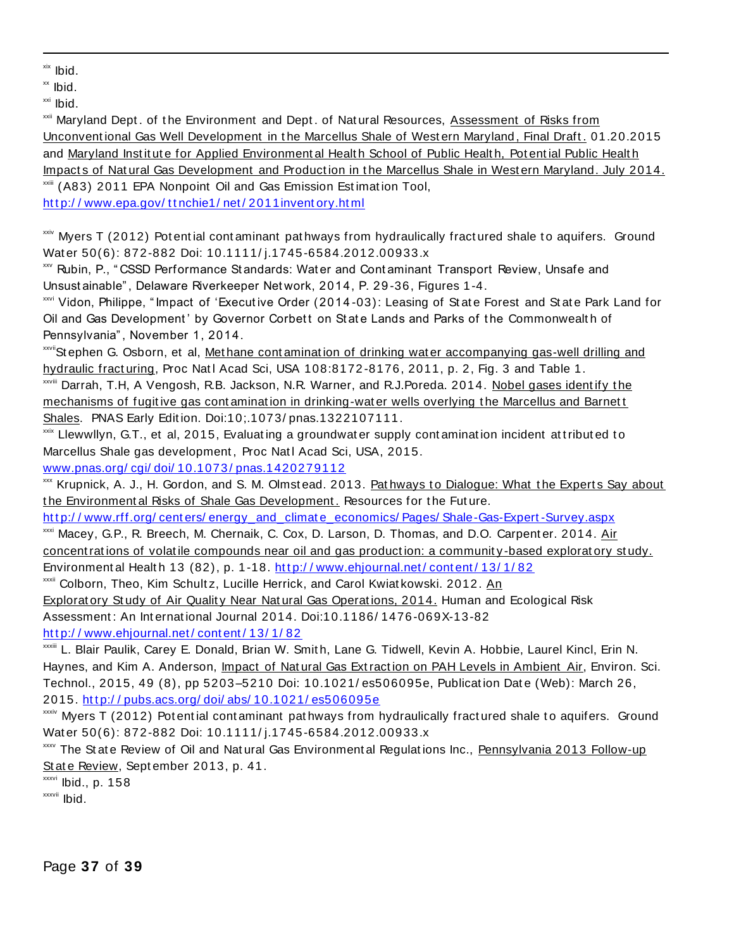xix Ibid.

 $\overline{a}$ 

 $x \times$  Ibid.

xxi Ibid.

xxii Maryland Dept. of the Environment and Dept. of Natural Resources, Assessment of Risks from Unconventional Gas Well Development in the Marcellus Shale of Western Maryland, Final Draft. 01.20.2015 and Maryland Institute for Applied Environmental Health School of Public Health, Potential Public Health Impacts of Natural Gas Development and Production in the Marcellus Shale in Western Maryland. July 2014. xxiii (A83) 2011 EPA Nonpoint Oil and Gas Emission Est imat ion Tool, http://www.epa.gov/ttnchie1/net/2011inventory.html

 $x$ xxiv Myers T (2012) Pot ential contaminant pat hways from hydraulically fractured shale to aquifers. Ground Water 50(6): 872-882 Doi: 10.1111/i.1745-6584.2012.00933.x

xxv Rubin, P., " CSSD Performance St andards: Wat er and Cont aminant Transport Review, Unsafe and Unsust ainable" , Delaware Riverkeeper Net work, 2014, P. 29 -36, Figures 1-4.

xxvi Vidon, Philippe, " Impact of 'Execut ive Order (2014 -03): Leasing of St at e Forest and St at e Park Land for Oil and Gas Development' by Governor Corbett on State Lands and Parks of the Commonwealth of Pennsylvania" , November 1, 2014.

xxviiSt ephen G. Osborn, et al, Methane contamination of drinking wat er accompanying gas-well drilling and hydraulic fracturing, Proc Natl Acad Sci, USA 108:8172-8176, 2011, p. 2, Fig. 3 and Table 1. xxviii Darrah, T.H, A Vengosh, R.B. Jackson, N.R. Warner, and R.J.Poreda. 2014. Nobel gases ident ify t he

mechanisms of fugitive gas contamination in drinking-water wells overlying the Marcellus and Barnett Shales. PNAS Early Edit ion. Doi:10;.1073/ pnas.1322107111.

xxxx Llewwllyn, G.T., et al, 2015, Evaluating a groundwater supply contamination incident attributed to Marcellus Shale gas development, Proc Natl Acad Sci, USA, 2015. [www.pnas.org/ cgi/ doi/ 10.1073/ pnas.1420279112](http://www.pnas.org/cgi/doi/10.1073/pnas.1420279112) 

xxx Krupnick, A. J., H. Gordon, and S. M. Olmst ead. 2013. Pat hways to Dialogue: What the Experts Say about the Environmental Risks of Shale Gas Development. Resources for the Future.

http://www.rff.org/centers/energy\_and\_climate\_economics/ Pages/ Shale-Gas-Expert -Survey.aspx

xxxi Macey, G.P., R. Breech, M. Chernaik, C. Cox, D. Larson, D. Thomas, and D.O. Carpent er. 2014. Air concent rations of volatile compounds near oil and gas production: a community-based exploratory study. Environment al Health 13 (82), p. 1-18. http://www.ehjournal.net/content/13/1/82

<sup>xxxii</sup> Colborn, Theo, Kim Schultz, Lucille Herrick, and Carol Kwiat kowski. 2012. An

Explorat ory St udy of Air Qualit y Near Nat ural Gas Operat ions, 2014. Human and Ecological Risk Assessment : An Int ernat ional Journal 2014. Doi:10.1186/ 1476-069X-13-82

http://www.ehjournal.net/content/13/1/82

xxxiii L. Blair Paulik, Carey E. Donald, Brian W. Smit h, Lane G. Tidwell, Kevin A. Hobbie, Laurel Kincl, Erin N. Haynes, and Kim A. Anderson, *Impact of Natural Gas Extraction on PAH Levels in Ambient Air*, Environ. Sci. Technol., 2015, 49 (8), pp 5203-5210 Doi: 10.1021/es506095e, Publication Date (Web): March 26, 2015. http://pubs.acs.org/doi/abs/10.1021/es506095e

xxxiv Myers T (2012) Potential contaminant pathways from hydraulically fractured shale to aquifers. Ground Wat er 50(6): 872-882 Doi: 10.1111/ j.1745-6584.2012.00933.x

xxxv The State Review of Oil and Natural Gas Environment al Regulations Inc., Pennsylvania 2013 Follow-up St at e Review, Sept ember 2013, p. 41.

 $x$  $x$  $y$ <sup> $i$ </sup> Ibid., p. 158

xxxvii Ibid.

Page **37** of **39**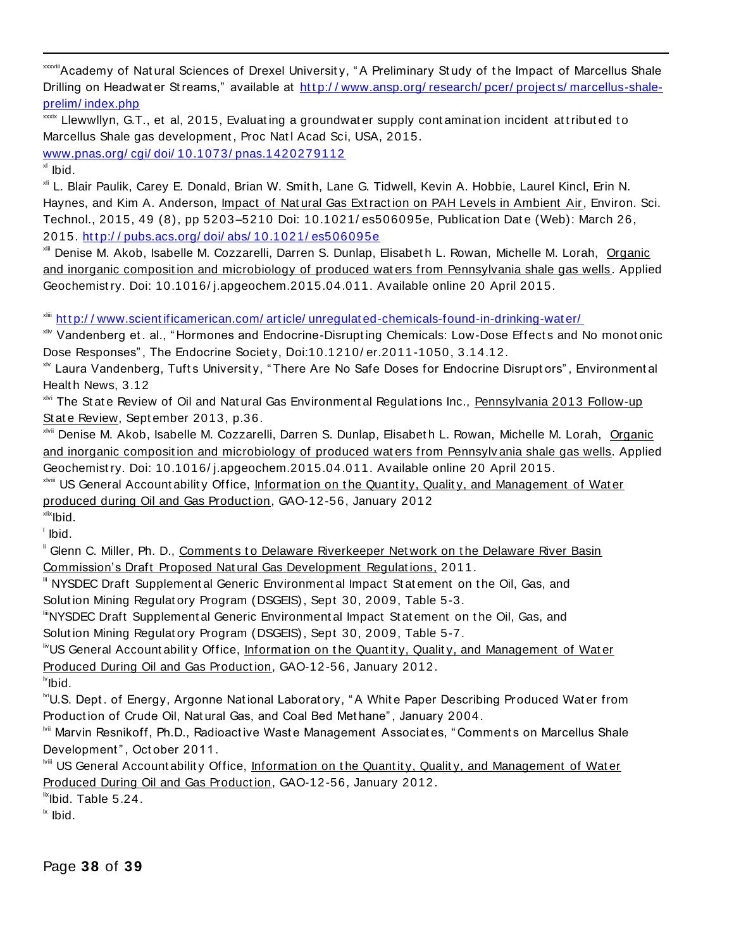xxxviiiAcademy of Natural Sciences of Drexel University, "A Preliminary Study of the Impact of Marcellus Shale Drilling on Headwater Streams," available at http://www.ansp.org/research/pcer/projects/marcellus-shale[prelim/ index.php](http://www.ansp.org/research/pcer/projects/marcellus-shale-prelim/index.php)

xxxx Llewwllyn, G.T., et al, 2015, Evaluating a groundwater supply contamination incident attributed to Marcellus Shale gas development, Proc Natl Acad Sci, USA, 2015. [www.pnas.org/ cgi/ doi/ 10.1073/ pnas.1420279112](http://www.pnas.org/cgi/doi/10.1073/pnas.1420279112)

 $x$ <sup>xl</sup> Ibid.

 $\overline{a}$ 

xli L. Blair Paulik, Carey E. Donald, Brian W. Smit h, Lane G. Tidwell, Kevin A. Hobbie, Laurel Kincl, Erin N. Haynes, and Kim A. Anderson, *Impact of Natural Gas Extraction on PAH Levels in Ambient Air*, Environ. Sci. Technol., 2015, 49 (8), pp 5203-5210 Doi: 10.1021/es506095e, Publication Date (Web): March 26, 2015. http://pubs.acs.org/doi/abs/10.1021/es506095e

xlii Denise M. Akob, Isabelle M. Cozzarelli, Darren S. Dunlap, Elisabet h L. Rowan, Michelle M. Lorah, Organic and inorganic composit ion and microbiology of produced wat ers from Pennsylvania shale gas wells. Applied Geochemist ry. Doi: 10.1016/ j.apgeochem.2015.04.011. Available online 20 April 2015.

xliii [ht t p:/ / www.scient ificamerican.com/ art icle/ unregulat ed-chemicals-found-in-drinking-wat er/](http://www.scientificamerican.com/article/unregulated-chemicals-found-in-drinking-water/)

xliv Vandenberg et. al., "Hormones and Endocrine-Disrupting Chemicals: Low-Dose Effects and No monotonic Dose Responses" , The Endocrine Societ y, Doi:10.1210/ er.2011-1050, 3.14.12.

x<sup>1</sup> Laura Vandenberg, Tufts University, "There Are No Safe Doses for Endocrine Disruptors", Environmental Healt h News, 3.12

xlvi The St at e Review of Oil and Nat ural Gas Environment al Regulat ions Inc., Pennsylvania 2013 Follow-up St at e Review, Sept ember 2013, p.36.

<sup>xivii</sup> Denise M. Akob, Isabelle M. Cozzarelli, Darren S. Dunlap, Elisabeth L. Rowan, Michelle M. Lorah, Organic and inorganic composit ion and microbiology of produced wat ers from Pennsylv ania shale gas wells. Applied Geochemist ry. Doi: 10.1016/ j.apgeochem.2015.04.011. Available online 20 April 2015.

xiviii US General Account ability Office, Information on the Quantity, Quality, and Management of Water produced during Oil and Gas Production, GAO-12-56, January 2012

xlix<sub>Ibid.</sub> l Ibid.

" Glenn C. Miller, Ph. D., Comments to Delaware Riverkeeper Network on the Delaware River Basin Commission's Draft Proposed Nat ural Gas Development Regulat ions, 2011.

III NYSDEC Draft Supplement al Generic Environment al Impact St at ement on the Oil, Gas, and Solut ion Mining Regulat ory Program (DSGEIS), Sept 30, 2009, Table 5-3.

liiiNYSDEC Draft Supplement al Generic Environment al Impact St at ement on t he Oil, Gas, and

Solut ion Mining Regulat ory Program (DSGEIS), Sept 30, 2009, Table 5-7.

 $\mathbb {}^{\mathbb {}^{\mathbb {}}\mathbb {}}$ US General Account ability Office, Information on the Quantity, Quality, and Management of Water Produced During Oil and Gas Production, GAO-12-56, January 2012.

 $\mathsf{N}$ Ibid.

**MU.S. Dept. of Energy, Argonne National Laboratory, "A White Paper Describing Produced Water from** Product ion of Crude Oil, Nat ural Gas, and Coal Bed Met hane" , January 2004.

**Mii Marvin Resnikoff, Ph.D., Radioactive Waste Management Associates, "Comments on Marcellus Shale** Development", October 2011.

lviii US General Account abilit y Office, Informat ion on t he Quant it y, Qualit y, and Management of Wat er Produced During Oil and Gas Product ion, GAO-12-56, January 2012.

 $\text{I}^{\text{fix}}$ lbid. Table 5.24.

 $\mathsf{I}^{\mathsf{I} \mathsf{x}}$  Ibid.

Page **38** of **39**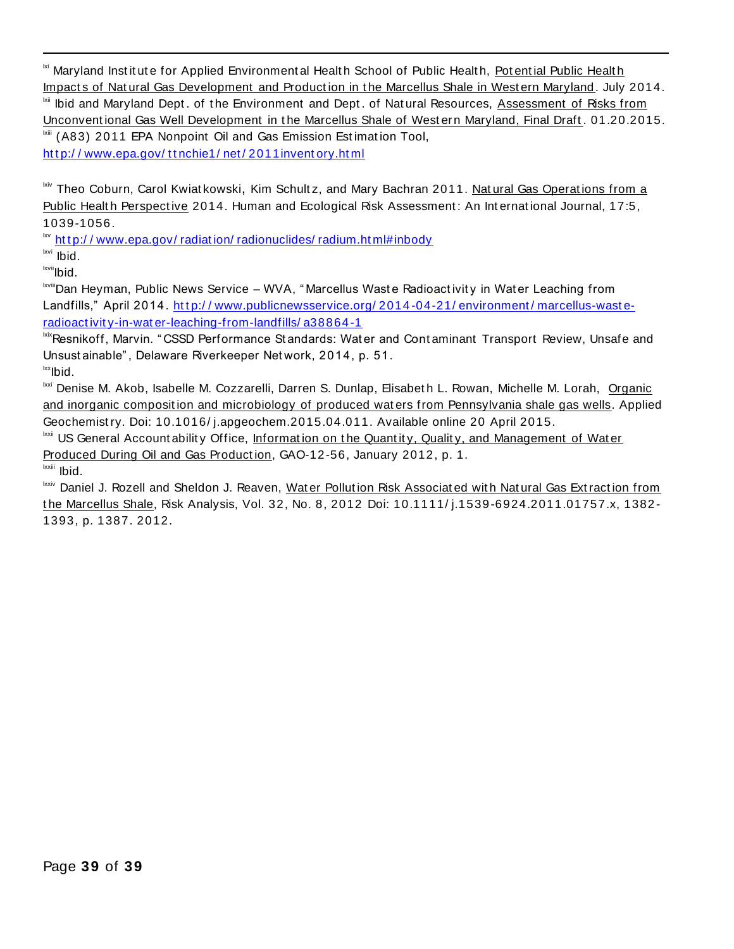<sup>ki</sup> Maryland Institute for Applied Environmental Health School of Public Health, Potential Public Health Impacts of Natural Gas Development and Production in the Marcellus Shale in Western Maryland. July 2014. **EXII** Ibid and Maryland Dept. of the Environment and Dept. of Natural Resources, Assessment of Risks from Unconventional Gas Well Development in the Marcellus Shale of Western Maryland, Final Draft. 01.20.2015. Ixiii (A83) 2011 EPA Nonpoint Oil and Gas Emission Estimation Tool, http://www.epa.gov/ttnchie1/net/2011inventory.html

**xiv Theo Coburn, Carol Kwiat kowski, Kim Schult z, and Mary Bachran 2011. Nat ural Gas Operations from a** Public Health Perspective 2014. Human and Ecological Risk Assessment: An International Journal, 17:5, 1039-1056.

 $\frac{dv}{dt}$  http://www.epa.gov/radiation/radionuclides/radium.html#inbody

lxvi Ibid.

 $\overline{a}$ 

lxvii<sub>lbid.</sub>

**Isvilli** Dan Heyman, Public News Service – WVA, "Marcellus Waste Radioact ivit y in Wat er Leaching from Landfills," April 2014. http://www.publicnewsservice.org/2014-04-21/environment/marcellus-waste[radioact ivit y-in-wat er-leaching-from-landfills/ a38864-1](http://www.publicnewsservice.org/2014-04-21/environment/marcellus-waste-radioactivity-in-water-leaching-from-landfills/a38864-1)

bixResnikoff, Marvin. " CSSD Performance Standards: Water and Contaminant Transport Review, Unsafe and Unsust ainable" , Delaware Riverkeeper Net work, 2014, p. 51.

 $\mathsf{lkx}$ lbid.

<sup>Ixxi</sup> Denise M. Akob, Isabelle M. Cozzarelli, Darren S. Dunlap, Elisabeth L. Rowan, Michelle M. Lorah, Organic and inorganic composit ion and microbiology of produced wat ers from Pennsylvania shale gas wells. Applied Geochemist ry. Doi: 10.1016/ j.apgeochem.2015.04.011. Available online 20 April 2015.

<sup>Ixxii</sup> US General Account ability Office, Information on the Quantity, Quality, and Management of Water Produced During Oil and Gas Production, GAO-12-56, January 2012, p. 1.

lxxiii Ibid.

Ixxiv Daniel J. Rozell and Sheldon J. Reaven, Wat er Pollution Risk Associated with Natural Gas Extraction from t he Marcellus Shale, Risk Analysis, Vol. 32, No. 8, 2012 Doi: 10.1111/ j.1539-6924.2011.01757.x, 1382- 1393, p. 1387. 2012.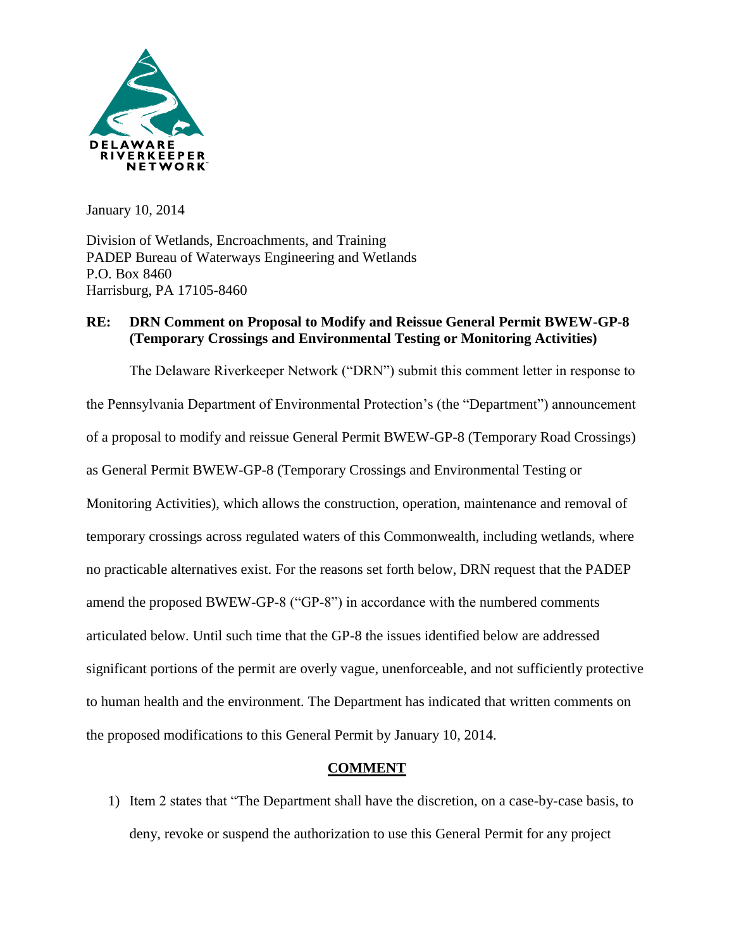

January 10, 2014

Division of Wetlands, Encroachments, and Training PADEP Bureau of Waterways Engineering and Wetlands P.O. Box 8460 Harrisburg, PA 17105-8460

### **RE: DRN Comment on Proposal to Modify and Reissue General Permit BWEW-GP-8 (Temporary Crossings and Environmental Testing or Monitoring Activities)**

The Delaware Riverkeeper Network ("DRN") submit this comment letter in response to the Pennsylvania Department of Environmental Protection's (the "Department") announcement of a proposal to modify and reissue General Permit BWEW-GP-8 (Temporary Road Crossings) as General Permit BWEW-GP-8 (Temporary Crossings and Environmental Testing or Monitoring Activities), which allows the construction, operation, maintenance and removal of temporary crossings across regulated waters of this Commonwealth, including wetlands, where no practicable alternatives exist. For the reasons set forth below, DRN request that the PADEP amend the proposed BWEW-GP-8 ("GP-8") in accordance with the numbered comments articulated below. Until such time that the GP-8 the issues identified below are addressed significant portions of the permit are overly vague, unenforceable, and not sufficiently protective to human health and the environment. The Department has indicated that written comments on the proposed modifications to this General Permit by January 10, 2014.

### **COMMENT**

1) Item 2 states that "The Department shall have the discretion, on a case-by-case basis, to deny, revoke or suspend the authorization to use this General Permit for any project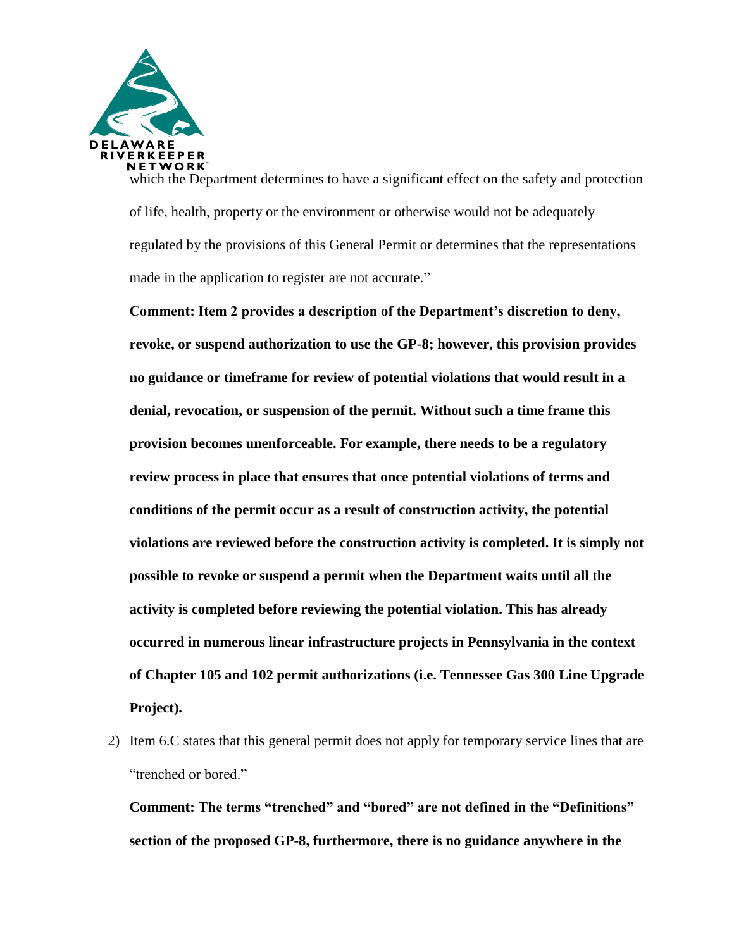

which the Department determines to have a significant effect on the safety and protection of life, health, property or the environment or otherwise would not be adequately regulated by the provisions of this General Permit or determines that the representations made in the application to register are not accurate."

**Comment: Item 2 provides a description of the Department's discretion to deny, revoke, or suspend authorization to use the GP-8; however, this provision provides no guidance or timeframe for review of potential violations that would result in a denial, revocation, or suspension of the permit. Without such a time frame this provision becomes unenforceable. For example, there needs to be a regulatory review process in place that ensures that once potential violations of terms and conditions of the permit occur as a result of construction activity, the potential violations are reviewed before the construction activity is completed. It is simply not possible to revoke or suspend a permit when the Department waits until all the activity is completed before reviewing the potential violation. This has already occurred in numerous linear infrastructure projects in Pennsylvania in the context of Chapter 105 and 102 permit authorizations (i.e. Tennessee Gas 300 Line Upgrade Project).**

2) Item 6.C states that this general permit does not apply for temporary service lines that are "trenched or bored."

**Comment: The terms "trenched" and "bored" are not defined in the "Definitions" section of the proposed GP-8, furthermore, there is no guidance anywhere in the**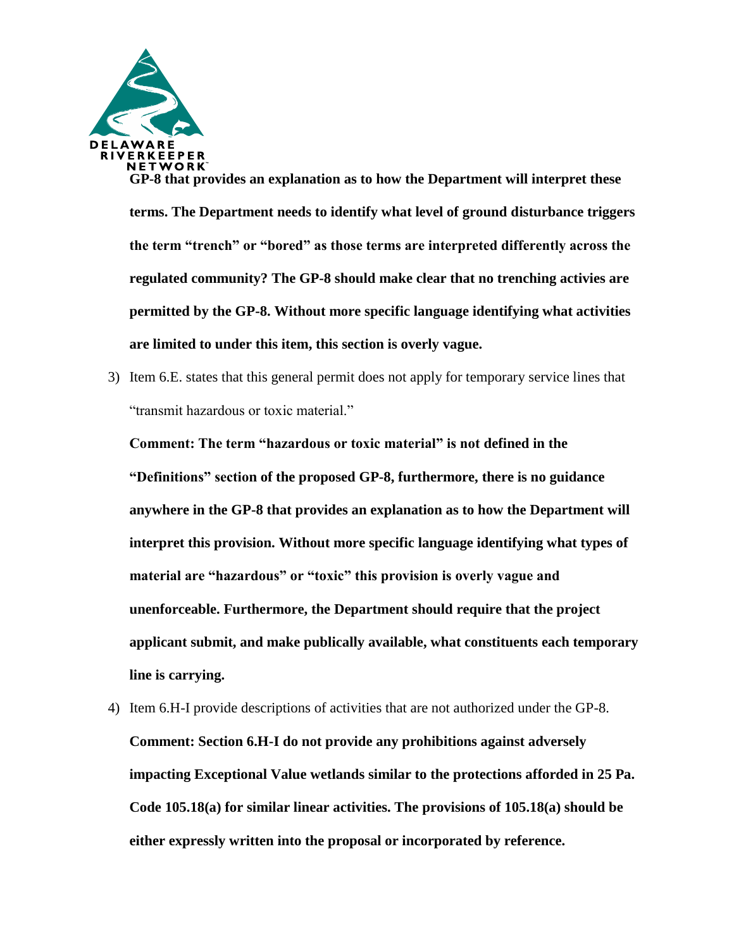

**GP-8 that provides an explanation as to how the Department will interpret these terms. The Department needs to identify what level of ground disturbance triggers the term "trench" or "bored" as those terms are interpreted differently across the regulated community? The GP-8 should make clear that no trenching activies are permitted by the GP-8. Without more specific language identifying what activities are limited to under this item, this section is overly vague.** 

3) Item 6.E. states that this general permit does not apply for temporary service lines that "transmit hazardous or toxic material."

**Comment: The term "hazardous or toxic material" is not defined in the "Definitions" section of the proposed GP-8, furthermore, there is no guidance anywhere in the GP-8 that provides an explanation as to how the Department will interpret this provision. Without more specific language identifying what types of material are "hazardous" or "toxic" this provision is overly vague and unenforceable. Furthermore, the Department should require that the project applicant submit, and make publically available, what constituents each temporary line is carrying.**

4) Item 6.H-I provide descriptions of activities that are not authorized under the GP-8. **Comment: Section 6.H-I do not provide any prohibitions against adversely impacting Exceptional Value wetlands similar to the protections afforded in 25 Pa. Code 105.18(a) for similar linear activities. The provisions of 105.18(a) should be either expressly written into the proposal or incorporated by reference.**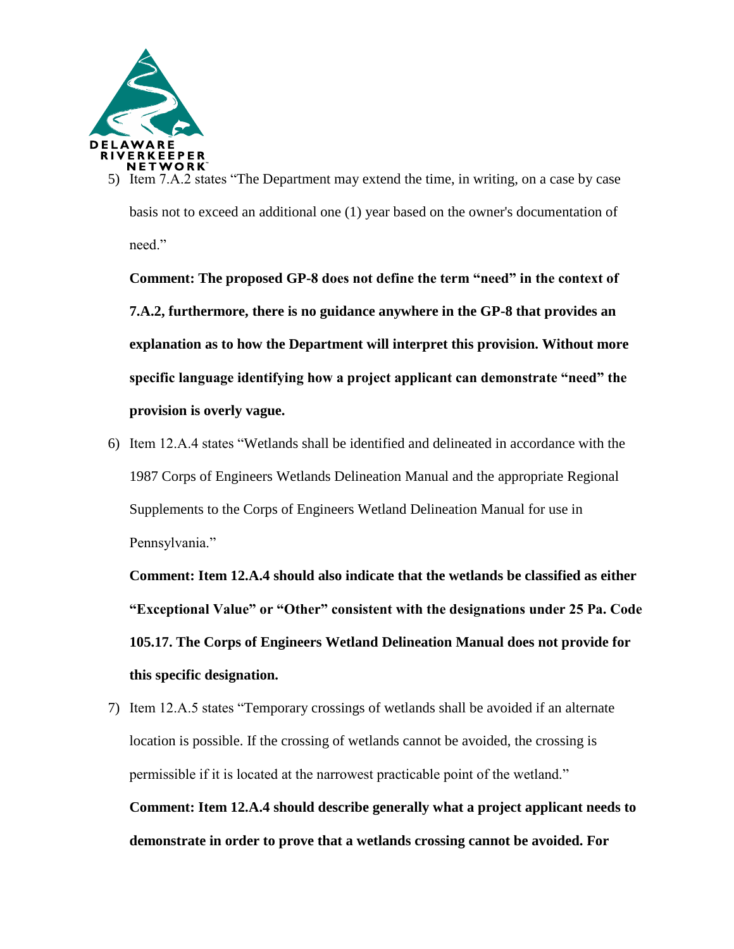

Item 7.A.2 states "The Department may extend the time, in writing, on a case by case basis not to exceed an additional one (1) year based on the owner's documentation of need"

**Comment: The proposed GP-8 does not define the term "need" in the context of 7.A.2, furthermore, there is no guidance anywhere in the GP-8 that provides an explanation as to how the Department will interpret this provision. Without more specific language identifying how a project applicant can demonstrate "need" the provision is overly vague.**

6) Item 12.A.4 states "Wetlands shall be identified and delineated in accordance with the 1987 Corps of Engineers Wetlands Delineation Manual and the appropriate Regional Supplements to the Corps of Engineers Wetland Delineation Manual for use in Pennsylvania."

**Comment: Item 12.A.4 should also indicate that the wetlands be classified as either "Exceptional Value" or "Other" consistent with the designations under 25 Pa. Code 105.17. The Corps of Engineers Wetland Delineation Manual does not provide for this specific designation.**

7) Item 12.A.5 states "Temporary crossings of wetlands shall be avoided if an alternate location is possible. If the crossing of wetlands cannot be avoided, the crossing is permissible if it is located at the narrowest practicable point of the wetland." **Comment: Item 12.A.4 should describe generally what a project applicant needs to demonstrate in order to prove that a wetlands crossing cannot be avoided. For**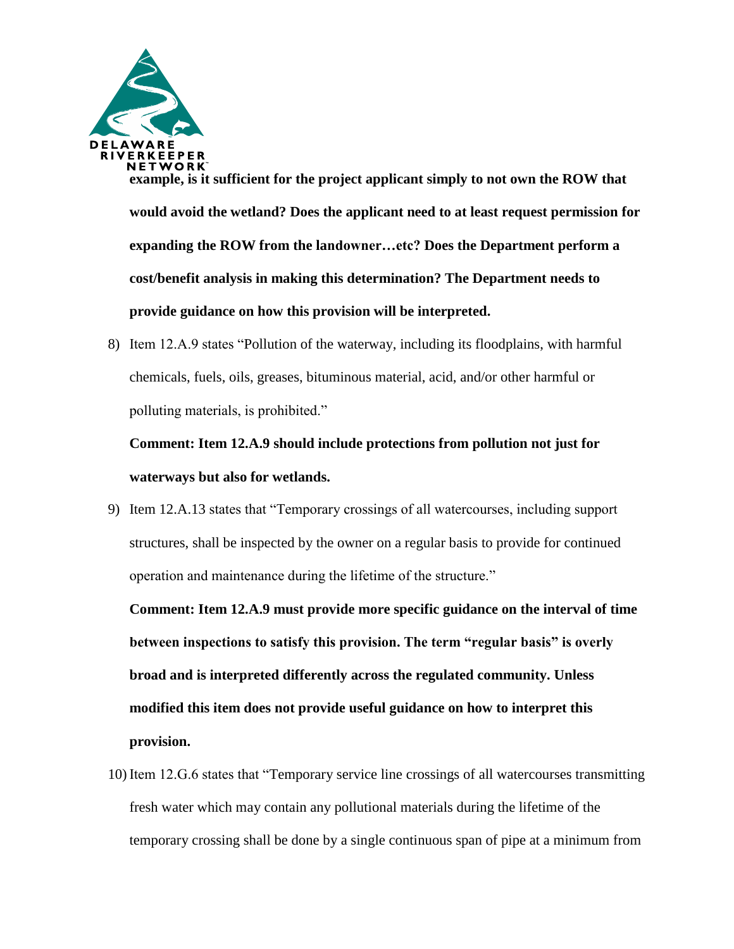

**example, is it sufficient for the project applicant simply to not own the ROW that would avoid the wetland? Does the applicant need to at least request permission for expanding the ROW from the landowner…etc? Does the Department perform a cost/benefit analysis in making this determination? The Department needs to provide guidance on how this provision will be interpreted.**

8) Item 12.A.9 states "Pollution of the waterway, including its floodplains, with harmful chemicals, fuels, oils, greases, bituminous material, acid, and/or other harmful or polluting materials, is prohibited."

# **Comment: Item 12.A.9 should include protections from pollution not just for waterways but also for wetlands.**

9) Item 12.A.13 states that "Temporary crossings of all watercourses, including support structures, shall be inspected by the owner on a regular basis to provide for continued operation and maintenance during the lifetime of the structure."

**Comment: Item 12.A.9 must provide more specific guidance on the interval of time between inspections to satisfy this provision. The term "regular basis" is overly broad and is interpreted differently across the regulated community. Unless modified this item does not provide useful guidance on how to interpret this provision.**

10) Item 12.G.6 states that "Temporary service line crossings of all watercourses transmitting fresh water which may contain any pollutional materials during the lifetime of the temporary crossing shall be done by a single continuous span of pipe at a minimum from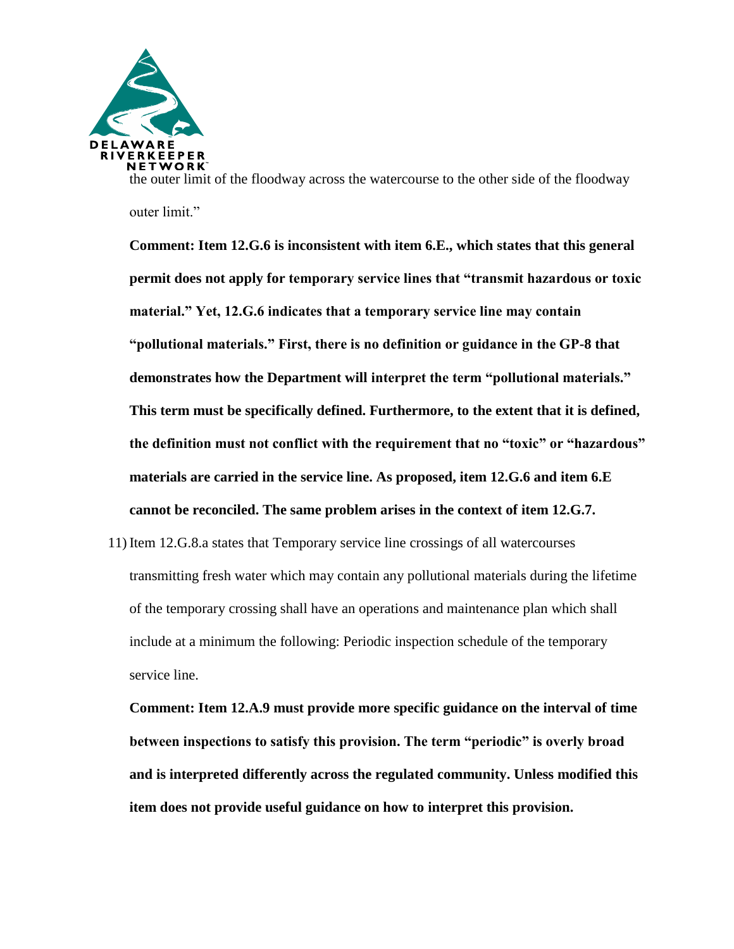

the outer limit of the floodway across the watercourse to the other side of the floodway outer limit."

**Comment: Item 12.G.6 is inconsistent with item 6.E., which states that this general permit does not apply for temporary service lines that "transmit hazardous or toxic material." Yet, 12.G.6 indicates that a temporary service line may contain "pollutional materials." First, there is no definition or guidance in the GP-8 that demonstrates how the Department will interpret the term "pollutional materials." This term must be specifically defined. Furthermore, to the extent that it is defined, the definition must not conflict with the requirement that no "toxic" or "hazardous" materials are carried in the service line. As proposed, item 12.G.6 and item 6.E cannot be reconciled. The same problem arises in the context of item 12.G.7.**

11) Item 12.G.8.a states that Temporary service line crossings of all watercourses transmitting fresh water which may contain any pollutional materials during the lifetime of the temporary crossing shall have an operations and maintenance plan which shall include at a minimum the following: Periodic inspection schedule of the temporary service line.

**Comment: Item 12.A.9 must provide more specific guidance on the interval of time between inspections to satisfy this provision. The term "periodic" is overly broad and is interpreted differently across the regulated community. Unless modified this item does not provide useful guidance on how to interpret this provision.**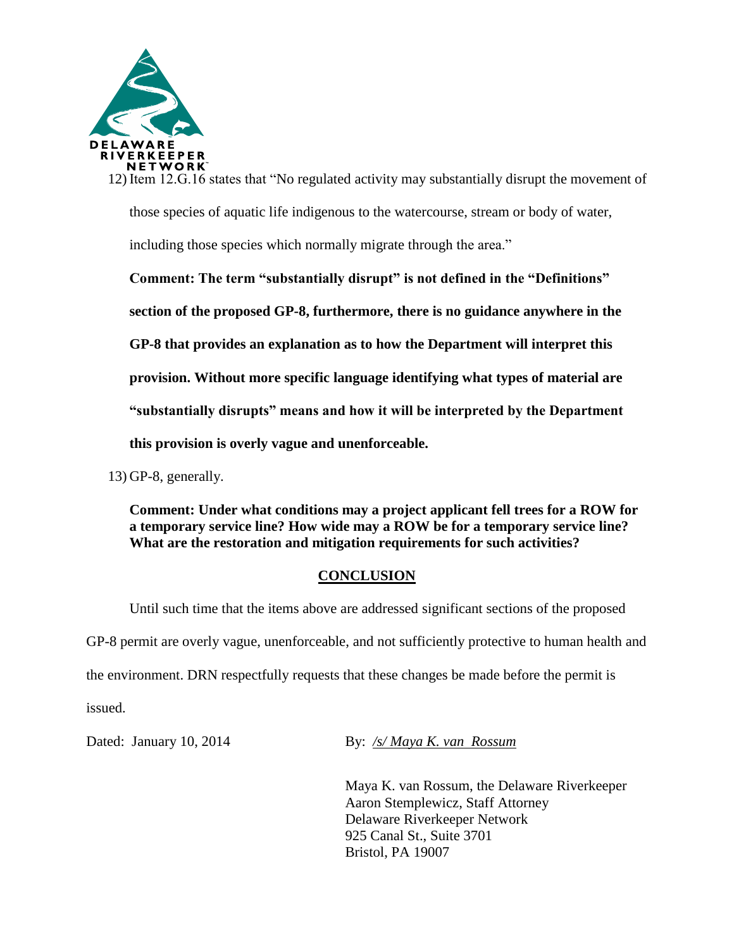

12) Item 12.G.16 states that "No regulated activity may substantially disrupt the movement of those species of aquatic life indigenous to the watercourse, stream or body of water,

including those species which normally migrate through the area."

**Comment: The term "substantially disrupt" is not defined in the "Definitions" section of the proposed GP-8, furthermore, there is no guidance anywhere in the GP-8 that provides an explanation as to how the Department will interpret this provision. Without more specific language identifying what types of material are "substantially disrupts" means and how it will be interpreted by the Department this provision is overly vague and unenforceable.** 

13) GP-8, generally.

**Comment: Under what conditions may a project applicant fell trees for a ROW for a temporary service line? How wide may a ROW be for a temporary service line? What are the restoration and mitigation requirements for such activities?**

### **CONCLUSION**

Until such time that the items above are addressed significant sections of the proposed GP-8 permit are overly vague, unenforceable, and not sufficiently protective to human health and the environment. DRN respectfully requests that these changes be made before the permit is issued.

Dated: January 10, 2014 By: /s/ Maya K. van Rossum

Maya K. van Rossum, the Delaware Riverkeeper Aaron Stemplewicz, Staff Attorney Delaware Riverkeeper Network 925 Canal St., Suite 3701 Bristol, PA 19007